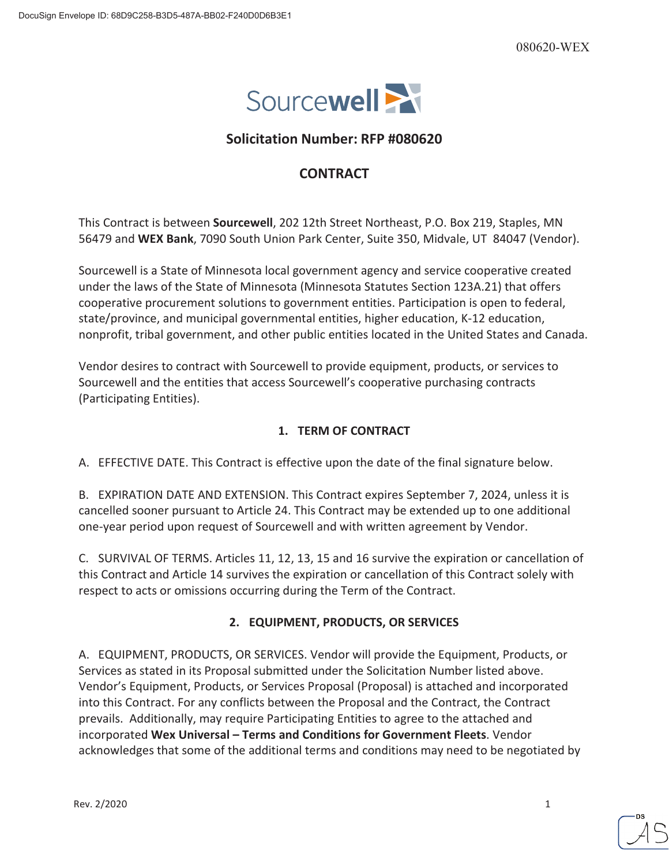

# **Solicitation Number: RFP #080620**

# **CONTRACT**

This Contract is between **Sourcewell**, 202 12th Street Northeast, P.O. Box 219, Staples, MN 56479 and **WEX Bank**, 7090 South Union Park Center, Suite 350, Midvale, UT 84047 (Vendor).

Sourcewell is a State of Minnesota local government agency and service cooperative created under the laws of the State of Minnesota (Minnesota Statutes Section 123A.21) that offers cooperative procurement solutions to government entities. Participation is open to federal, state/province, and municipal governmental entities, higher education, K-12 education, nonprofit, tribal government, and other public entities located in the United States and Canada.

Vendor desires to contract with Sourcewell to provide equipment, products, or services to Sourcewell and the entities that access Sourcewell's cooperative purchasing contracts (Participating Entities).

# **1. TERM OF CONTRACT**

A. EFFECTIVE DATE. This Contract is effective upon the date of the final signature below.

B. EXPIRATION DATE AND EXTENSION. This Contract expires September 7, 2024, unless it is cancelled sooner pursuant to Article 24. This Contract may be extended up to one additional one-year period upon request of Sourcewell and with written agreement by Vendor.

C. SURVIVAL OF TERMS. Articles 11, 12, 13, 15 and 16 survive the expiration or cancellation of this Contract and Article 14 survives the expiration or cancellation of this Contract solely with respect to acts or omissions occurring during the Term of the Contract.

# **2. EQUIPMENT, PRODUCTS, OR SERVICES**

A. EQUIPMENT, PRODUCTS, OR SERVICES. Vendor will provide the Equipment, Products, or Services as stated in its Proposal submitted under the Solicitation Number listed above. Vendor's Equipment, Products, or Services Proposal (Proposal) is attached and incorporated into this Contract. For any conflicts between the Proposal and the Contract, the Contract prevails. Additionally, may require Participating Entities to agree to the attached and incorporated **Wex Universal – Terms and Conditions for Government Fleets**. Vendor acknowledges that some of the additional terms and conditions may need to be negotiated by

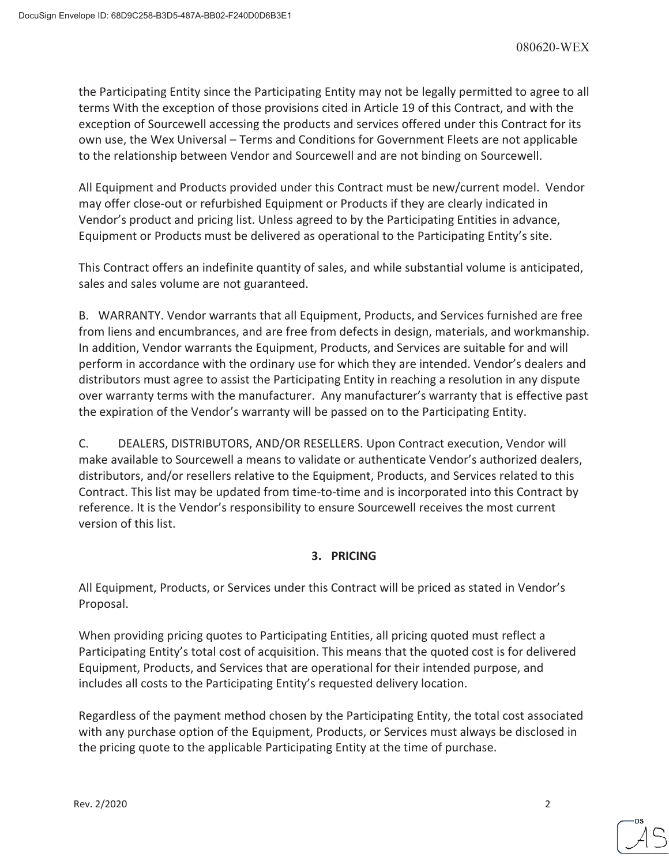the Participating Entity since the Participating Entity may not be legally permitted to agree to all terms With the exception of those provisions cited in Article 19 of this Contract, and with the exception of Sourcewell accessing the products and services offered under this Contract for its own use, the Wex Universal – Terms and Conditions for Government Fleets are not applicable to the relationship between Vendor and Sourcewell and are not binding on Sourcewell.

All Equipment and Products provided under this Contract must be new/current model. Vendor may offer close-out or refurbished Equipment or Products if they are clearly indicated in Vendor's product and pricing list. Unless agreed to by the Participating Entities in advance, Equipment or Products must be delivered as operational to the Participating Entity's site.

This Contract offers an indefinite quantity of sales, and while substantial volume is anticipated, sales and sales volume are not guaranteed.

B. WARRANTY. Vendor warrants that all Equipment, Products, and Services furnished are free from liens and encumbrances, and are free from defects in design, materials, and workmanship. In addition, Vendor warrants the Equipment, Products, and Services are suitable for and will perform in accordance with the ordinary use for which they are intended. Vendor's dealers and distributors must agree to assist the Participating Entity in reaching a resolution in any dispute over warranty terms with the manufacturer. Any manufacturer's warranty that is effective past the expiration of the Vendor's warranty will be passed on to the Participating Entity.

C. DEALERS, DISTRIBUTORS, AND/OR RESELLERS. Upon Contract execution, Vendor will make available to Sourcewell a means to validate or authenticate Vendor's authorized dealers, distributors, and/or resellers relative to the Equipment, Products, and Services related to this Contract. This list may be updated from time-to-time and is incorporated into this Contract by reference. It is the Vendor's responsibility to ensure Sourcewell receives the most current version of this list.

# **3. PRICING**

All Equipment, Products, or Services under this Contract will be priced as stated in Vendor's Proposal.

When providing pricing quotes to Participating Entities, all pricing quoted must reflect a Participating Entity's total cost of acquisition. This means that the quoted cost is for delivered Equipment, Products, and Services that are operational for their intended purpose, and includes all costs to the Participating Entity's requested delivery location.

Regardless of the payment method chosen by the Participating Entity, the total cost associated with any purchase option of the Equipment, Products, or Services must always be disclosed in the pricing quote to the applicable Participating Entity at the time of purchase.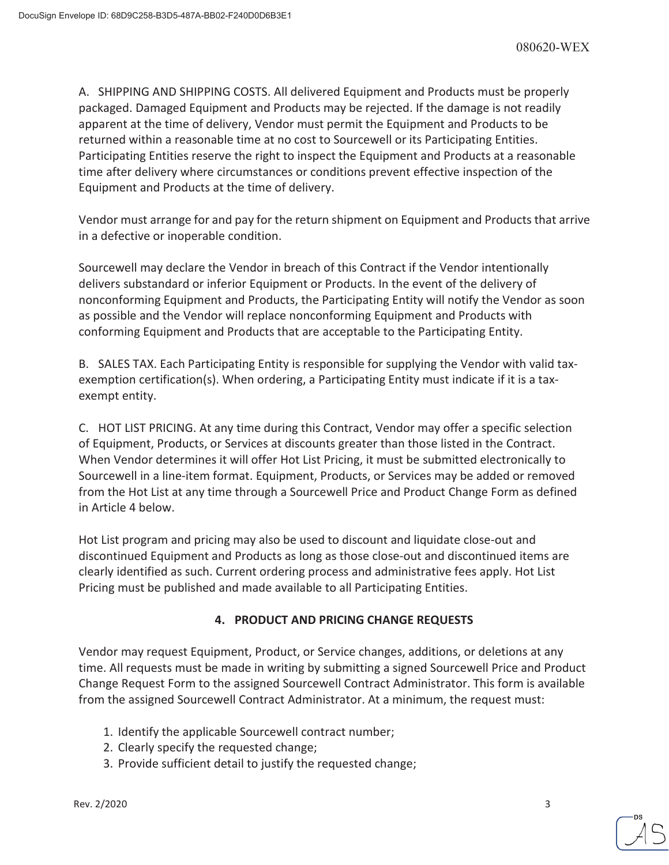A. SHIPPING AND SHIPPING COSTS. All delivered Equipment and Products must be properly packaged. Damaged Equipment and Products may be rejected. If the damage is not readily apparent at the time of delivery, Vendor must permit the Equipment and Products to be returned within a reasonable time at no cost to Sourcewell or its Participating Entities. Participating Entities reserve the right to inspect the Equipment and Products at a reasonable time after delivery where circumstances or conditions prevent effective inspection of the Equipment and Products at the time of delivery.

Vendor must arrange for and pay for the return shipment on Equipment and Products that arrive in a defective or inoperable condition.

Sourcewell may declare the Vendor in breach of this Contract if the Vendor intentionally delivers substandard or inferior Equipment or Products. In the event of the delivery of nonconforming Equipment and Products, the Participating Entity will notify the Vendor as soon as possible and the Vendor will replace nonconforming Equipment and Products with conforming Equipment and Products that are acceptable to the Participating Entity.

B. SALES TAX. Each Participating Entity is responsible for supplying the Vendor with valid taxexemption certification(s). When ordering, a Participating Entity must indicate if it is a taxexempt entity.

C. HOT LIST PRICING. At any time during this Contract, Vendor may offer a specific selection of Equipment, Products, or Services at discounts greater than those listed in the Contract. When Vendor determines it will offer Hot List Pricing, it must be submitted electronically to Sourcewell in a line-item format. Equipment, Products, or Services may be added or removed from the Hot List at any time through a Sourcewell Price and Product Change Form as defined in Article 4 below.

Hot List program and pricing may also be used to discount and liquidate close-out and discontinued Equipment and Products as long as those close-out and discontinued items are clearly identified as such. Current ordering process and administrative fees apply. Hot List Pricing must be published and made available to all Participating Entities.

# **4. PRODUCT AND PRICING CHANGE REQUESTS**

Vendor may request Equipment, Product, or Service changes, additions, or deletions at any time. All requests must be made in writing by submitting a signed Sourcewell Price and Product Change Request Form to the assigned Sourcewell Contract Administrator. This form is available from the assigned Sourcewell Contract Administrator. At a minimum, the request must:

- 1. Identify the applicable Sourcewell contract number;
- 2. Clearly specify the requested change;
- 3. Provide sufficient detail to justify the requested change;

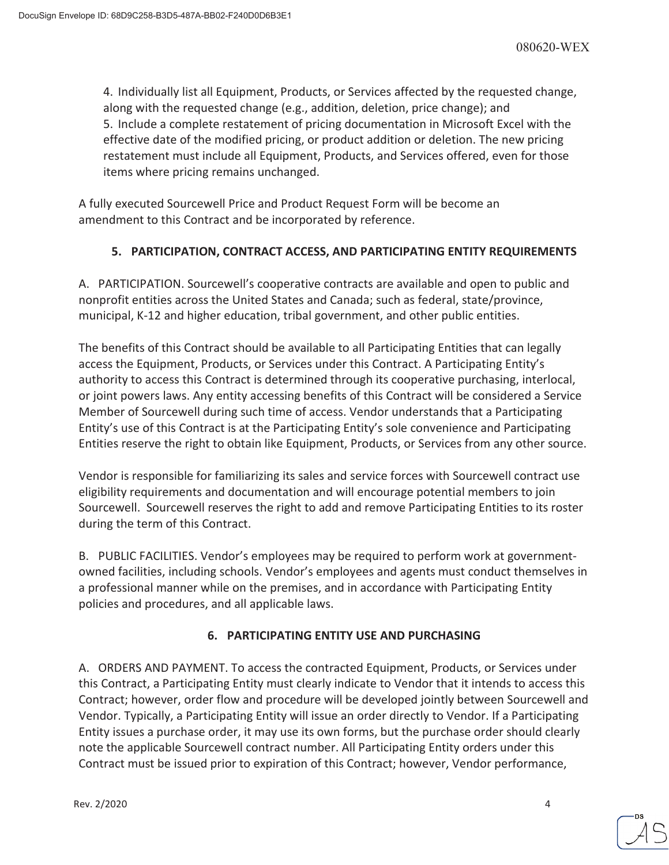4. Individually list all Equipment, Products, or Services affected by the requested change, along with the requested change (e.g., addition, deletion, price change); and 5. Include a complete restatement of pricing documentation in Microsoft Excel with the effective date of the modified pricing, or product addition or deletion. The new pricing restatement must include all Equipment, Products, and Services offered, even for those items where pricing remains unchanged.

A fully executed Sourcewell Price and Product Request Form will be become an amendment to this Contract and be incorporated by reference.

# **5. PARTICIPATION, CONTRACT ACCESS, AND PARTICIPATING ENTITY REQUIREMENTS**

A. PARTICIPATION. Sourcewell's cooperative contracts are available and open to public and nonprofit entities across the United States and Canada; such as federal, state/province, municipal, K-12 and higher education, tribal government, and other public entities.

The benefits of this Contract should be available to all Participating Entities that can legally access the Equipment, Products, or Services under this Contract. A Participating Entity's authority to access this Contract is determined through its cooperative purchasing, interlocal, or joint powers laws. Any entity accessing benefits of this Contract will be considered a Service Member of Sourcewell during such time of access. Vendor understands that a Participating Entity's use of this Contract is at the Participating Entity's sole convenience and Participating Entities reserve the right to obtain like Equipment, Products, or Services from any other source.

Vendor is responsible for familiarizing its sales and service forces with Sourcewell contract use eligibility requirements and documentation and will encourage potential members to join Sourcewell. Sourcewell reserves the right to add and remove Participating Entities to its roster during the term of this Contract.

B. PUBLIC FACILITIES. Vendor's employees may be required to perform work at governmentowned facilities, including schools. Vendor's employees and agents must conduct themselves in a professional manner while on the premises, and in accordance with Participating Entity policies and procedures, and all applicable laws.

# **6. PARTICIPATING ENTITY USE AND PURCHASING**

A. ORDERS AND PAYMENT. To access the contracted Equipment, Products, or Services under this Contract, a Participating Entity must clearly indicate to Vendor that it intends to access this Contract; however, order flow and procedure will be developed jointly between Sourcewell and Vendor. Typically, a Participating Entity will issue an order directly to Vendor. If a Participating Entity issues a purchase order, it may use its own forms, but the purchase order should clearly note the applicable Sourcewell contract number. All Participating Entity orders under this Contract must be issued prior to expiration of this Contract; however, Vendor performance,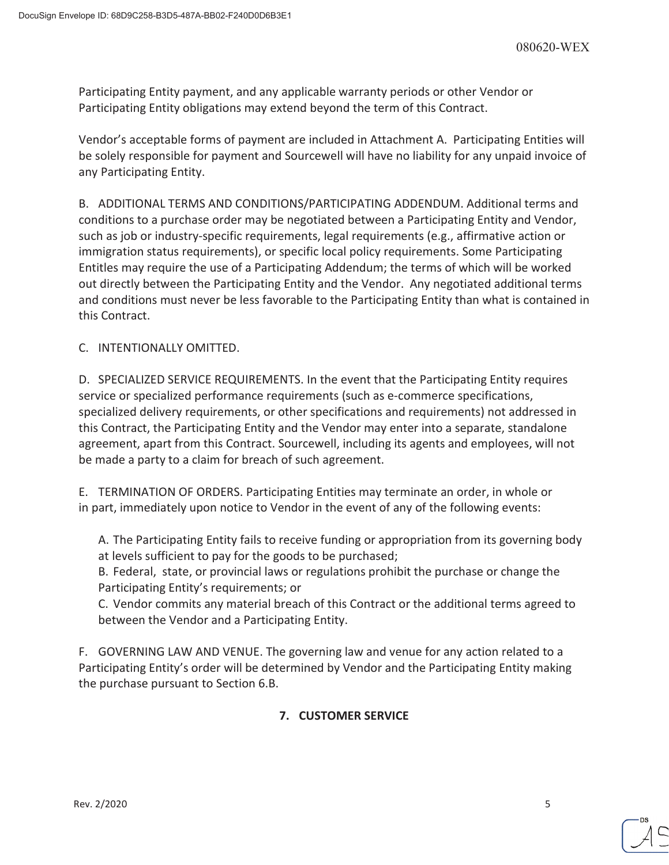Participating Entity payment, and any applicable warranty periods or other Vendor or Participating Entity obligations may extend beyond the term of this Contract.

Vendor's acceptable forms of payment are included in Attachment A. Participating Entities will be solely responsible for payment and Sourcewell will have no liability for any unpaid invoice of any Participating Entity.

B. ADDITIONAL TERMS AND CONDITIONS/PARTICIPATING ADDENDUM. Additional terms and conditions to a purchase order may be negotiated between a Participating Entity and Vendor, such as job or industry-specific requirements, legal requirements (e.g., affirmative action or immigration status requirements), or specific local policy requirements. Some Participating Entitles may require the use of a Participating Addendum; the terms of which will be worked out directly between the Participating Entity and the Vendor. Any negotiated additional terms and conditions must never be less favorable to the Participating Entity than what is contained in this Contract.

C. INTENTIONALLY OMITTED.

D. SPECIALIZED SERVICE REQUIREMENTS. In the event that the Participating Entity requires service or specialized performance requirements (such as e-commerce specifications, specialized delivery requirements, or other specifications and requirements) not addressed in this Contract, the Participating Entity and the Vendor may enter into a separate, standalone agreement, apart from this Contract. Sourcewell, including its agents and employees, will not be made a party to a claim for breach of such agreement.

E. TERMINATION OF ORDERS. Participating Entities may terminate an order, in whole or in part, immediately upon notice to Vendor in the event of any of the following events:

A. The Participating Entity fails to receive funding or appropriation from its governing body at levels sufficient to pay for the goods to be purchased;

B. Federal, state, or provincial laws or regulations prohibit the purchase or change the Participating Entity's requirements; or

C. Vendor commits any material breach of this Contract or the additional terms agreed to between the Vendor and a Participating Entity.

F. GOVERNING LAW AND VENUE. The governing law and venue for any action related to a Participating Entity's order will be determined by Vendor and the Participating Entity making the purchase pursuant to Section 6.B.

# **7. CUSTOMER SERVICE**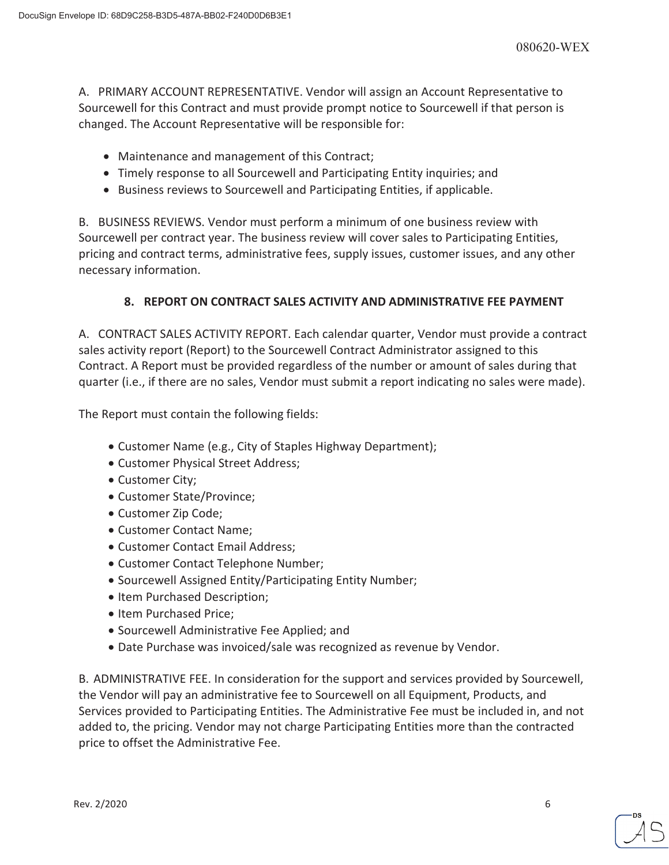A. PRIMARY ACCOUNT REPRESENTATIVE. Vendor will assign an Account Representative to Sourcewell for this Contract and must provide prompt notice to Sourcewell if that person is changed. The Account Representative will be responsible for:

- Maintenance and management of this Contract;
- Timely response to all Sourcewell and Participating Entity inquiries; and
- Business reviews to Sourcewell and Participating Entities, if applicable.

B. BUSINESS REVIEWS. Vendor must perform a minimum of one business review with Sourcewell per contract year. The business review will cover sales to Participating Entities, pricing and contract terms, administrative fees, supply issues, customer issues, and any other necessary information.

# **8. REPORT ON CONTRACT SALES ACTIVITY AND ADMINISTRATIVE FEE PAYMENT**

A. CONTRACT SALES ACTIVITY REPORT. Each calendar quarter, Vendor must provide a contract sales activity report (Report) to the Sourcewell Contract Administrator assigned to this Contract. A Report must be provided regardless of the number or amount of sales during that quarter (i.e., if there are no sales, Vendor must submit a report indicating no sales were made).

The Report must contain the following fields:

- Customer Name (e.g., City of Staples Highway Department);
- Customer Physical Street Address;
- Customer City;
- Customer State/Province;
- Customer Zip Code;
- Customer Contact Name:
- Customer Contact Email Address;
- Customer Contact Telephone Number;
- Sourcewell Assigned Entity/Participating Entity Number;
- Item Purchased Description;
- Item Purchased Price;
- **Sourcewell Administrative Fee Applied; and**
- Date Purchase was invoiced/sale was recognized as revenue by Vendor.

B. ADMINISTRATIVE FEE. In consideration for the support and services provided by Sourcewell, the Vendor will pay an administrative fee to Sourcewell on all Equipment, Products, and Services provided to Participating Entities. The Administrative Fee must be included in, and not added to, the pricing. Vendor may not charge Participating Entities more than the contracted price to offset the Administrative Fee.

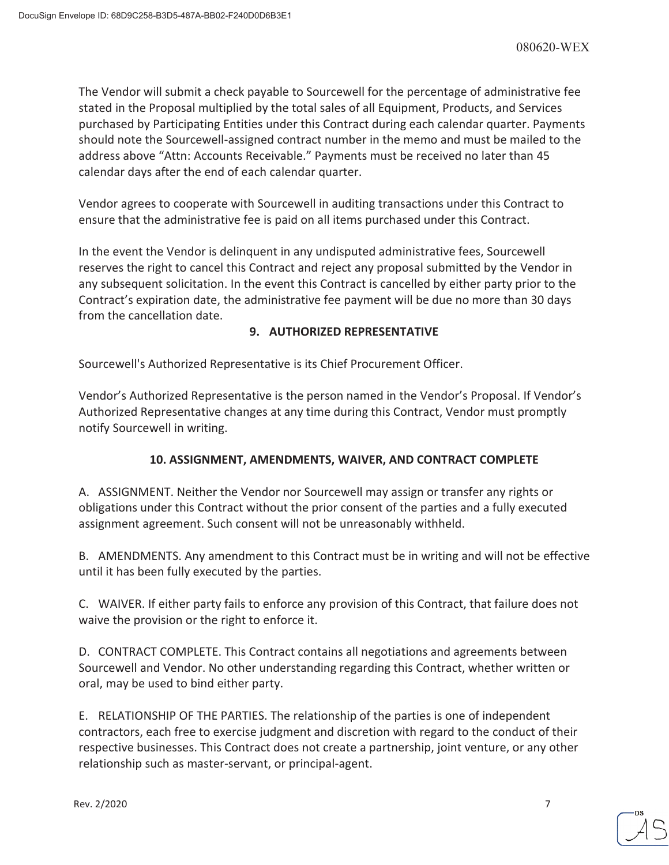The Vendor will submit a check payable to Sourcewell for the percentage of administrative fee stated in the Proposal multiplied by the total sales of all Equipment, Products, and Services purchased by Participating Entities under this Contract during each calendar quarter. Payments should note the Sourcewell-assigned contract number in the memo and must be mailed to the address above "Attn: Accounts Receivable." Payments must be received no later than 45 calendar days after the end of each calendar quarter.

Vendor agrees to cooperate with Sourcewell in auditing transactions under this Contract to ensure that the administrative fee is paid on all items purchased under this Contract.

In the event the Vendor is delinquent in any undisputed administrative fees, Sourcewell reserves the right to cancel this Contract and reject any proposal submitted by the Vendor in any subsequent solicitation. In the event this Contract is cancelled by either party prior to the Contract's expiration date, the administrative fee payment will be due no more than 30 days from the cancellation date.

# **9. AUTHORIZED REPRESENTATIVE**

Sourcewell's Authorized Representative is its Chief Procurement Officer.

Vendor's Authorized Representative is the person named in the Vendor's Proposal. If Vendor's Authorized Representative changes at any time during this Contract, Vendor must promptly notify Sourcewell in writing.

# **10. ASSIGNMENT, AMENDMENTS, WAIVER, AND CONTRACT COMPLETE**

A. ASSIGNMENT. Neither the Vendor nor Sourcewell may assign or transfer any rights or obligations under this Contract without the prior consent of the parties and a fully executed assignment agreement. Such consent will not be unreasonably withheld.

B. AMENDMENTS. Any amendment to this Contract must be in writing and will not be effective until it has been fully executed by the parties.

C. WAIVER. If either party fails to enforce any provision of this Contract, that failure does not waive the provision or the right to enforce it.

D. CONTRACT COMPLETE. This Contract contains all negotiations and agreements between Sourcewell and Vendor. No other understanding regarding this Contract, whether written or oral, may be used to bind either party.

E. RELATIONSHIP OF THE PARTIES. The relationship of the parties is one of independent contractors, each free to exercise judgment and discretion with regard to the conduct of their respective businesses. This Contract does not create a partnership, joint venture, or any other relationship such as master-servant, or principal-agent.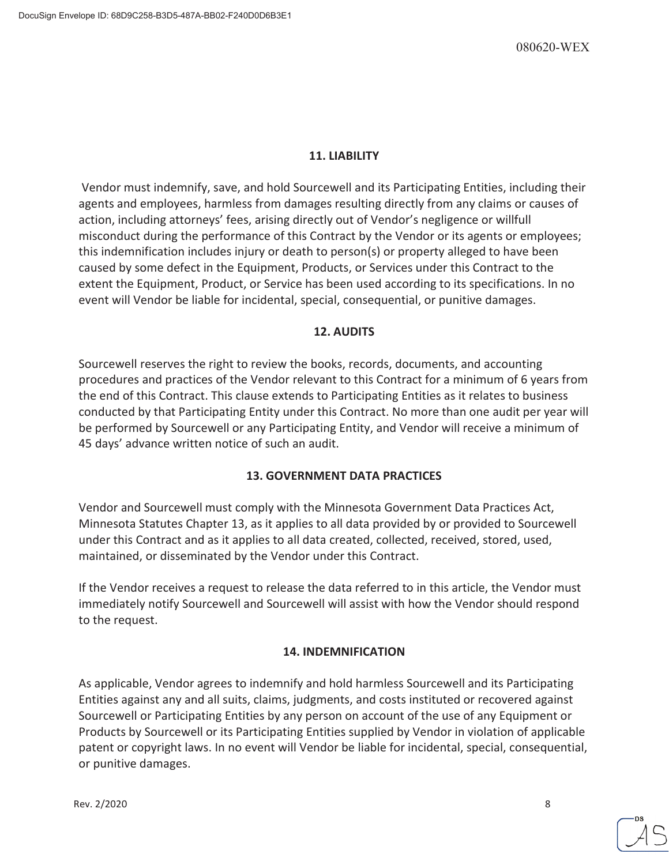# **11. LIABILITY**

 Vendor must indemnify, save, and hold Sourcewell and its Participating Entities, including their agents and employees, harmless from damages resulting directly from any claims or causes of action, including attorneys' fees, arising directly out of Vendor's negligence or willfull misconduct during the performance of this Contract by the Vendor or its agents or employees; this indemnification includes injury or death to person(s) or property alleged to have been caused by some defect in the Equipment, Products, or Services under this Contract to the extent the Equipment, Product, or Service has been used according to its specifications. In no event will Vendor be liable for incidental, special, consequential, or punitive damages.

# **12. AUDITS**

Sourcewell reserves the right to review the books, records, documents, and accounting procedures and practices of the Vendor relevant to this Contract for a minimum of 6 years from the end of this Contract. This clause extends to Participating Entities as it relates to business conducted by that Participating Entity under this Contract. No more than one audit per year will be performed by Sourcewell or any Participating Entity, and Vendor will receive a minimum of 45 days' advance written notice of such an audit.

# **13. GOVERNMENT DATA PRACTICES**

Vendor and Sourcewell must comply with the Minnesota Government Data Practices Act, Minnesota Statutes Chapter 13, as it applies to all data provided by or provided to Sourcewell under this Contract and as it applies to all data created, collected, received, stored, used, maintained, or disseminated by the Vendor under this Contract.

If the Vendor receives a request to release the data referred to in this article, the Vendor must immediately notify Sourcewell and Sourcewell will assist with how the Vendor should respond to the request.

## **14. INDEMNIFICATION**

As applicable, Vendor agrees to indemnify and hold harmless Sourcewell and its Participating Entities against any and all suits, claims, judgments, and costs instituted or recovered against Sourcewell or Participating Entities by any person on account of the use of any Equipment or Products by Sourcewell or its Participating Entities supplied by Vendor in violation of applicable patent or copyright laws. In no event will Vendor be liable for incidental, special, consequential, or punitive damages.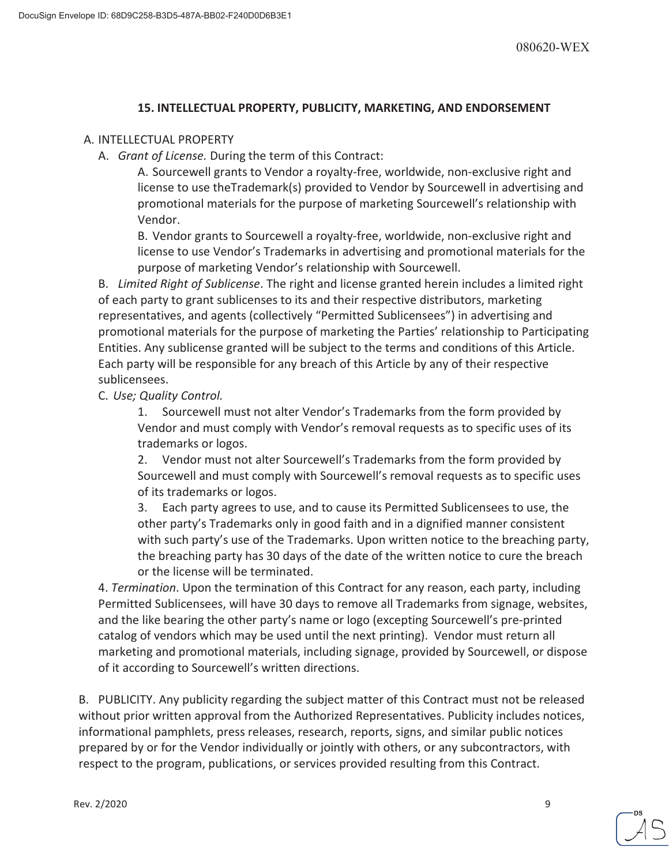# **15. INTELLECTUAL PROPERTY, PUBLICITY, MARKETING, AND ENDORSEMENT**

## A. INTELLECTUAL PROPERTY

A. *Grant of License.* During the term of this Contract:

A. Sourcewell grants to Vendor a royalty-free, worldwide, non-exclusive right and license to use theTrademark(s) provided to Vendor by Sourcewell in advertising and promotional materials for the purpose of marketing Sourcewell's relationship with Vendor.

B. Vendor grants to Sourcewell a royalty-free, worldwide, non-exclusive right and license to use Vendor's Trademarks in advertising and promotional materials for the purpose of marketing Vendor's relationship with Sourcewell.

B. *Limited Right of Sublicense*. The right and license granted herein includes a limited right of each party to grant sublicenses to its and their respective distributors, marketing representatives, and agents (collectively "Permitted Sublicensees") in advertising and promotional materials for the purpose of marketing the Parties' relationship to Participating Entities. Any sublicense granted will be subject to the terms and conditions of this Article. Each party will be responsible for any breach of this Article by any of their respective sublicensees.

C. *Use; Quality Control.* 

1. Sourcewell must not alter Vendor's Trademarks from the form provided by Vendor and must comply with Vendor's removal requests as to specific uses of its trademarks or logos.

2. Vendor must not alter Sourcewell's Trademarks from the form provided by Sourcewell and must comply with Sourcewell's removal requests as to specific uses of its trademarks or logos.

3. Each party agrees to use, and to cause its Permitted Sublicensees to use, the other party's Trademarks only in good faith and in a dignified manner consistent with such party's use of the Trademarks. Upon written notice to the breaching party, the breaching party has 30 days of the date of the written notice to cure the breach or the license will be terminated.

4. *Termination*. Upon the termination of this Contract for any reason, each party, including Permitted Sublicensees, will have 30 days to remove all Trademarks from signage, websites, and the like bearing the other party's name or logo (excepting Sourcewell's pre-printed catalog of vendors which may be used until the next printing). Vendor must return all marketing and promotional materials, including signage, provided by Sourcewell, or dispose of it according to Sourcewell's written directions.

B. PUBLICITY. Any publicity regarding the subject matter of this Contract must not be released without prior written approval from the Authorized Representatives. Publicity includes notices, informational pamphlets, press releases, research, reports, signs, and similar public notices prepared by or for the Vendor individually or jointly with others, or any subcontractors, with respect to the program, publications, or services provided resulting from this Contract.

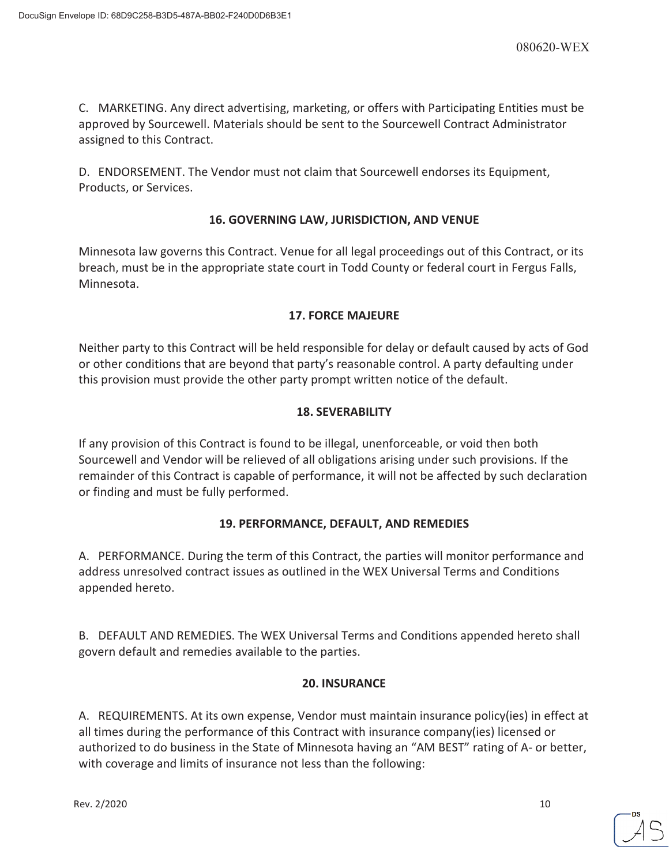C. MARKETING. Any direct advertising, marketing, or offers with Participating Entities must be approved by Sourcewell. Materials should be sent to the Sourcewell Contract Administrator assigned to this Contract.

D. ENDORSEMENT. The Vendor must not claim that Sourcewell endorses its Equipment, Products, or Services.

# **16. GOVERNING LAW, JURISDICTION, AND VENUE**

Minnesota law governs this Contract. Venue for all legal proceedings out of this Contract, or its breach, must be in the appropriate state court in Todd County or federal court in Fergus Falls, Minnesota.

# **17. FORCE MAJEURE**

Neither party to this Contract will be held responsible for delay or default caused by acts of God or other conditions that are beyond that party's reasonable control. A party defaulting under this provision must provide the other party prompt written notice of the default.

# **18. SEVERABILITY**

If any provision of this Contract is found to be illegal, unenforceable, or void then both Sourcewell and Vendor will be relieved of all obligations arising under such provisions. If the remainder of this Contract is capable of performance, it will not be affected by such declaration or finding and must be fully performed.

# **19. PERFORMANCE, DEFAULT, AND REMEDIES**

A. PERFORMANCE. During the term of this Contract, the parties will monitor performance and address unresolved contract issues as outlined in the WEX Universal Terms and Conditions appended hereto.

B. DEFAULT AND REMEDIES. The WEX Universal Terms and Conditions appended hereto shall govern default and remedies available to the parties.

# **20. INSURANCE**

A. REQUIREMENTS. At its own expense, Vendor must maintain insurance policy(ies) in effect at all times during the performance of this Contract with insurance company(ies) licensed or authorized to do business in the State of Minnesota having an "AM BEST" rating of A- or better, with coverage and limits of insurance not less than the following:

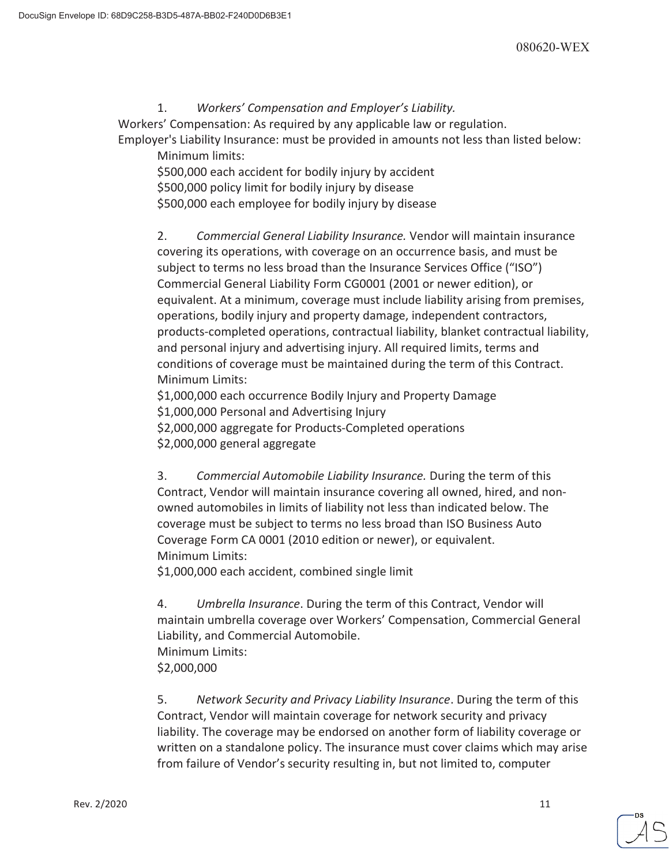# 1. *Workers' Compensation and Employer's Liability.*

Workers' Compensation: As required by any applicable law or regulation.

Employer's Liability Insurance: must be provided in amounts not less than listed below: Minimum limits:

\$500,000 each accident for bodily injury by accident \$500,000 policy limit for bodily injury by disease \$500,000 each employee for bodily injury by disease

2. *Commercial General Liability Insurance.* Vendor will maintain insurance covering its operations, with coverage on an occurrence basis, and must be subject to terms no less broad than the Insurance Services Office ("ISO") Commercial General Liability Form CG0001 (2001 or newer edition), or equivalent. At a minimum, coverage must include liability arising from premises, operations, bodily injury and property damage, independent contractors, products-completed operations, contractual liability, blanket contractual liability, and personal injury and advertising injury. All required limits, terms and conditions of coverage must be maintained during the term of this Contract. Minimum Limits:

\$1,000,000 each occurrence Bodily Injury and Property Damage \$1,000,000 Personal and Advertising Injury \$2,000,000 aggregate for Products-Completed operations

\$2,000,000 general aggregate

3. *Commercial Automobile Liability Insurance.* During the term of this Contract, Vendor will maintain insurance covering all owned, hired, and nonowned automobiles in limits of liability not less than indicated below. The coverage must be subject to terms no less broad than ISO Business Auto Coverage Form CA 0001 (2010 edition or newer), or equivalent. Minimum Limits:

\$1,000,000 each accident, combined single limit

4. *Umbrella Insurance*. During the term of this Contract, Vendor will maintain umbrella coverage over Workers' Compensation, Commercial General Liability, and Commercial Automobile. Minimum Limits: \$2,000,000

5. *Network Security and Privacy Liability Insurance*. During the term of this Contract, Vendor will maintain coverage for network security and privacy liability. The coverage may be endorsed on another form of liability coverage or written on a standalone policy. The insurance must cover claims which may arise from failure of Vendor's security resulting in, but not limited to, computer

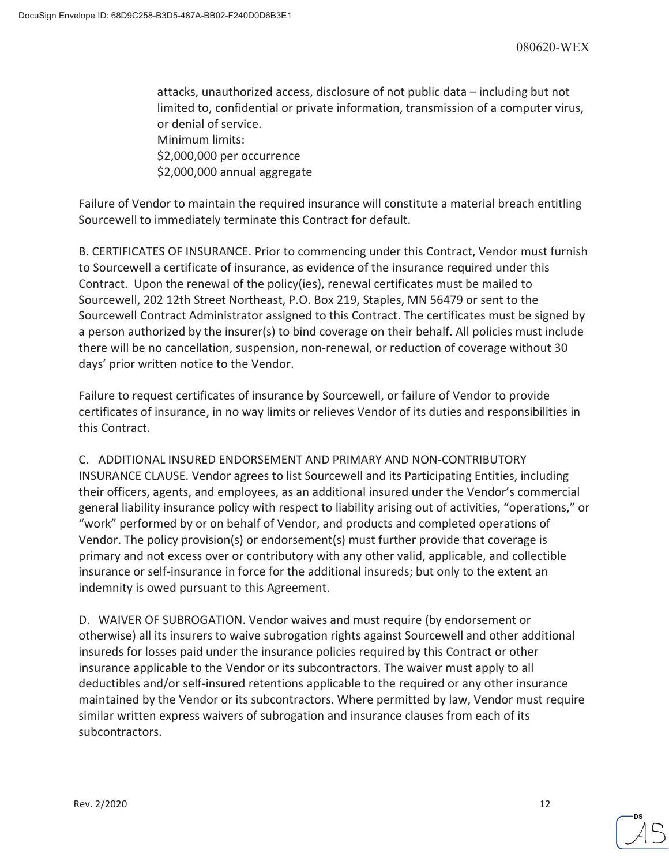attacks, unauthorized access, disclosure of not public data – including but not limited to, confidential or private information, transmission of a computer virus, or denial of service. Minimum limits: \$2,000,000 per occurrence \$2,000,000 annual aggregate

Failure of Vendor to maintain the required insurance will constitute a material breach entitling Sourcewell to immediately terminate this Contract for default.

B. CERTIFICATES OF INSURANCE. Prior to commencing under this Contract, Vendor must furnish to Sourcewell a certificate of insurance, as evidence of the insurance required under this Contract. Upon the renewal of the policy(ies), renewal certificates must be mailed to Sourcewell, 202 12th Street Northeast, P.O. Box 219, Staples, MN 56479 or sent to the Sourcewell Contract Administrator assigned to this Contract. The certificates must be signed by a person authorized by the insurer(s) to bind coverage on their behalf. All policies must include there will be no cancellation, suspension, non-renewal, or reduction of coverage without 30 days' prior written notice to the Vendor.

Failure to request certificates of insurance by Sourcewell, or failure of Vendor to provide certificates of insurance, in no way limits or relieves Vendor of its duties and responsibilities in this Contract.

C. ADDITIONAL INSURED ENDORSEMENT AND PRIMARY AND NON-CONTRIBUTORY

INSURANCE CLAUSE. Vendor agrees to list Sourcewell and its Participating Entities, including their officers, agents, and employees, as an additional insured under the Vendor's commercial general liability insurance policy with respect to liability arising out of activities, "operations," or "work" performed by or on behalf of Vendor, and products and completed operations of Vendor. The policy provision(s) or endorsement(s) must further provide that coverage is primary and not excess over or contributory with any other valid, applicable, and collectible insurance or self-insurance in force for the additional insureds; but only to the extent an indemnity is owed pursuant to this Agreement.

D. WAIVER OF SUBROGATION. Vendor waives and must require (by endorsement or otherwise) all its insurers to waive subrogation rights against Sourcewell and other additional insureds for losses paid under the insurance policies required by this Contract or other insurance applicable to the Vendor or its subcontractors. The waiver must apply to all deductibles and/or self-insured retentions applicable to the required or any other insurance maintained by the Vendor or its subcontractors. Where permitted by law, Vendor must require similar written express waivers of subrogation and insurance clauses from each of its subcontractors.

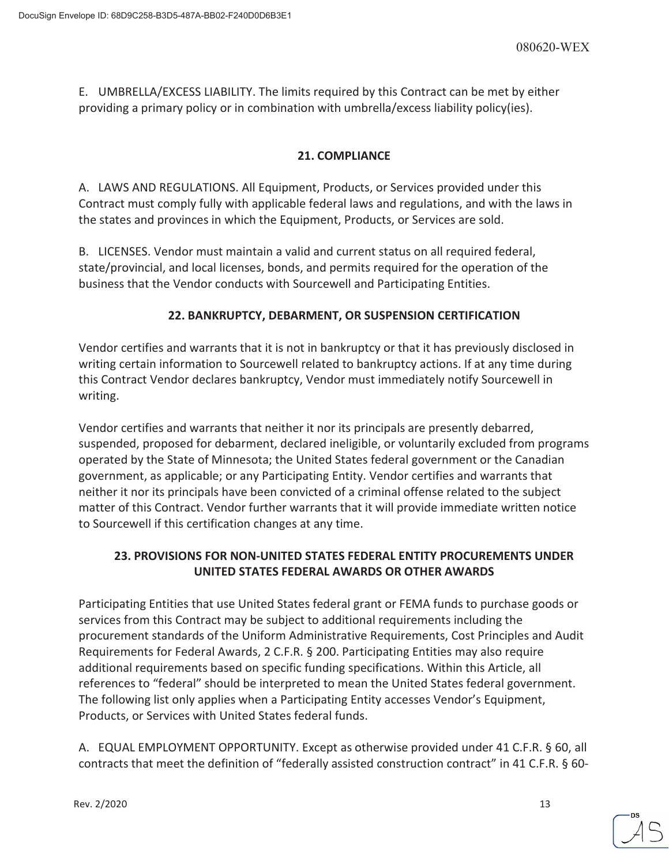E. UMBRELLA/EXCESS LIABILITY. The limits required by this Contract can be met by either providing a primary policy or in combination with umbrella/excess liability policy(ies).

# **21. COMPLIANCE**

A. LAWS AND REGULATIONS. All Equipment, Products, or Services provided under this Contract must comply fully with applicable federal laws and regulations, and with the laws in the states and provinces in which the Equipment, Products, or Services are sold.

B. LICENSES. Vendor must maintain a valid and current status on all required federal, state/provincial, and local licenses, bonds, and permits required for the operation of the business that the Vendor conducts with Sourcewell and Participating Entities.

# **22. BANKRUPTCY, DEBARMENT, OR SUSPENSION CERTIFICATION**

Vendor certifies and warrants that it is not in bankruptcy or that it has previously disclosed in writing certain information to Sourcewell related to bankruptcy actions. If at any time during this Contract Vendor declares bankruptcy, Vendor must immediately notify Sourcewell in writing.

Vendor certifies and warrants that neither it nor its principals are presently debarred, suspended, proposed for debarment, declared ineligible, or voluntarily excluded from programs operated by the State of Minnesota; the United States federal government or the Canadian government, as applicable; or any Participating Entity. Vendor certifies and warrants that neither it nor its principals have been convicted of a criminal offense related to the subject matter of this Contract. Vendor further warrants that it will provide immediate written notice to Sourcewell if this certification changes at any time.

# **23. PROVISIONS FOR NON-UNITED STATES FEDERAL ENTITY PROCUREMENTS UNDER UNITED STATES FEDERAL AWARDS OR OTHER AWARDS**

Participating Entities that use United States federal grant or FEMA funds to purchase goods or services from this Contract may be subject to additional requirements including the procurement standards of the Uniform Administrative Requirements, Cost Principles and Audit Requirements for Federal Awards, 2 C.F.R. § 200. Participating Entities may also require additional requirements based on specific funding specifications. Within this Article, all references to "federal" should be interpreted to mean the United States federal government. The following list only applies when a Participating Entity accesses Vendor's Equipment, Products, or Services with United States federal funds.

A. EQUAL EMPLOYMENT OPPORTUNITY. Except as otherwise provided under 41 C.F.R. § 60, all contracts that meet the definition of "federally assisted construction contract" in 41 C.F.R. § 60-

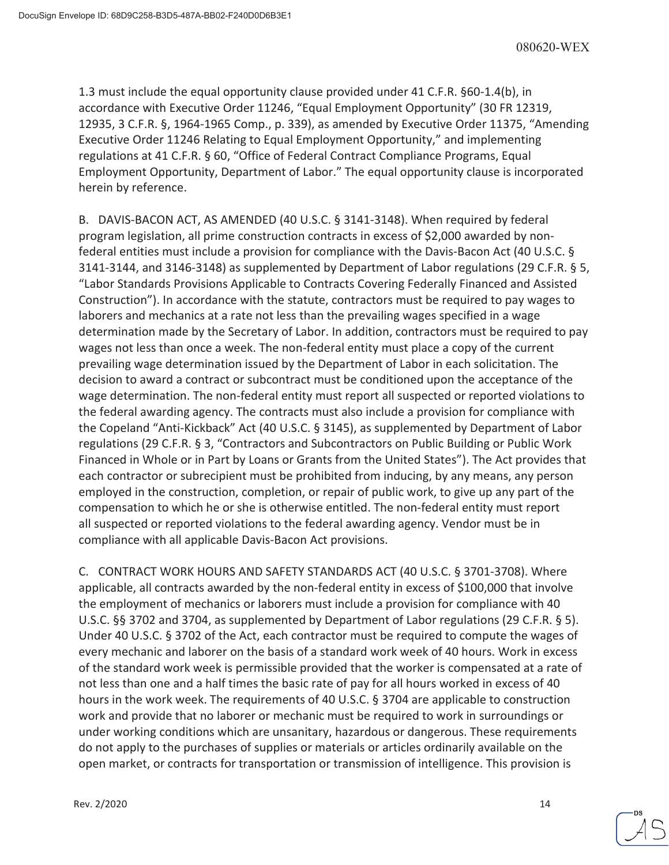1.3 must include the equal opportunity clause provided under 41 C.F.R. §60-1.4(b), in accordance with Executive Order 11246, "Equal Employment Opportunity" (30 FR 12319, 12935, 3 C.F.R. §, 1964-1965 Comp., p. 339), as amended by Executive Order 11375, "Amending Executive Order 11246 Relating to Equal Employment Opportunity," and implementing regulations at 41 C.F.R. § 60, "Office of Federal Contract Compliance Programs, Equal Employment Opportunity, Department of Labor." The equal opportunity clause is incorporated herein by reference.

B. DAVIS-BACON ACT, AS AMENDED (40 U.S.C. § 3141-3148). When required by federal program legislation, all prime construction contracts in excess of \$2,000 awarded by nonfederal entities must include a provision for compliance with the Davis-Bacon Act (40 U.S.C. § 3141-3144, and 3146-3148) as supplemented by Department of Labor regulations (29 C.F.R. § 5, "Labor Standards Provisions Applicable to Contracts Covering Federally Financed and Assisted Construction"). In accordance with the statute, contractors must be required to pay wages to laborers and mechanics at a rate not less than the prevailing wages specified in a wage determination made by the Secretary of Labor. In addition, contractors must be required to pay wages not less than once a week. The non-federal entity must place a copy of the current prevailing wage determination issued by the Department of Labor in each solicitation. The decision to award a contract or subcontract must be conditioned upon the acceptance of the wage determination. The non-federal entity must report all suspected or reported violations to the federal awarding agency. The contracts must also include a provision for compliance with the Copeland "Anti-Kickback" Act (40 U.S.C. § 3145), as supplemented by Department of Labor regulations (29 C.F.R. § 3, "Contractors and Subcontractors on Public Building or Public Work Financed in Whole or in Part by Loans or Grants from the United States"). The Act provides that each contractor or subrecipient must be prohibited from inducing, by any means, any person employed in the construction, completion, or repair of public work, to give up any part of the compensation to which he or she is otherwise entitled. The non-federal entity must report all suspected or reported violations to the federal awarding agency. Vendor must be in compliance with all applicable Davis-Bacon Act provisions.

C. CONTRACT WORK HOURS AND SAFETY STANDARDS ACT (40 U.S.C. § 3701-3708). Where applicable, all contracts awarded by the non-federal entity in excess of \$100,000 that involve the employment of mechanics or laborers must include a provision for compliance with 40 U.S.C. §§ 3702 and 3704, as supplemented by Department of Labor regulations (29 C.F.R. § 5). Under 40 U.S.C. § 3702 of the Act, each contractor must be required to compute the wages of every mechanic and laborer on the basis of a standard work week of 40 hours. Work in excess of the standard work week is permissible provided that the worker is compensated at a rate of not less than one and a half times the basic rate of pay for all hours worked in excess of 40 hours in the work week. The requirements of 40 U.S.C. § 3704 are applicable to construction work and provide that no laborer or mechanic must be required to work in surroundings or under working conditions which are unsanitary, hazardous or dangerous. These requirements do not apply to the purchases of supplies or materials or articles ordinarily available on the open market, or contracts for transportation or transmission of intelligence. This provision is

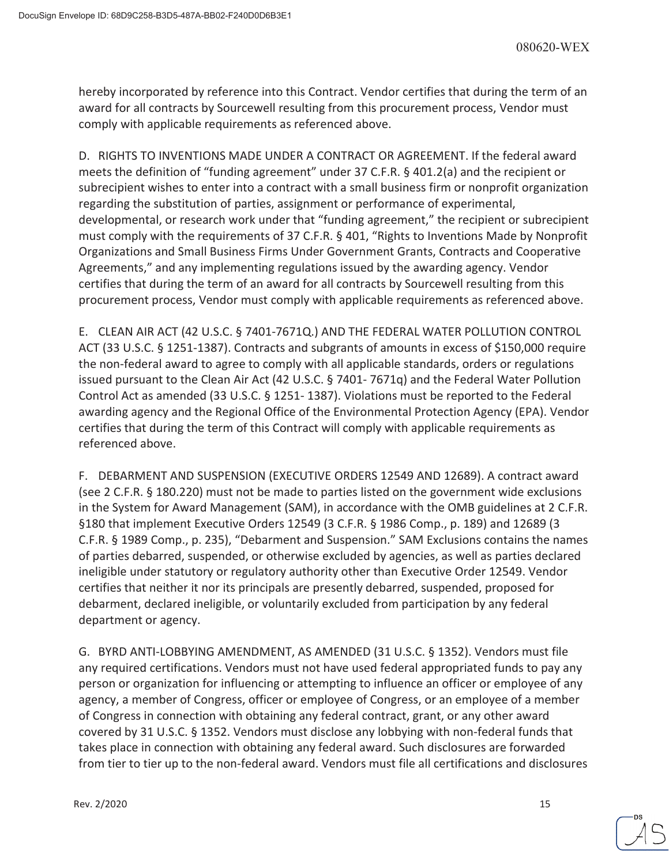hereby incorporated by reference into this Contract. Vendor certifies that during the term of an award for all contracts by Sourcewell resulting from this procurement process, Vendor must comply with applicable requirements as referenced above.

D. RIGHTS TO INVENTIONS MADE UNDER A CONTRACT OR AGREEMENT. If the federal award meets the definition of "funding agreement" under 37 C.F.R. § 401.2(a) and the recipient or subrecipient wishes to enter into a contract with a small business firm or nonprofit organization regarding the substitution of parties, assignment or performance of experimental, developmental, or research work under that "funding agreement," the recipient or subrecipient must comply with the requirements of 37 C.F.R. § 401, "Rights to Inventions Made by Nonprofit Organizations and Small Business Firms Under Government Grants, Contracts and Cooperative Agreements," and any implementing regulations issued by the awarding agency. Vendor certifies that during the term of an award for all contracts by Sourcewell resulting from this procurement process, Vendor must comply with applicable requirements as referenced above.

E. CLEAN AIR ACT (42 U.S.C. § 7401-7671Q.) AND THE FEDERAL WATER POLLUTION CONTROL ACT (33 U.S.C. § 1251-1387). Contracts and subgrants of amounts in excess of \$150,000 require the non-federal award to agree to comply with all applicable standards, orders or regulations issued pursuant to the Clean Air Act (42 U.S.C. § 7401- 7671q) and the Federal Water Pollution Control Act as amended (33 U.S.C. § 1251- 1387). Violations must be reported to the Federal awarding agency and the Regional Office of the Environmental Protection Agency (EPA). Vendor certifies that during the term of this Contract will comply with applicable requirements as referenced above.

F. DEBARMENT AND SUSPENSION (EXECUTIVE ORDERS 12549 AND 12689). A contract award (see 2 C.F.R. § 180.220) must not be made to parties listed on the government wide exclusions in the System for Award Management (SAM), in accordance with the OMB guidelines at 2 C.F.R. §180 that implement Executive Orders 12549 (3 C.F.R. § 1986 Comp., p. 189) and 12689 (3 C.F.R. § 1989 Comp., p. 235), "Debarment and Suspension." SAM Exclusions contains the names of parties debarred, suspended, or otherwise excluded by agencies, as well as parties declared ineligible under statutory or regulatory authority other than Executive Order 12549. Vendor certifies that neither it nor its principals are presently debarred, suspended, proposed for debarment, declared ineligible, or voluntarily excluded from participation by any federal department or agency.

G. BYRD ANTI-LOBBYING AMENDMENT, AS AMENDED (31 U.S.C. § 1352). Vendors must file any required certifications. Vendors must not have used federal appropriated funds to pay any person or organization for influencing or attempting to influence an officer or employee of any agency, a member of Congress, officer or employee of Congress, or an employee of a member of Congress in connection with obtaining any federal contract, grant, or any other award covered by 31 U.S.C. § 1352. Vendors must disclose any lobbying with non-federal funds that takes place in connection with obtaining any federal award. Such disclosures are forwarded from tier to tier up to the non-federal award. Vendors must file all certifications and disclosures

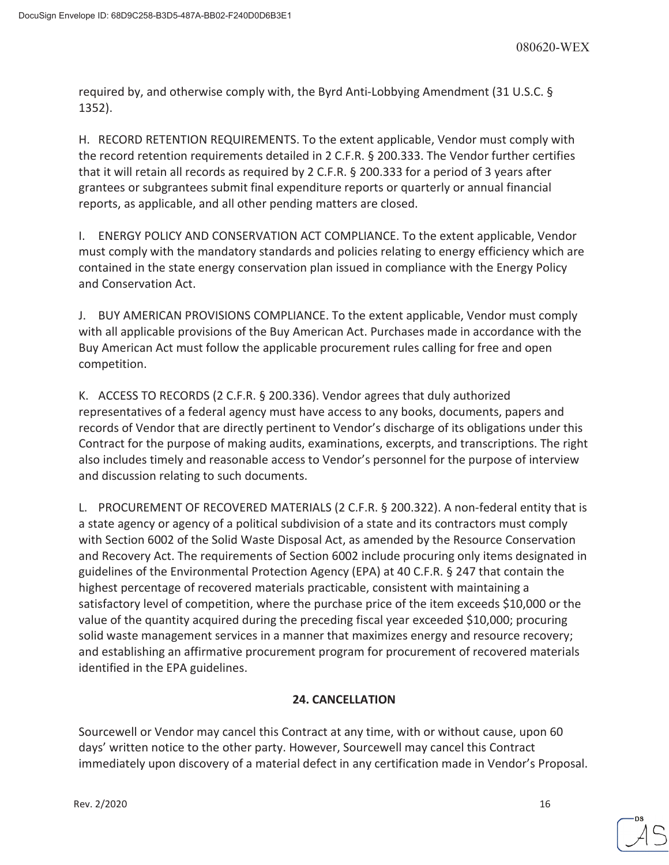required by, and otherwise comply with, the Byrd Anti-Lobbying Amendment (31 U.S.C. § 1352).

H. RECORD RETENTION REQUIREMENTS. To the extent applicable, Vendor must comply with the record retention requirements detailed in 2 C.F.R. § 200.333. The Vendor further certifies that it will retain all records as required by 2 C.F.R. § 200.333 for a period of 3 years after grantees or subgrantees submit final expenditure reports or quarterly or annual financial reports, as applicable, and all other pending matters are closed.

I. ENERGY POLICY AND CONSERVATION ACT COMPLIANCE. To the extent applicable, Vendor must comply with the mandatory standards and policies relating to energy efficiency which are contained in the state energy conservation plan issued in compliance with the Energy Policy and Conservation Act.

J. BUY AMERICAN PROVISIONS COMPLIANCE. To the extent applicable, Vendor must comply with all applicable provisions of the Buy American Act. Purchases made in accordance with the Buy American Act must follow the applicable procurement rules calling for free and open competition.

K. ACCESS TO RECORDS (2 C.F.R. § 200.336). Vendor agrees that duly authorized representatives of a federal agency must have access to any books, documents, papers and records of Vendor that are directly pertinent to Vendor's discharge of its obligations under this Contract for the purpose of making audits, examinations, excerpts, and transcriptions. The right also includes timely and reasonable access to Vendor's personnel for the purpose of interview and discussion relating to such documents.

L. PROCUREMENT OF RECOVERED MATERIALS (2 C.F.R. § 200.322). A non-federal entity that is a state agency or agency of a political subdivision of a state and its contractors must comply with Section 6002 of the Solid Waste Disposal Act, as amended by the Resource Conservation and Recovery Act. The requirements of Section 6002 include procuring only items designated in guidelines of the Environmental Protection Agency (EPA) at 40 C.F.R. § 247 that contain the highest percentage of recovered materials practicable, consistent with maintaining a satisfactory level of competition, where the purchase price of the item exceeds \$10,000 or the value of the quantity acquired during the preceding fiscal year exceeded \$10,000; procuring solid waste management services in a manner that maximizes energy and resource recovery; and establishing an affirmative procurement program for procurement of recovered materials identified in the EPA guidelines.

# **24. CANCELLATION**

Sourcewell or Vendor may cancel this Contract at any time, with or without cause, upon 60 days' written notice to the other party. However, Sourcewell may cancel this Contract immediately upon discovery of a material defect in any certification made in Vendor's Proposal.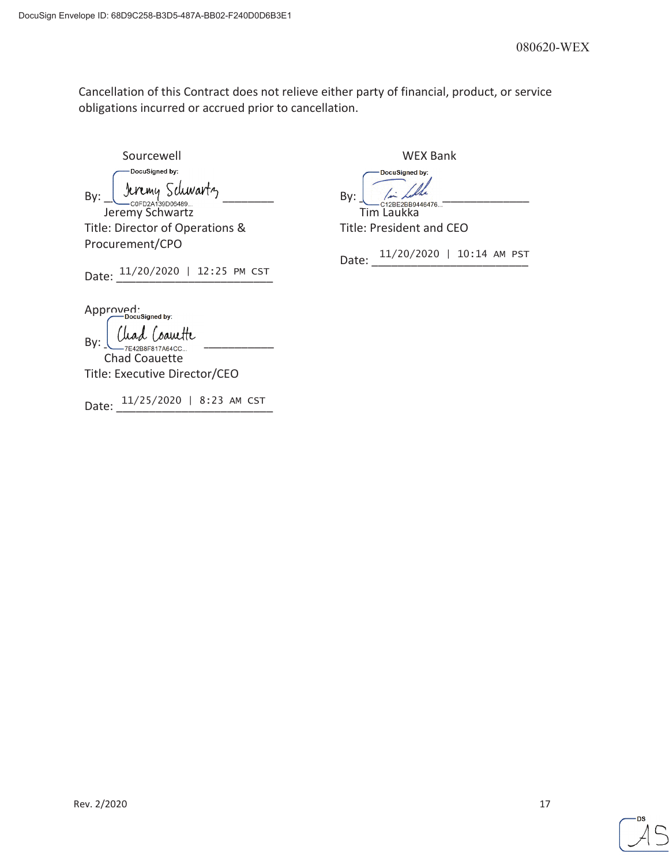Cancellation of this Contract does not relieve either party of financial, product, or service obligations incurred or accrued prior to cancellation.

Sourcewell November 2012 1999 WEX Bank DocuSigned by:  $By: \underline{\bigcup_{co\in D2 \text{A1}: 9 \text{D}06489...}}\text{Suppose}\xspace$ Jeremy Schwartz Tim Laukka

Title: Director of Operations & Procurement/CPO

Date:  $\frac{11/20/2020 + 12:25 \text{ PM CST}}{2}$ 

DocuSigned by:

Title: President and CEO

Date: 11/20/2020 | 10:14 AM PST

Approved:<br>Docusigned by:

 $_{\text{By:}}\underbrace{\int\text{Uad}\int\text{Cauult}}_{\text{7E42B8F817A64CC...}}$ Chad Coauette

Title: Executive Director/CEO

Date: 11/25/2020 | 8:23 AM CST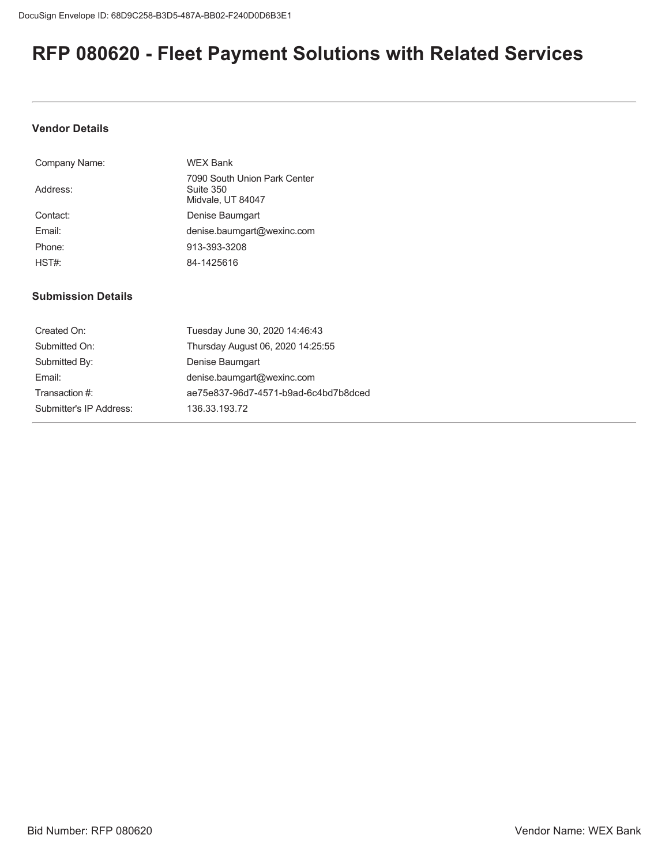# **RFP 080620 - Fleet Payment Solutions with Related Services**

## **Vendor Details**

| Company Name: | <b>WEX Bank</b>                                                |
|---------------|----------------------------------------------------------------|
| Address:      | 7090 South Union Park Center<br>Suite 350<br>Midvale, UT 84047 |
| Contact:      | Denise Baumgart                                                |
| Fmail:        | denise.baumgart@wexinc.com                                     |
| Phone:        | 913-393-3208                                                   |
| HST#          | 84-1425616                                                     |

# **Submission Details**

| Created On:             | Tuesday June 30, 2020 14:46:43       |
|-------------------------|--------------------------------------|
| Submitted On:           | Thursday August 06, 2020 14:25:55    |
| Submitted By:           | Denise Baumgart                      |
| Email:                  | denise.baumgart@wexinc.com           |
| Transaction #:          | ae75e837-96d7-4571-b9ad-6c4bd7b8dced |
| Submitter's IP Address: | 136.33.193.72                        |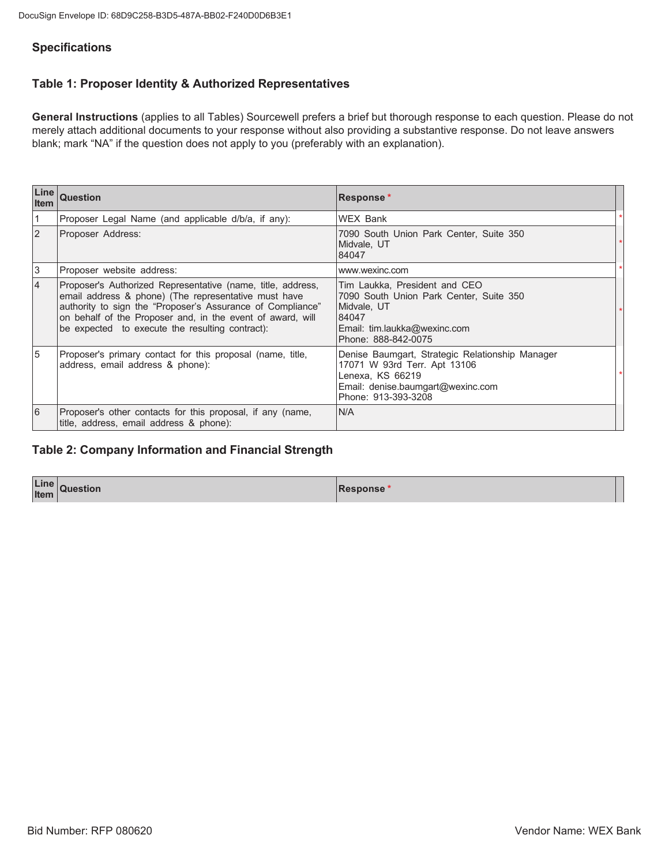# **Specifications**

# Table 1: Proposer Identity & Authorized Representatives

General Instructions (applies to all Tables) Sourcewell prefers a brief but thorough response to each question. Please do not merely attach additional documents to your response without also providing a substantive response. Do not leave answers blank; mark "NA" if the question does not apply to you (preferably with an explanation).

| Line<br>l Item | Question                                                                                                                                                                                                                                                                                           | Response*                                                                                                                                                       |  |
|----------------|----------------------------------------------------------------------------------------------------------------------------------------------------------------------------------------------------------------------------------------------------------------------------------------------------|-----------------------------------------------------------------------------------------------------------------------------------------------------------------|--|
| 1              | Proposer Legal Name (and applicable d/b/a, if any):                                                                                                                                                                                                                                                | <b>WEX Bank</b>                                                                                                                                                 |  |
| <sup>2</sup>   | Proposer Address:                                                                                                                                                                                                                                                                                  | 7090 South Union Park Center, Suite 350<br>Midvale, UT<br>84047                                                                                                 |  |
| 3              | Proposer website address:                                                                                                                                                                                                                                                                          | www.wexinc.com                                                                                                                                                  |  |
| 4              | Proposer's Authorized Representative (name, title, address,<br>email address & phone) (The representative must have<br>authority to sign the "Proposer's Assurance of Compliance"<br>on behalf of the Proposer and, in the event of award, will<br>be expected to execute the resulting contract): | Tim Laukka, President and CEO<br>7090 South Union Park Center, Suite 350<br>Midvale, UT<br>84047<br>Email: tim.laukka@wexinc.com<br>Phone: 888-842-0075         |  |
| 5              | Proposer's primary contact for this proposal (name, title,<br>address, email address & phone):                                                                                                                                                                                                     | Denise Baumgart, Strategic Relationship Manager<br>17071 W 93rd Terr. Apt 13106<br>Lenexa, KS 66219<br>Email: denise.baumgart@wexinc.com<br>Phone: 913-393-3208 |  |
| 6              | Proposer's other contacts for this proposal, if any (name,<br>title, address, email address & phone):                                                                                                                                                                                              | N/A                                                                                                                                                             |  |

# **Table 2: Company Information and Financial Strength**

| Line<br><b>Item</b> | uestion | סטווע |
|---------------------|---------|-------|
|                     |         |       |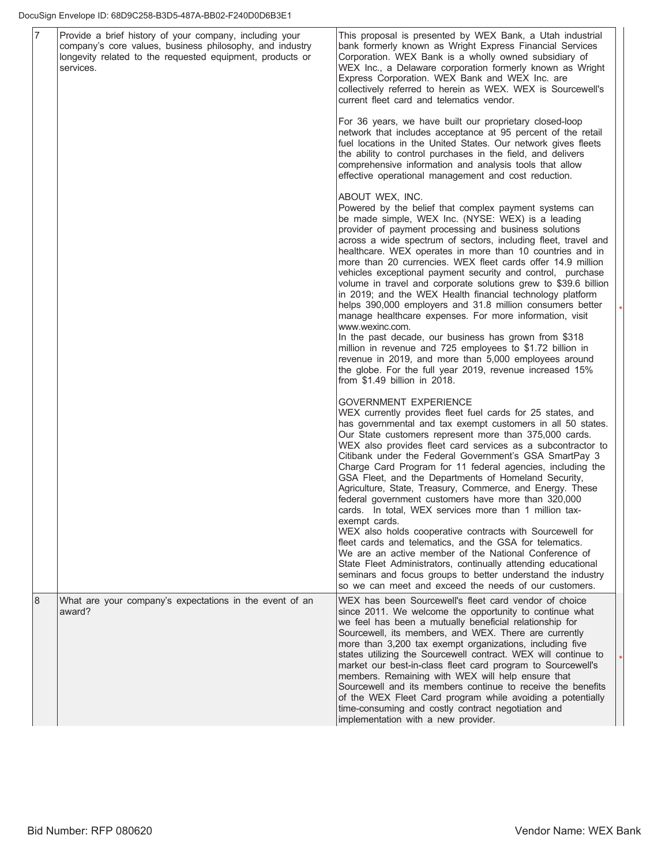| $\overline{7}$ | Provide a brief history of your company, including your<br>company's core values, business philosophy, and industry<br>longevity related to the requested equipment, products or<br>services. | This proposal is presented by WEX Bank, a Utah industrial<br>bank formerly known as Wright Express Financial Services<br>Corporation. WEX Bank is a wholly owned subsidiary of<br>WEX Inc., a Delaware corporation formerly known as Wright<br>Express Corporation. WEX Bank and WEX Inc. are<br>collectively referred to herein as WEX. WEX is Sourcewell's<br>current fleet card and telematics vendor.                                                                                                                                                                                                                                                                                                                                                                                                                                                                                                                                                                                                                                  |  |
|----------------|-----------------------------------------------------------------------------------------------------------------------------------------------------------------------------------------------|--------------------------------------------------------------------------------------------------------------------------------------------------------------------------------------------------------------------------------------------------------------------------------------------------------------------------------------------------------------------------------------------------------------------------------------------------------------------------------------------------------------------------------------------------------------------------------------------------------------------------------------------------------------------------------------------------------------------------------------------------------------------------------------------------------------------------------------------------------------------------------------------------------------------------------------------------------------------------------------------------------------------------------------------|--|
|                |                                                                                                                                                                                               | For 36 years, we have built our proprietary closed-loop<br>network that includes acceptance at 95 percent of the retail<br>fuel locations in the United States. Our network gives fleets<br>the ability to control purchases in the field, and delivers<br>comprehensive information and analysis tools that allow<br>effective operational management and cost reduction.                                                                                                                                                                                                                                                                                                                                                                                                                                                                                                                                                                                                                                                                 |  |
|                |                                                                                                                                                                                               | ABOUT WEX, INC.<br>Powered by the belief that complex payment systems can<br>be made simple, WEX Inc. (NYSE: WEX) is a leading<br>provider of payment processing and business solutions<br>across a wide spectrum of sectors, including fleet, travel and<br>healthcare. WEX operates in more than 10 countries and in<br>more than 20 currencies. WEX fleet cards offer 14.9 million<br>vehicles exceptional payment security and control, purchase<br>volume in travel and corporate solutions grew to \$39.6 billion<br>in 2019; and the WEX Health financial technology platform<br>helps 390,000 employers and 31.8 million consumers better<br>manage healthcare expenses. For more information, visit<br>www.wexinc.com.<br>In the past decade, our business has grown from \$318<br>million in revenue and 725 employees to \$1.72 billion in<br>revenue in 2019, and more than 5,000 employees around<br>the globe. For the full year 2019, revenue increased 15%<br>from $$1.49$ billion in 2018.                                |  |
|                |                                                                                                                                                                                               | <b>GOVERNMENT EXPERIENCE</b><br>WEX currently provides fleet fuel cards for 25 states, and<br>has governmental and tax exempt customers in all 50 states.<br>Our State customers represent more than 375,000 cards.<br>WEX also provides fleet card services as a subcontractor to<br>Citibank under the Federal Government's GSA SmartPay 3<br>Charge Card Program for 11 federal agencies, including the<br>GSA Fleet, and the Departments of Homeland Security,<br>Agriculture, State, Treasury, Commerce, and Energy. These<br>federal government customers have more than 320,000<br>cards. In total, WEX services more than 1 million tax-<br>exempt cards.<br>WEX also holds cooperative contracts with Sourcewell for<br>fleet cards and telematics, and the GSA for telematics.<br>We are an active member of the National Conference of<br>State Fleet Administrators, continually attending educational<br>seminars and focus groups to better understand the industry<br>so we can meet and exceed the needs of our customers. |  |
| 8              | What are your company's expectations in the event of an<br>award?                                                                                                                             | WEX has been Sourcewell's fleet card vendor of choice<br>since 2011. We welcome the opportunity to continue what<br>we feel has been a mutually beneficial relationship for<br>Sourcewell, its members, and WEX. There are currently<br>more than 3,200 tax exempt organizations, including five<br>states utilizing the Sourcewell contract. WEX will continue to<br>market our best-in-class fleet card program to Sourcewell's<br>members. Remaining with WEX will help ensure that<br>Sourcewell and its members continue to receive the benefits<br>of the WEX Fleet Card program while avoiding a potentially<br>time-consuming and costly contract negotiation and<br>implementation with a new provider.                                                                                                                                                                                                                                                                                                                           |  |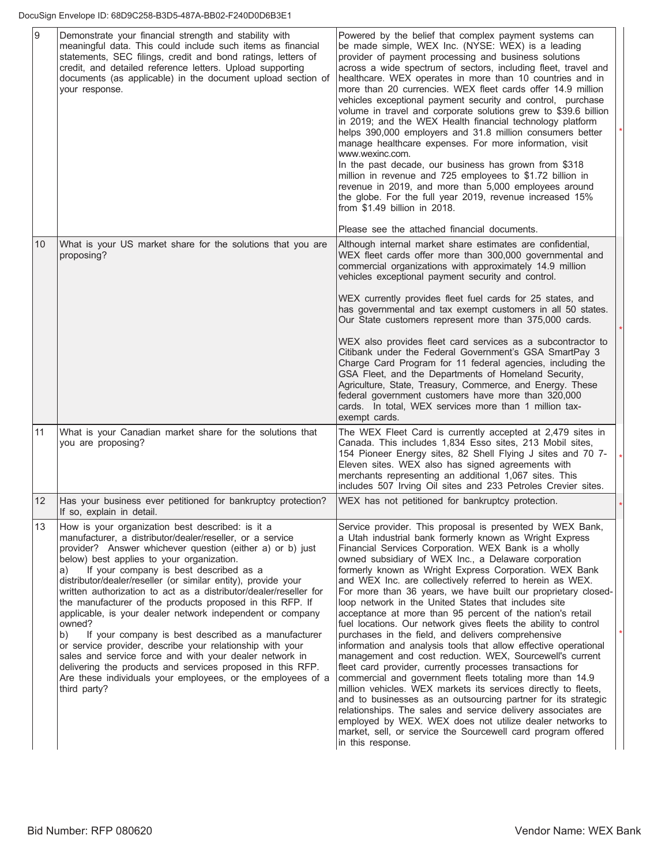| $\overline{9}$ | Demonstrate your financial strength and stability with<br>meaningful data. This could include such items as financial<br>statements, SEC filings, credit and bond ratings, letters of<br>credit, and detailed reference letters. Upload supporting<br>documents (as applicable) in the document upload section of<br>your response.                                                                                                                                                                                                                                                                                                                                                                                                                                                                                                                                                 | Powered by the belief that complex payment systems can<br>be made simple, WEX Inc. (NYSE: WEX) is a leading<br>provider of payment processing and business solutions<br>across a wide spectrum of sectors, including fleet, travel and<br>healthcare. WEX operates in more than 10 countries and in<br>more than 20 currencies. WEX fleet cards offer 14.9 million<br>vehicles exceptional payment security and control, purchase<br>volume in travel and corporate solutions grew to \$39.6 billion<br>in 2019; and the WEX Health financial technology platform<br>helps 390,000 employers and 31.8 million consumers better<br>manage healthcare expenses. For more information, visit<br>www.wexinc.com.<br>In the past decade, our business has grown from \$318<br>million in revenue and 725 employees to \$1.72 billion in<br>revenue in 2019, and more than 5,000 employees around<br>the globe. For the full year 2019, revenue increased 15%<br>from \$1.49 billion in 2018.<br>Please see the attached financial documents.                                                                                                                                                                                                                                               |  |
|----------------|-------------------------------------------------------------------------------------------------------------------------------------------------------------------------------------------------------------------------------------------------------------------------------------------------------------------------------------------------------------------------------------------------------------------------------------------------------------------------------------------------------------------------------------------------------------------------------------------------------------------------------------------------------------------------------------------------------------------------------------------------------------------------------------------------------------------------------------------------------------------------------------|---------------------------------------------------------------------------------------------------------------------------------------------------------------------------------------------------------------------------------------------------------------------------------------------------------------------------------------------------------------------------------------------------------------------------------------------------------------------------------------------------------------------------------------------------------------------------------------------------------------------------------------------------------------------------------------------------------------------------------------------------------------------------------------------------------------------------------------------------------------------------------------------------------------------------------------------------------------------------------------------------------------------------------------------------------------------------------------------------------------------------------------------------------------------------------------------------------------------------------------------------------------------------------------|--|
| 10             | What is your US market share for the solutions that you are<br>proposing?                                                                                                                                                                                                                                                                                                                                                                                                                                                                                                                                                                                                                                                                                                                                                                                                           | Although internal market share estimates are confidential,<br>WEX fleet cards offer more than 300,000 governmental and<br>commercial organizations with approximately 14.9 million<br>vehicles exceptional payment security and control.<br>WEX currently provides fleet fuel cards for 25 states, and<br>has governmental and tax exempt customers in all 50 states.<br>Our State customers represent more than 375,000 cards.<br>WEX also provides fleet card services as a subcontractor to<br>Citibank under the Federal Government's GSA SmartPay 3<br>Charge Card Program for 11 federal agencies, including the<br>GSA Fleet, and the Departments of Homeland Security,                                                                                                                                                                                                                                                                                                                                                                                                                                                                                                                                                                                                        |  |
| 11             | What is your Canadian market share for the solutions that                                                                                                                                                                                                                                                                                                                                                                                                                                                                                                                                                                                                                                                                                                                                                                                                                           | Agriculture, State, Treasury, Commerce, and Energy. These<br>federal government customers have more than 320,000<br>cards. In total, WEX services more than 1 million tax-<br>exempt cards.<br>The WEX Fleet Card is currently accepted at 2,479 sites in                                                                                                                                                                                                                                                                                                                                                                                                                                                                                                                                                                                                                                                                                                                                                                                                                                                                                                                                                                                                                             |  |
|                | you are proposing?                                                                                                                                                                                                                                                                                                                                                                                                                                                                                                                                                                                                                                                                                                                                                                                                                                                                  | Canada. This includes 1,834 Esso sites, 213 Mobil sites,<br>154 Pioneer Energy sites, 82 Shell Flying J sites and 70 7-<br>Eleven sites. WEX also has signed agreements with<br>merchants representing an additional 1,067 sites. This<br>includes 507 Irving Oil sites and 233 Petroles Crevier sites.                                                                                                                                                                                                                                                                                                                                                                                                                                                                                                                                                                                                                                                                                                                                                                                                                                                                                                                                                                               |  |
| 12             | Has your business ever petitioned for bankruptcy protection?<br>If so, explain in detail.                                                                                                                                                                                                                                                                                                                                                                                                                                                                                                                                                                                                                                                                                                                                                                                           | WEX has not petitioned for bankruptcy protection.                                                                                                                                                                                                                                                                                                                                                                                                                                                                                                                                                                                                                                                                                                                                                                                                                                                                                                                                                                                                                                                                                                                                                                                                                                     |  |
| 13             | How is your organization best described: is it a<br>manufacturer, a distributor/dealer/reseller, or a service<br>provider? Answer whichever question (either a) or b) just<br>below) best applies to your organization.<br>If your company is best described as a<br>a)<br>distributor/dealer/reseller (or similar entity), provide your<br>written authorization to act as a distributor/dealer/reseller for<br>the manufacturer of the products proposed in this RFP. If<br>applicable, is your dealer network independent or company<br>owned?<br>If your company is best described as a manufacturer<br>b)<br>or service provider, describe your relationship with your<br>sales and service force and with your dealer network in<br>delivering the products and services proposed in this RFP.<br>Are these individuals your employees, or the employees of a<br>third party? | Service provider. This proposal is presented by WEX Bank,<br>a Utah industrial bank formerly known as Wright Express<br>Financial Services Corporation. WEX Bank is a wholly<br>owned subsidiary of WEX Inc., a Delaware corporation<br>formerly known as Wright Express Corporation. WEX Bank<br>and WEX Inc. are collectively referred to herein as WEX.<br>For more than 36 years, we have built our proprietary closed-<br>loop network in the United States that includes site<br>acceptance at more than 95 percent of the nation's retail<br>fuel locations. Our network gives fleets the ability to control<br>purchases in the field, and delivers comprehensive<br>information and analysis tools that allow effective operational<br>management and cost reduction. WEX, Sourcewell's current<br>fleet card provider, currently processes transactions for<br>commercial and government fleets totaling more than 14.9<br>million vehicles. WEX markets its services directly to fleets,<br>and to businesses as an outsourcing partner for its strategic<br>relationships. The sales and service delivery associates are<br>employed by WEX. WEX does not utilize dealer networks to<br>market, sell, or service the Sourcewell card program offered<br>in this response. |  |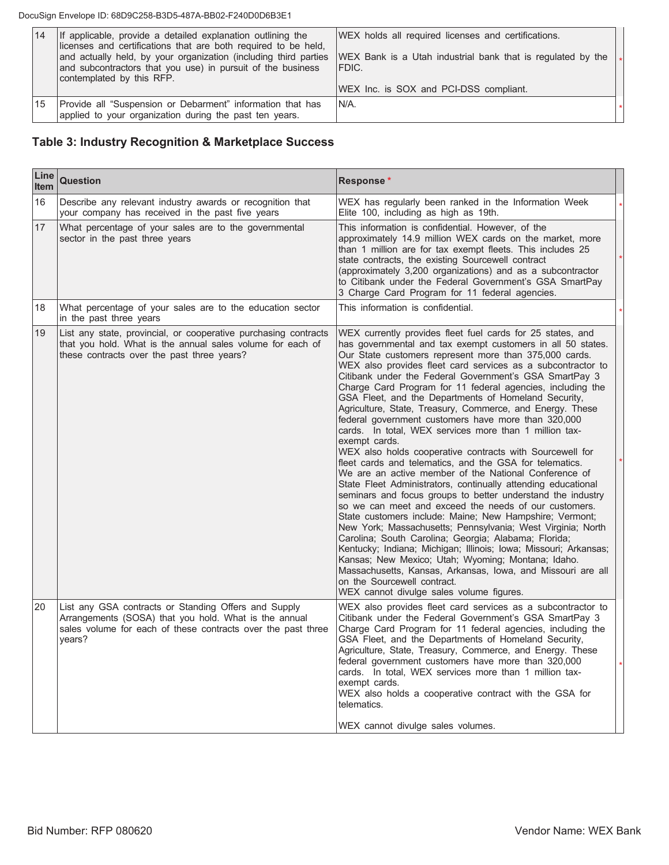### DocuSign Envelope ID: 68D9C258-B3D5-487A-BB02-F240D0D6B3E1

| 14 | If applicable, provide a detailed explanation outlining the<br>licenses and certifications that are both required to be held,<br>and actually held, by your organization (including third parties<br>and subcontractors that you use) in pursuit of the business<br>contemplated by this RFP. | WEX holds all required licenses and certifications.<br>WEX Bank is a Utah industrial bank that is regulated by the<br>IFDIC.<br>WEX Inc. is SOX and PCI-DSS compliant. |  |
|----|-----------------------------------------------------------------------------------------------------------------------------------------------------------------------------------------------------------------------------------------------------------------------------------------------|------------------------------------------------------------------------------------------------------------------------------------------------------------------------|--|
| 15 | Provide all "Suspension or Debarment" information that has<br>applied to your organization during the past ten years.                                                                                                                                                                         | IN/A.                                                                                                                                                                  |  |

# Table 3: Industry Recognition & Marketplace Success

| Line<br><b>Item</b> | <b>Question</b>                                                                                                                                                                         | Response*                                                                                                                                                                                                                                                                                                                                                                                                                                                                                                                                                                                                                                                                                                                                                                                                                                                                                                                                                                                                                                                                                                                                                                                                                                                                                                                                                                                                                                                        |  |
|---------------------|-----------------------------------------------------------------------------------------------------------------------------------------------------------------------------------------|------------------------------------------------------------------------------------------------------------------------------------------------------------------------------------------------------------------------------------------------------------------------------------------------------------------------------------------------------------------------------------------------------------------------------------------------------------------------------------------------------------------------------------------------------------------------------------------------------------------------------------------------------------------------------------------------------------------------------------------------------------------------------------------------------------------------------------------------------------------------------------------------------------------------------------------------------------------------------------------------------------------------------------------------------------------------------------------------------------------------------------------------------------------------------------------------------------------------------------------------------------------------------------------------------------------------------------------------------------------------------------------------------------------------------------------------------------------|--|
| 16                  | Describe any relevant industry awards or recognition that<br>your company has received in the past five years                                                                           | WEX has regularly been ranked in the Information Week<br>Elite 100, including as high as 19th.                                                                                                                                                                                                                                                                                                                                                                                                                                                                                                                                                                                                                                                                                                                                                                                                                                                                                                                                                                                                                                                                                                                                                                                                                                                                                                                                                                   |  |
| 17                  | What percentage of your sales are to the governmental<br>sector in the past three years                                                                                                 | This information is confidential. However, of the<br>approximately 14.9 million WEX cards on the market, more<br>than 1 million are for tax exempt fleets. This includes 25<br>state contracts, the existing Sourcewell contract<br>(approximately 3,200 organizations) and as a subcontractor<br>to Citibank under the Federal Government's GSA SmartPay<br>3 Charge Card Program for 11 federal agencies.                                                                                                                                                                                                                                                                                                                                                                                                                                                                                                                                                                                                                                                                                                                                                                                                                                                                                                                                                                                                                                                      |  |
| 18                  | What percentage of your sales are to the education sector<br>in the past three years                                                                                                    | This information is confidential.                                                                                                                                                                                                                                                                                                                                                                                                                                                                                                                                                                                                                                                                                                                                                                                                                                                                                                                                                                                                                                                                                                                                                                                                                                                                                                                                                                                                                                |  |
| 19                  | List any state, provincial, or cooperative purchasing contracts<br>that you hold. What is the annual sales volume for each of<br>these contracts over the past three years?             | WEX currently provides fleet fuel cards for 25 states, and<br>has governmental and tax exempt customers in all 50 states.<br>Our State customers represent more than 375,000 cards.<br>WEX also provides fleet card services as a subcontractor to<br>Citibank under the Federal Government's GSA SmartPay 3<br>Charge Card Program for 11 federal agencies, including the<br>GSA Fleet, and the Departments of Homeland Security,<br>Agriculture, State, Treasury, Commerce, and Energy. These<br>federal government customers have more than 320,000<br>cards. In total, WEX services more than 1 million tax-<br>exempt cards.<br>WEX also holds cooperative contracts with Sourcewell for<br>fleet cards and telematics, and the GSA for telematics.<br>We are an active member of the National Conference of<br>State Fleet Administrators, continually attending educational<br>seminars and focus groups to better understand the industry<br>so we can meet and exceed the needs of our customers.<br>State customers include: Maine; New Hampshire; Vermont;<br>New York; Massachusetts; Pennsylvania; West Virginia; North<br>Carolina; South Carolina; Georgia; Alabama; Florida;<br>Kentucky; Indiana; Michigan; Illinois; Iowa; Missouri; Arkansas;<br>Kansas; New Mexico; Utah; Wyoming; Montana; Idaho.<br>Massachusetts, Kansas, Arkansas, Iowa, and Missouri are all<br>on the Sourcewell contract.<br>WEX cannot divulge sales volume figures. |  |
| 20                  | List any GSA contracts or Standing Offers and Supply<br>Arrangements (SOSA) that you hold. What is the annual<br>sales volume for each of these contracts over the past three<br>years? | WEX also provides fleet card services as a subcontractor to<br>Citibank under the Federal Government's GSA SmartPay 3<br>Charge Card Program for 11 federal agencies, including the<br>GSA Fleet, and the Departments of Homeland Security,<br>Agriculture, State, Treasury, Commerce, and Energy. These<br>federal government customers have more than 320,000<br>cards. In total, WEX services more than 1 million tax-<br>exempt cards.<br>WEX also holds a cooperative contract with the GSA for<br>telematics.<br>WEX cannot divulge sales volumes.                                                                                                                                                                                                                                                                                                                                                                                                                                                                                                                                                                                                                                                                                                                                                                                                                                                                                                         |  |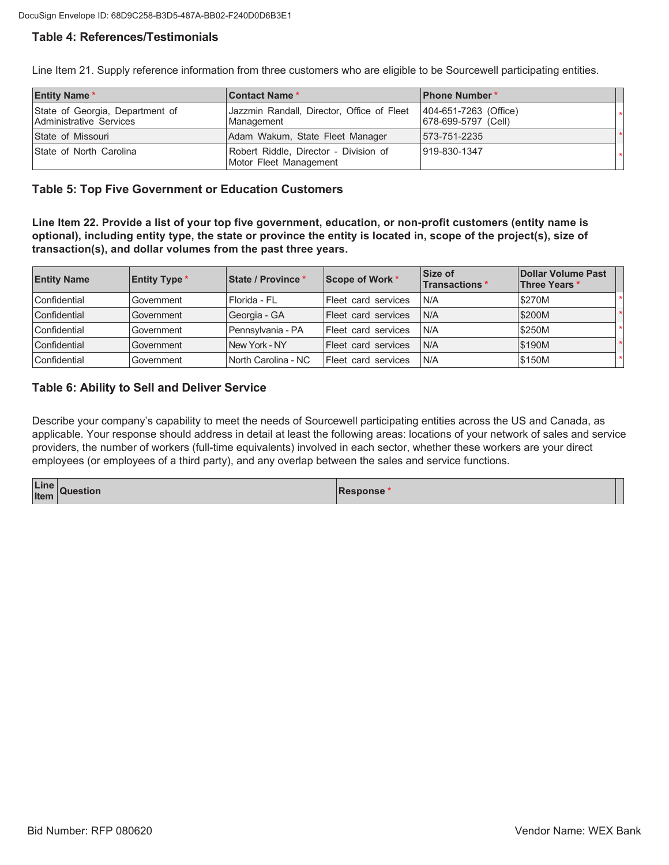# **Table 4: References/Testimonials**

Line Item 21. Supply reference information from three customers who are eligible to be Sourcewell participating entities.

| <b>Entity Name*</b>                                        | <b>Contact Name *</b>                                           | <b>Phone Number*</b>                         |  |
|------------------------------------------------------------|-----------------------------------------------------------------|----------------------------------------------|--|
| State of Georgia, Department of<br>Administrative Services | Jazzmin Randall, Director, Office of Fleet<br>Management        | 404-651-7263 (Office)<br>678-699-5797 (Cell) |  |
| State of Missouri                                          | Adam Wakum, State Fleet Manager                                 | 573-751-2235                                 |  |
| State of North Carolina                                    | Robert Riddle, Director - Division of<br>Motor Fleet Management | 919-830-1347                                 |  |

## **Table 5: Top Five Government or Education Customers**

Line Item 22. Provide a list of your top five government, education, or non-profit customers (entity name is optional), including entity type, the state or province the entity is located in, scope of the project(s), size of transaction(s), and dollar volumes from the past three years.

| <b>Entity Name</b> | <b>Entity Type *</b> | State / Province *  | Scope of Work *            | Size of<br><b>Transactions</b> * | Dollar Volume Past<br>Three Years * |  |
|--------------------|----------------------|---------------------|----------------------------|----------------------------------|-------------------------------------|--|
| Confidential       | Government           | l Florida - Fl      | Fleet card services        | N/A                              | \$270M                              |  |
| Confidential       | Government           | Georgia - GA        | <b>Fleet card services</b> | <b>N/A</b>                       | \$200M                              |  |
| Confidential       | Government           | Pennsvlvania - PA   | Fleet card services        | N/A                              | \$250M                              |  |
| Confidential       | Government           | New York - NY       | Fleet card services        | N/A                              | \$190M                              |  |
| Confidential       | Government           | North Carolina - NC | Fleet card services        | N/A                              | \$150M                              |  |

## **Table 6: Ability to Sell and Deliver Service**

Describe your company's capability to meet the needs of Sourcewell participating entities across the US and Canada, as applicable. Your response should address in detail at least the following areas: locations of your network of sales and service providers, the number of workers (full-time equivalents) involved in each sector, whether these workers are your direct employees (or employees of a third party), and any overlap between the sales and service functions.

| Line<br>Item<br>Question | Response* |  |
|--------------------------|-----------|--|
|                          |           |  |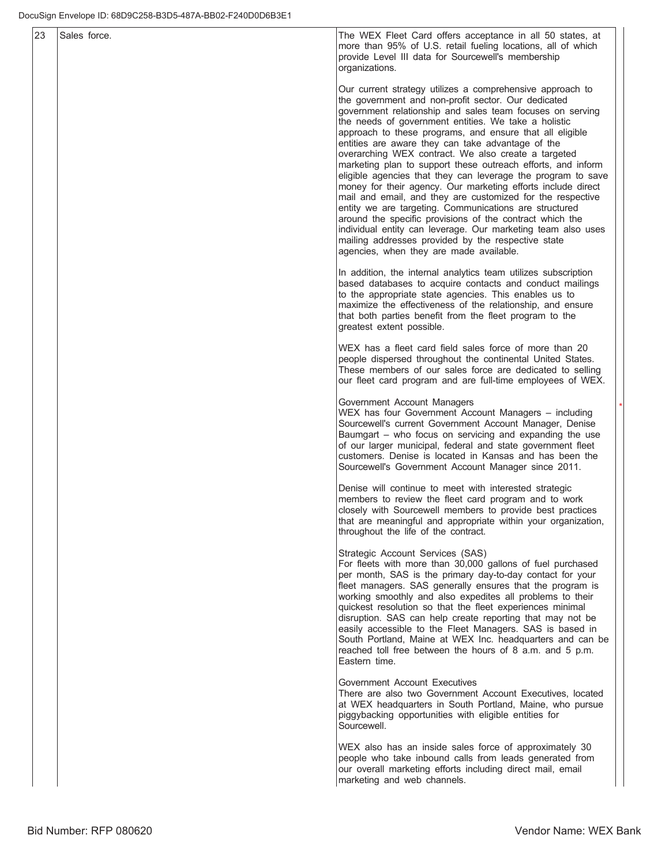| 23 | Sales force. | The WEX Fleet Card offers acceptance in all 50 states, at<br>more than 95% of U.S. retail fueling locations, all of which<br>provide Level III data for Sourcewell's membership<br>organizations.                                                                                                                                                                                                                                                                                                                                                                                                                                                                                                                                                                                                                                                                                                                                                                  |
|----|--------------|--------------------------------------------------------------------------------------------------------------------------------------------------------------------------------------------------------------------------------------------------------------------------------------------------------------------------------------------------------------------------------------------------------------------------------------------------------------------------------------------------------------------------------------------------------------------------------------------------------------------------------------------------------------------------------------------------------------------------------------------------------------------------------------------------------------------------------------------------------------------------------------------------------------------------------------------------------------------|
|    |              | Our current strategy utilizes a comprehensive approach to<br>the government and non-profit sector. Our dedicated<br>government relationship and sales team focuses on serving<br>the needs of government entities. We take a holistic<br>approach to these programs, and ensure that all eligible<br>entities are aware they can take advantage of the<br>overarching WEX contract. We also create a targeted<br>marketing plan to support these outreach efforts, and inform<br>eligible agencies that they can leverage the program to save<br>money for their agency. Our marketing efforts include direct<br>mail and email, and they are customized for the respective<br>entity we are targeting. Communications are structured<br>around the specific provisions of the contract which the<br>individual entity can leverage. Our marketing team also uses<br>mailing addresses provided by the respective state<br>agencies, when they are made available. |
|    |              | In addition, the internal analytics team utilizes subscription<br>based databases to acquire contacts and conduct mailings<br>to the appropriate state agencies. This enables us to<br>maximize the effectiveness of the relationship, and ensure<br>that both parties benefit from the fleet program to the<br>greatest extent possible.                                                                                                                                                                                                                                                                                                                                                                                                                                                                                                                                                                                                                          |
|    |              | WEX has a fleet card field sales force of more than 20<br>people dispersed throughout the continental United States.<br>These members of our sales force are dedicated to selling<br>our fleet card program and are full-time employees of WEX.                                                                                                                                                                                                                                                                                                                                                                                                                                                                                                                                                                                                                                                                                                                    |
|    |              | Government Account Managers<br>WEX has four Government Account Managers - including<br>Sourcewell's current Government Account Manager, Denise<br>Baumgart - who focus on servicing and expanding the use<br>of our larger municipal, federal and state government fleet<br>customers. Denise is located in Kansas and has been the<br>Sourcewell's Government Account Manager since 2011.                                                                                                                                                                                                                                                                                                                                                                                                                                                                                                                                                                         |
|    |              | Denise will continue to meet with interested strategic<br>members to review the fleet card program and to work<br>closely with Sourcewell members to provide best practices<br>that are meaningful and appropriate within your organization,<br>throughout the life of the contract.                                                                                                                                                                                                                                                                                                                                                                                                                                                                                                                                                                                                                                                                               |
|    |              | Strategic Account Services (SAS)<br>For fleets with more than 30,000 gallons of fuel purchased<br>per month, SAS is the primary day-to-day contact for your<br>fleet managers. SAS generally ensures that the program is<br>working smoothly and also expedites all problems to their<br>quickest resolution so that the fleet experiences minimal<br>disruption. SAS can help create reporting that may not be<br>easily accessible to the Fleet Managers. SAS is based in<br>South Portland, Maine at WEX Inc. headquarters and can be<br>reached toll free between the hours of 8 a.m. and 5 p.m.<br>Eastern time.                                                                                                                                                                                                                                                                                                                                              |
|    |              | Government Account Executives<br>There are also two Government Account Executives, located<br>at WEX headquarters in South Portland, Maine, who pursue<br>piggybacking opportunities with eligible entities for<br>Sourcewell.                                                                                                                                                                                                                                                                                                                                                                                                                                                                                                                                                                                                                                                                                                                                     |
|    |              | WEX also has an inside sales force of approximately 30<br>people who take inbound calls from leads generated from<br>our overall marketing efforts including direct mail, email<br>marketing and web channels.                                                                                                                                                                                                                                                                                                                                                                                                                                                                                                                                                                                                                                                                                                                                                     |

 $\overline{\phantom{a}}$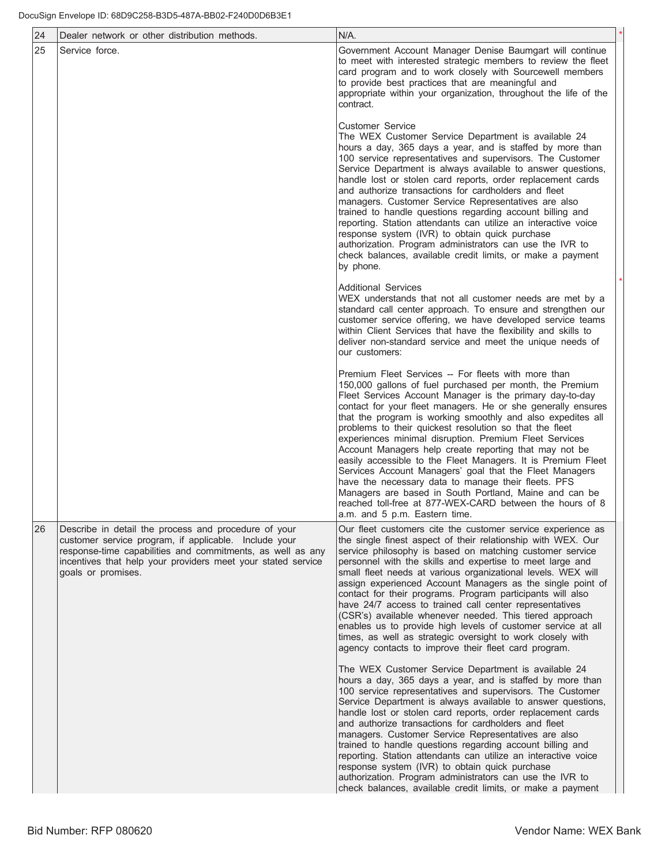| 24 | Dealer network or other distribution methods.                                                                                                                                                                                                                     | $N/A$ .                                                                                                                                                                                                                                                                                                                                                                                                                                                                                                                                                                                                                                                                                                                                                                                                                            |  |
|----|-------------------------------------------------------------------------------------------------------------------------------------------------------------------------------------------------------------------------------------------------------------------|------------------------------------------------------------------------------------------------------------------------------------------------------------------------------------------------------------------------------------------------------------------------------------------------------------------------------------------------------------------------------------------------------------------------------------------------------------------------------------------------------------------------------------------------------------------------------------------------------------------------------------------------------------------------------------------------------------------------------------------------------------------------------------------------------------------------------------|--|
| 25 | Service force.                                                                                                                                                                                                                                                    | Government Account Manager Denise Baumgart will continue<br>to meet with interested strategic members to review the fleet<br>card program and to work closely with Sourcewell members<br>to provide best practices that are meaningful and<br>appropriate within your organization, throughout the life of the<br>contract.                                                                                                                                                                                                                                                                                                                                                                                                                                                                                                        |  |
|    |                                                                                                                                                                                                                                                                   | Customer Service<br>The WEX Customer Service Department is available 24<br>hours a day, 365 days a year, and is staffed by more than<br>100 service representatives and supervisors. The Customer<br>Service Department is always available to answer questions,<br>handle lost or stolen card reports, order replacement cards<br>and authorize transactions for cardholders and fleet<br>managers. Customer Service Representatives are also<br>trained to handle questions regarding account billing and<br>reporting. Station attendants can utilize an interactive voice<br>response system (IVR) to obtain quick purchase<br>authorization. Program administrators can use the IVR to<br>check balances, available credit limits, or make a payment<br>by phone.                                                             |  |
|    |                                                                                                                                                                                                                                                                   | Additional Services<br>WEX understands that not all customer needs are met by a<br>standard call center approach. To ensure and strengthen our<br>customer service offering, we have developed service teams<br>within Client Services that have the flexibility and skills to<br>deliver non-standard service and meet the unique needs of<br>our customers:                                                                                                                                                                                                                                                                                                                                                                                                                                                                      |  |
|    |                                                                                                                                                                                                                                                                   | Premium Fleet Services -- For fleets with more than<br>150,000 gallons of fuel purchased per month, the Premium<br>Fleet Services Account Manager is the primary day-to-day<br>contact for your fleet managers. He or she generally ensures<br>that the program is working smoothly and also expedites all<br>problems to their quickest resolution so that the fleet<br>experiences minimal disruption. Premium Fleet Services<br>Account Managers help create reporting that may not be<br>easily accessible to the Fleet Managers. It is Premium Fleet<br>Services Account Managers' goal that the Fleet Managers<br>have the necessary data to manage their fleets. PFS<br>Managers are based in South Portland, Maine and can be<br>reached toll-free at 877-WEX-CARD between the hours of 8<br>a.m. and 5 p.m. Eastern time. |  |
| 26 | Describe in detail the process and procedure of your<br>customer service program, if applicable. Include your<br>response-time capabilities and commitments, as well as any<br>incentives that help your providers meet your stated service<br>goals or promises. | Our fleet customers cite the customer service experience as<br>the single finest aspect of their relationship with WEX. Our<br>service philosophy is based on matching customer service<br>personnel with the skills and expertise to meet large and<br>small fleet needs at various organizational levels. WEX will<br>assign experienced Account Managers as the single point of<br>contact for their programs. Program participants will also<br>have 24/7 access to trained call center representatives<br>(CSR's) available whenever needed. This tiered approach<br>enables us to provide high levels of customer service at all<br>times, as well as strategic oversight to work closely with<br>agency contacts to improve their fleet card program.                                                                       |  |
|    |                                                                                                                                                                                                                                                                   | The WEX Customer Service Department is available 24<br>hours a day, 365 days a year, and is staffed by more than<br>100 service representatives and supervisors. The Customer<br>Service Department is always available to answer questions,<br>handle lost or stolen card reports, order replacement cards<br>and authorize transactions for cardholders and fleet<br>managers. Customer Service Representatives are also<br>trained to handle questions regarding account billing and<br>reporting. Station attendants can utilize an interactive voice<br>response system (IVR) to obtain quick purchase<br>authorization. Program administrators can use the IVR to<br>check balances, available credit limits, or make a payment                                                                                              |  |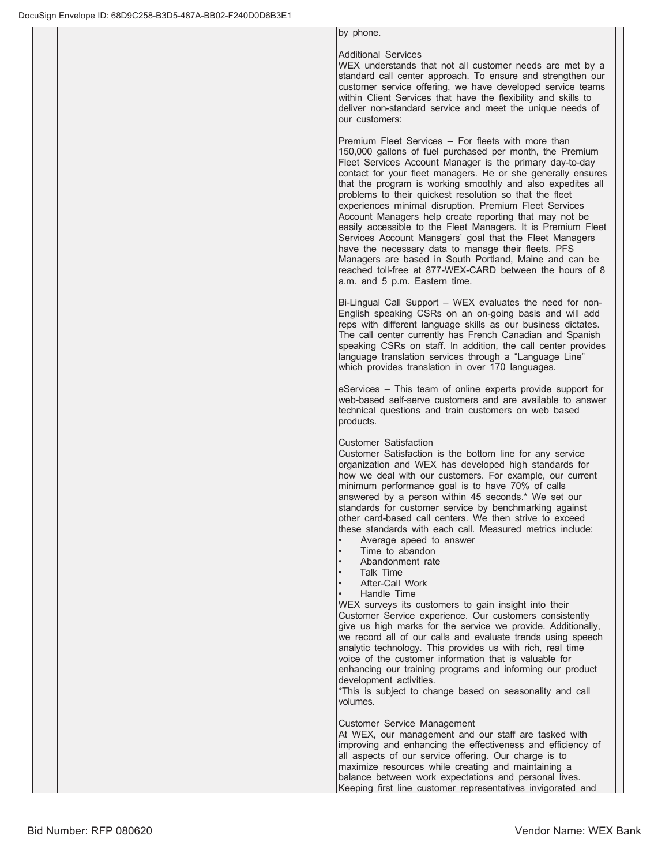by phone.

## Additional Services

WEX understands that not all customer needs are met by a standard call center approach. To ensure and strengthen our customer service offering, we have developed service teams within Client Services that have the flexibility and skills to deliver non-standard service and meet the unique needs of our customers:

Premium Fleet Services -- For fleets with more than 150,000 gallons of fuel purchased per month, the Premium Fleet Services Account Manager is the primary day-to-day contact for your fleet managers. He or she generally ensures that the program is working smoothly and also expedites all problems to their quickest resolution so that the fleet experiences minimal disruption. Premium Fleet Services Account Managers help create reporting that may not be easily accessible to the Fleet Managers. It is Premium Fleet Services Account Managers' goal that the Fleet Managers have the necessary data to manage their fleets. PFS Managers are based in South Portland, Maine and can be reached toll-free at 877-WEX-CARD between the hours of 8 a.m. and 5 p.m. Eastern time.

Bi-Lingual Call Support – WEX evaluates the need for non-English speaking CSRs on an on-going basis and will add reps with different language skills as our business dictates. The call center currently has French Canadian and Spanish speaking CSRs on staff. In addition, the call center provides language translation services through a "Language Line" which provides translation in over 170 languages.

eServices - This team of online experts provide support for web-based self-serve customers and are available to answer technical questions and train customers on web based products.

### Customer Satisfaction

Customer Satisfaction is the bottom line for any service organization and WEX has developed high standards for how we deal with our customers. For example, our current minimum performance goal is to have 70% of calls answered by a person within 45 seconds.\* We set our standards for customer service by benchmarking against other card-based call centers. We then strive to exceed these standards with each call. Measured metrics include:

- Average speed to answer
- Time to abandon
- Abandonment rate
- Talk Time
- After-Call Work
- Handle Time

WEX surveys its customers to gain insight into their Customer Service experience. Our customers consistently give us high marks for the service we provide. Additionally, we record all of our calls and evaluate trends using speech analytic technology. This provides us with rich, real time voice of the customer information that is valuable for enhancing our training programs and informing our product development activities.

\*This is subject to change based on seasonality and call volumes.

### Customer Service Management

At WEX, our management and our staff are tasked with improving and enhancing the effectiveness and efficiency of all aspects of our service offering. Our charge is to maximize resources while creating and maintaining a balance between work expectations and personal lives. Keeping first line customer representatives invigorated and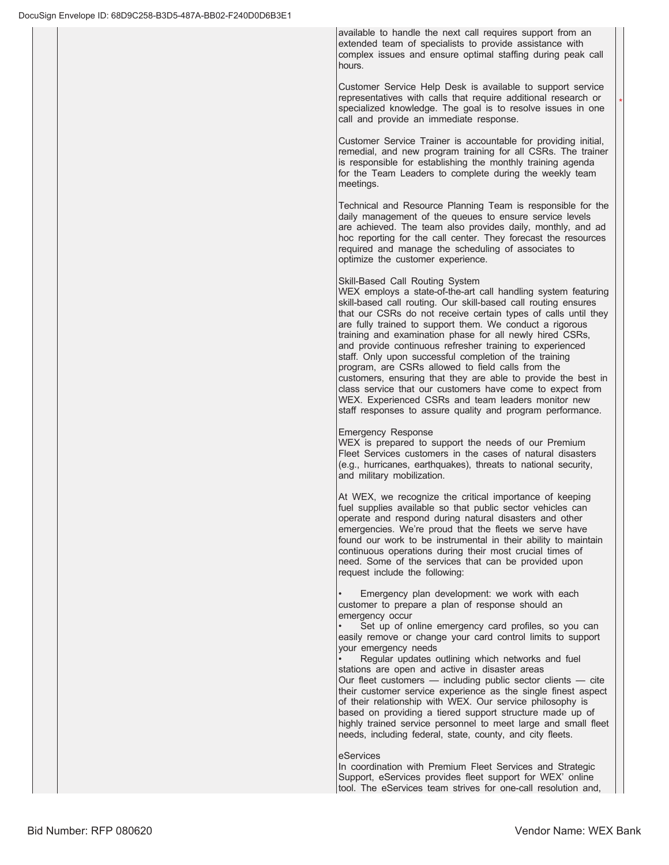available to handle the next call requires support from an extended team of specialists to provide assistance with complex issues and ensure optimal staffing during peak call hours.

Customer Service Help Desk is available to support service representatives with calls that require additional research or specialized knowledge. The goal is to resolve issues in one call and provide an immediate response.

 $\overline{\phantom{a}}$ 

Customer Service Trainer is accountable for providing initial, remedial, and new program training for all CSRs. The trainer is responsible for establishing the monthly training agenda for the Team Leaders to complete during the weekly team meetings.

Technical and Resource Planning Team is responsible for the daily management of the queues to ensure service levels are achieved. The team also provides daily, monthly, and ad hoc reporting for the call center. They forecast the resources required and manage the scheduling of associates to optimize the customer experience.

## Skill-Based Call Routing System

WEX employs a state-of-the-art call handling system featuring skill-based call routing. Our skill-based call routing ensures that our CSRs do not receive certain types of calls until they are fully trained to support them. We conduct a rigorous training and examination phase for all newly hired CSRs, and provide continuous refresher training to experienced staff. Only upon successful completion of the training program, are CSRs allowed to field calls from the customers, ensuring that they are able to provide the best in class service that our customers have come to expect from WEX. Experienced CSRs and team leaders monitor new staff responses to assure quality and program performance.

### Emergency Response

WEX is prepared to support the needs of our Premium Fleet Services customers in the cases of natural disasters (e.g., hurricanes, earthquakes), threats to national security, and military mobilization.

At WEX, we recognize the critical importance of keeping fuel supplies available so that public sector vehicles can operate and respond during natural disasters and other emergencies. We're proud that the fleets we serve have found our work to be instrumental in their ability to maintain continuous operations during their most crucial times of need. Some of the services that can be provided upon request include the following:

Emergency plan development: we work with each customer to prepare a plan of response should an emergency occur

Set up of online emergency card profiles, so you can easily remove or change your card control limits to support your emergency needs

Regular updates outlining which networks and fuel stations are open and active in disaster areas

Our fleet customers  $-$  including public sector clients  $-$  cite their customer service experience as the single finest aspect of their relationship with WEX. Our service philosophy is based on providing a tiered support structure made up of highly trained service personnel to meet large and small fleet needs, including federal, state, county, and city fleets.

### eServices

In coordination with Premium Fleet Services and Strategic Support, eServices provides fleet support for WEX' online tool. The eServices team strives for one-call resolution and,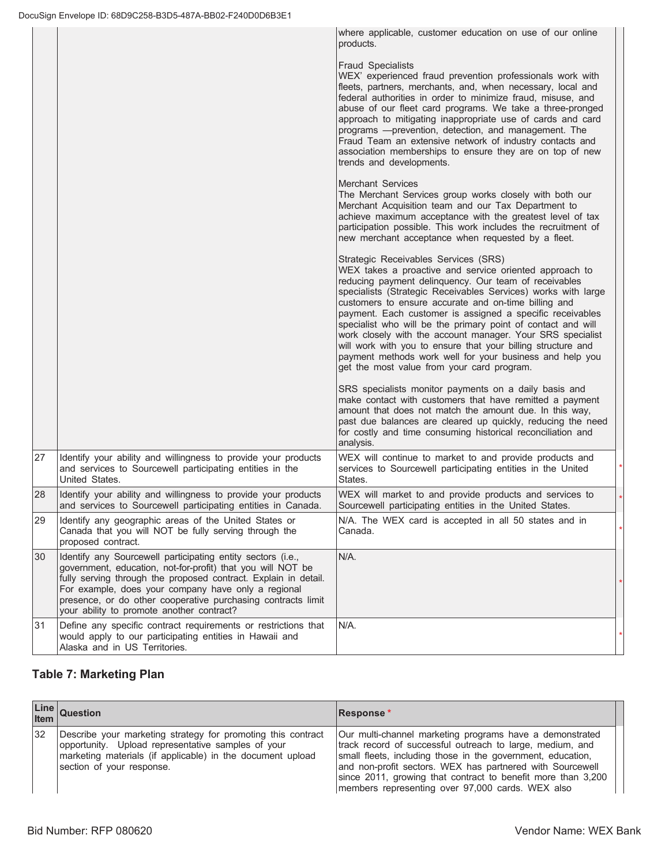|    |                                                                                                                                                                                                                                                                                                                                                                   | where applicable, customer education on use of our online<br>products.                                                                                                                                                                                                                                                                                                                                                                                                                                                                                                                                                                                |  |
|----|-------------------------------------------------------------------------------------------------------------------------------------------------------------------------------------------------------------------------------------------------------------------------------------------------------------------------------------------------------------------|-------------------------------------------------------------------------------------------------------------------------------------------------------------------------------------------------------------------------------------------------------------------------------------------------------------------------------------------------------------------------------------------------------------------------------------------------------------------------------------------------------------------------------------------------------------------------------------------------------------------------------------------------------|--|
|    |                                                                                                                                                                                                                                                                                                                                                                   | <b>Fraud Specialists</b><br>WEX' experienced fraud prevention professionals work with<br>fleets, partners, merchants, and, when necessary, local and<br>federal authorities in order to minimize fraud, misuse, and<br>abuse of our fleet card programs. We take a three-pronged<br>approach to mitigating inappropriate use of cards and card<br>programs - prevention, detection, and management. The<br>Fraud Team an extensive network of industry contacts and<br>association memberships to ensure they are on top of new<br>trends and developments.                                                                                           |  |
|    |                                                                                                                                                                                                                                                                                                                                                                   | <b>Merchant Services</b><br>The Merchant Services group works closely with both our<br>Merchant Acquisition team and our Tax Department to<br>achieve maximum acceptance with the greatest level of tax<br>participation possible. This work includes the recruitment of<br>new merchant acceptance when requested by a fleet.                                                                                                                                                                                                                                                                                                                        |  |
|    |                                                                                                                                                                                                                                                                                                                                                                   | Strategic Receivables Services (SRS)<br>WEX takes a proactive and service oriented approach to<br>reducing payment delinquency. Our team of receivables<br>specialists (Strategic Receivables Services) works with large<br>customers to ensure accurate and on-time billing and<br>payment. Each customer is assigned a specific receivables<br>specialist who will be the primary point of contact and will<br>work closely with the account manager. Your SRS specialist<br>will work with you to ensure that your billing structure and<br>payment methods work well for your business and help you<br>get the most value from your card program. |  |
|    |                                                                                                                                                                                                                                                                                                                                                                   | SRS specialists monitor payments on a daily basis and<br>make contact with customers that have remitted a payment<br>amount that does not match the amount due. In this way,<br>past due balances are cleared up quickly, reducing the need<br>for costly and time consuming historical reconciliation and<br>analysis.                                                                                                                                                                                                                                                                                                                               |  |
| 27 | Identify your ability and willingness to provide your products<br>and services to Sourcewell participating entities in the<br>United States.                                                                                                                                                                                                                      | WEX will continue to market to and provide products and<br>services to Sourcewell participating entities in the United<br>States.                                                                                                                                                                                                                                                                                                                                                                                                                                                                                                                     |  |
| 28 | Identify your ability and willingness to provide your products<br>and services to Sourcewell participating entities in Canada.                                                                                                                                                                                                                                    | WEX will market to and provide products and services to<br>Sourcewell participating entities in the United States.                                                                                                                                                                                                                                                                                                                                                                                                                                                                                                                                    |  |
| 29 | Identify any geographic areas of the United States or<br>Canada that you will NOT be fully serving through the<br>proposed contract.                                                                                                                                                                                                                              | N/A. The WEX card is accepted in all 50 states and in<br>Canada.                                                                                                                                                                                                                                                                                                                                                                                                                                                                                                                                                                                      |  |
| 30 | Identify any Sourcewell participating entity sectors (i.e.,<br>government, education, not-for-profit) that you will NOT be<br>fully serving through the proposed contract. Explain in detail.<br>For example, does your company have only a regional<br>presence, or do other cooperative purchasing contracts limit<br>your ability to promote another contract? | N/A.                                                                                                                                                                                                                                                                                                                                                                                                                                                                                                                                                                                                                                                  |  |
| 31 | Define any specific contract requirements or restrictions that<br>would apply to our participating entities in Hawaii and<br>Alaska and in US Territories.                                                                                                                                                                                                        | N/A.                                                                                                                                                                                                                                                                                                                                                                                                                                                                                                                                                                                                                                                  |  |

# **Table 7: Marketing Plan**

|    | Line Question                                                                                                                                                                                                 | Response*                                                                                                                                                                                                                                                                                                                                                             |
|----|---------------------------------------------------------------------------------------------------------------------------------------------------------------------------------------------------------------|-----------------------------------------------------------------------------------------------------------------------------------------------------------------------------------------------------------------------------------------------------------------------------------------------------------------------------------------------------------------------|
| 32 | Describe your marketing strategy for promoting this contract<br>opportunity. Upload representative samples of your<br>marketing materials (if applicable) in the document upload<br>section of your response. | Our multi-channel marketing programs have a demonstrated<br>track record of successful outreach to large, medium, and<br>small fleets, including those in the government, education,<br>and non-profit sectors. WEX has partnered with Sourcewell<br>since 2011, growing that contract to benefit more than 3,200<br>members representing over 97,000 cards. WEX also |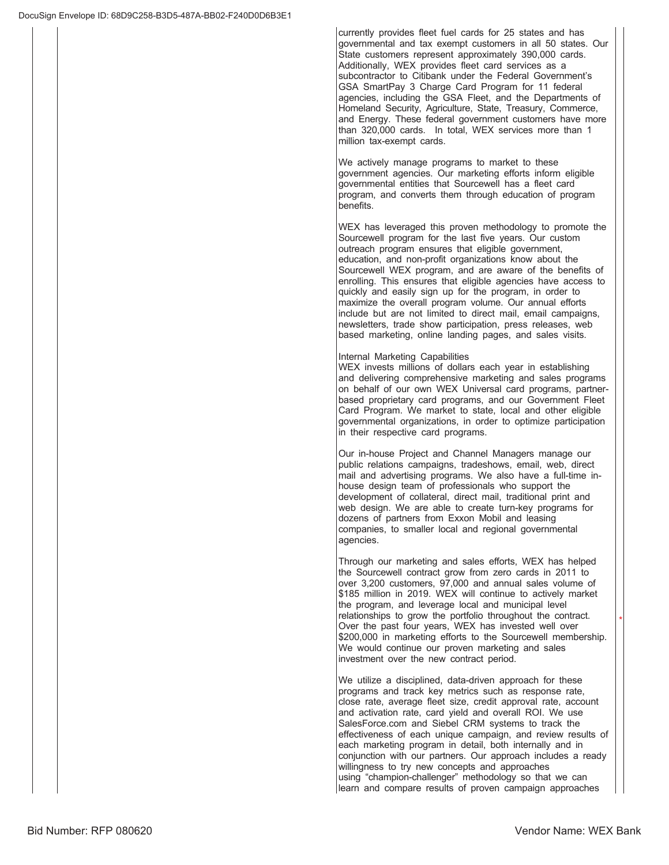currently provides fleet fuel cards for 25 states and has governmental and tax exempt customers in all 50 states. Our State customers represent approximately 390,000 cards. Additionally, WEX provides fleet card services as a subcontractor to Citibank under the Federal Government's GSA SmartPay 3 Charge Card Program for 11 federal agencies, including the GSA Fleet, and the Departments of Homeland Security, Agriculture, State, Treasury, Commerce, and Energy. These federal government customers have more than 320,000 cards. In total, WEX services more than 1 million tax-exempt cards.

We actively manage programs to market to these government agencies. Our marketing efforts inform eligible governmental entities that Sourcewell has a fleet card program, and converts them through education of program benefits.

WEX has leveraged this proven methodology to promote the Sourcewell program for the last five years. Our custom outreach program ensures that eligible government, education, and non-profit organizations know about the Sourcewell WEX program, and are aware of the benefits of enrolling. This ensures that eligible agencies have access to quickly and easily sign up for the program, in order to maximize the overall program volume. Our annual efforts include but are not limited to direct mail, email campaigns, newsletters, trade show participation, press releases, web based marketing, online landing pages, and sales visits.

### Internal Marketing Capabilities

WEX invests millions of dollars each year in establishing and delivering comprehensive marketing and sales programs on behalf of our own WEX Universal card programs, partnerbased proprietary card programs, and our Government Fleet Card Program. We market to state, local and other eligible governmental organizations, in order to optimize participation in their respective card programs.

Our in-house Project and Channel Managers manage our public relations campaigns, tradeshows, email, web, direct mail and advertising programs. We also have a full-time inhouse design team of professionals who support the development of collateral, direct mail, traditional print and web design. We are able to create turn-key programs for dozens of partners from Exxon Mobil and leasing companies, to smaller local and regional governmental agencies.

Through our marketing and sales efforts, WEX has helped the Sourcewell contract grow from zero cards in 2011 to over  $3,200$  customers,  $97,000$  and annual sales volume of \$185 million in 2019. WEX will continue to actively market the program, and leverage local and municipal level relationships to grow the portfolio throughout the contract. Over the past four years, WEX has invested well over \$200,000 in marketing efforts to the Sourcewell membership. We would continue our proven marketing and sales investment over the new contract period.

We utilize a disciplined, data-driven approach for these programs and track key metrics such as response rate, close rate, average fleet size, credit approval rate, account and activation rate, card yield and overall ROI. We use SalesForce.com and Siebel CRM systems to track the effectiveness of each unique campaign, and review results of each marketing program in detail, both internally and in conjunction with our partners. Our approach includes a ready willingness to try new concepts and approaches using "champion-challenger" methodology so that we can learn and compare results of proven campaign approaches

 $\overline{\phantom{a}}$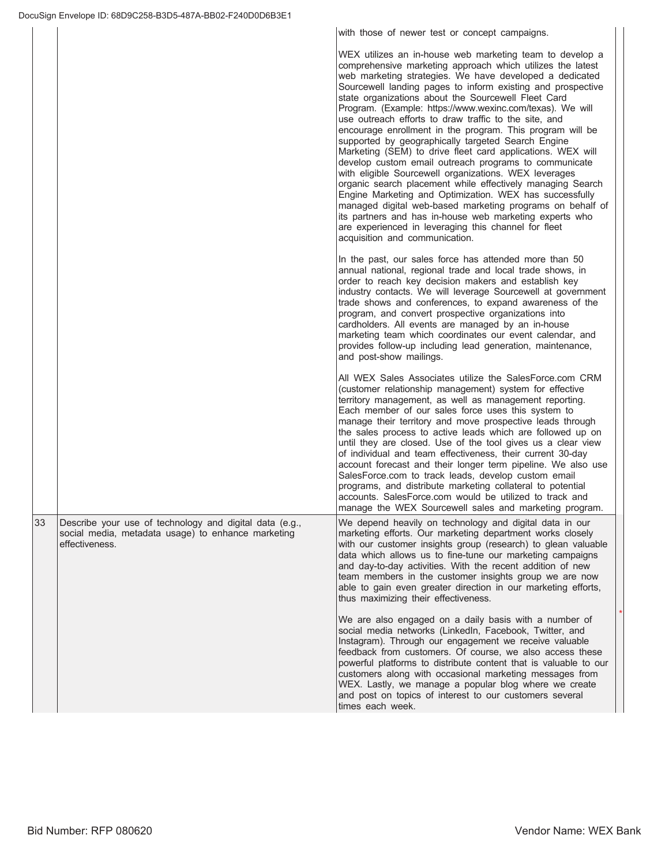with those of newer test or concept campaigns.

|    |                                                                                                                                 | WEX utilizes an in-house web marketing team to develop a<br>comprehensive marketing approach which utilizes the latest<br>web marketing strategies. We have developed a dedicated<br>Sourcewell landing pages to inform existing and prospective<br>state organizations about the Sourcewell Fleet Card<br>Program. (Example: https://www.wexinc.com/texas). We will<br>use outreach efforts to draw traffic to the site, and<br>encourage enrollment in the program. This program will be<br>supported by geographically targeted Search Engine<br>Marketing (SEM) to drive fleet card applications. WEX will<br>develop custom email outreach programs to communicate<br>with eligible Sourcewell organizations. WEX leverages<br>organic search placement while effectively managing Search<br>Engine Marketing and Optimization. WEX has successfully<br>managed digital web-based marketing programs on behalf of<br>its partners and has in-house web marketing experts who<br>are experienced in leveraging this channel for fleet<br>acquisition and communication. |
|----|---------------------------------------------------------------------------------------------------------------------------------|-----------------------------------------------------------------------------------------------------------------------------------------------------------------------------------------------------------------------------------------------------------------------------------------------------------------------------------------------------------------------------------------------------------------------------------------------------------------------------------------------------------------------------------------------------------------------------------------------------------------------------------------------------------------------------------------------------------------------------------------------------------------------------------------------------------------------------------------------------------------------------------------------------------------------------------------------------------------------------------------------------------------------------------------------------------------------------|
|    |                                                                                                                                 | In the past, our sales force has attended more than 50<br>annual national, regional trade and local trade shows, in<br>order to reach key decision makers and establish key<br>industry contacts. We will leverage Sourcewell at government<br>trade shows and conferences, to expand awareness of the<br>program, and convert prospective organizations into<br>cardholders. All events are managed by an in-house<br>marketing team which coordinates our event calendar, and<br>provides follow-up including lead generation, maintenance,<br>and post-show mailings.                                                                                                                                                                                                                                                                                                                                                                                                                                                                                                    |
|    |                                                                                                                                 | All WEX Sales Associates utilize the SalesForce.com CRM<br>(customer relationship management) system for effective<br>territory management, as well as management reporting.<br>Each member of our sales force uses this system to<br>manage their territory and move prospective leads through<br>the sales process to active leads which are followed up on<br>until they are closed. Use of the tool gives us a clear view<br>of individual and team effectiveness, their current 30-day<br>account forecast and their longer term pipeline. We also use<br>SalesForce.com to track leads, develop custom email<br>programs, and distribute marketing collateral to potential<br>accounts. SalesForce.com would be utilized to track and<br>manage the WEX Sourcewell sales and marketing program.                                                                                                                                                                                                                                                                       |
| 33 | Describe your use of technology and digital data (e.g.,<br>social media, metadata usage) to enhance marketing<br>effectiveness. | We depend heavily on technology and digital data in our<br>marketing efforts. Our marketing department works closely<br>with our customer insights group (research) to glean valuable<br>data which allows us to fine-tune our marketing campaigns<br>and day-to-day activities. With the recent addition of new<br>team members in the customer insights group we are now<br>able to gain even greater direction in our marketing efforts,<br>thus maximizing their effectiveness.                                                                                                                                                                                                                                                                                                                                                                                                                                                                                                                                                                                         |
|    |                                                                                                                                 | We are also engaged on a daily basis with a number of<br>social media networks (LinkedIn, Facebook, Twitter, and<br>Instagram). Through our engagement we receive valuable<br>feedback from customers. Of course, we also access these<br>powerful platforms to distribute content that is valuable to our<br>customers along with occasional marketing messages from<br>WEX. Lastly, we manage a popular blog where we create<br>and post on topics of interest to our customers several<br>times each week.                                                                                                                                                                                                                                                                                                                                                                                                                                                                                                                                                               |

 $\overline{\phantom{a}}$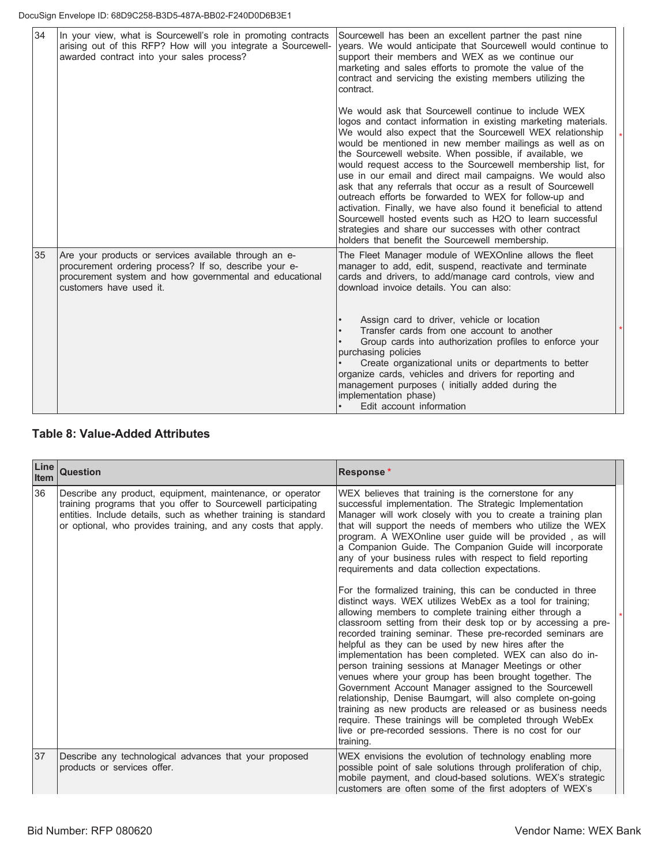| 34 | In your view, what is Sourcewell's role in promoting contracts<br>arising out of this RFP? How will you integrate a Sourcewell-<br>awarded contract into your sales process?                         | Sourcewell has been an excellent partner the past nine<br>years. We would anticipate that Sourcewell would continue to<br>support their members and WEX as we continue our<br>marketing and sales efforts to promote the value of the<br>contract and servicing the existing members utilizing the<br>contract.                                                                                                                                                                                                                                                                                                                                                                                                                                                                                            |  |
|----|------------------------------------------------------------------------------------------------------------------------------------------------------------------------------------------------------|------------------------------------------------------------------------------------------------------------------------------------------------------------------------------------------------------------------------------------------------------------------------------------------------------------------------------------------------------------------------------------------------------------------------------------------------------------------------------------------------------------------------------------------------------------------------------------------------------------------------------------------------------------------------------------------------------------------------------------------------------------------------------------------------------------|--|
|    |                                                                                                                                                                                                      | We would ask that Sourcewell continue to include WEX<br>logos and contact information in existing marketing materials.<br>We would also expect that the Sourcewell WEX relationship<br>would be mentioned in new member mailings as well as on<br>the Sourcewell website. When possible, if available, we<br>would request access to the Sourcewell membership list, for<br>use in our email and direct mail campaigns. We would also<br>ask that any referrals that occur as a result of Sourcewell<br>outreach efforts be forwarded to WEX for follow-up and<br>activation. Finally, we have also found it beneficial to attend<br>Sourcewell hosted events such as H2O to learn successful<br>strategies and share our successes with other contract<br>holders that benefit the Sourcewell membership. |  |
| 35 | Are your products or services available through an e-<br>procurement ordering process? If so, describe your e-<br>procurement system and how governmental and educational<br>customers have used it. | The Fleet Manager module of WEXOnline allows the fleet<br>manager to add, edit, suspend, reactivate and terminate<br>cards and drivers, to add/manage card controls, view and<br>download invoice details. You can also:<br>Assign card to driver, vehicle or location<br>Transfer cards from one account to another<br>Group cards into authorization profiles to enforce your<br>purchasing policies<br>Create organizational units or departments to better<br>organize cards, vehicles and drivers for reporting and                                                                                                                                                                                                                                                                                   |  |
|    |                                                                                                                                                                                                      | management purposes (initially added during the<br>implementation phase)<br>Edit account information                                                                                                                                                                                                                                                                                                                                                                                                                                                                                                                                                                                                                                                                                                       |  |

# **Table 8: Value-Added Attributes**

| Line<br>Item | Question                                                                                                                                                                                                                                                      | Response*                                                                                                                                                                                                                                                                                                                                                                                                                                                                                                                                                                                                                                                                                                                                                                                                                                                                                                                                                                                                                                                                                                                                                                                                                                                                                                                                                 |  |
|--------------|---------------------------------------------------------------------------------------------------------------------------------------------------------------------------------------------------------------------------------------------------------------|-----------------------------------------------------------------------------------------------------------------------------------------------------------------------------------------------------------------------------------------------------------------------------------------------------------------------------------------------------------------------------------------------------------------------------------------------------------------------------------------------------------------------------------------------------------------------------------------------------------------------------------------------------------------------------------------------------------------------------------------------------------------------------------------------------------------------------------------------------------------------------------------------------------------------------------------------------------------------------------------------------------------------------------------------------------------------------------------------------------------------------------------------------------------------------------------------------------------------------------------------------------------------------------------------------------------------------------------------------------|--|
| 36           | Describe any product, equipment, maintenance, or operator<br>training programs that you offer to Sourcewell participating<br>entities. Include details, such as whether training is standard<br>or optional, who provides training, and any costs that apply. | WEX believes that training is the cornerstone for any<br>successful implementation. The Strategic Implementation<br>Manager will work closely with you to create a training plan<br>that will support the needs of members who utilize the WEX<br>program. A WEXOnline user guide will be provided, as will<br>a Companion Guide. The Companion Guide will incorporate<br>any of your business rules with respect to field reporting<br>requirements and data collection expectations.<br>For the formalized training, this can be conducted in three<br>distinct ways. WEX utilizes WebEx as a tool for training;<br>allowing members to complete training either through a<br>classroom setting from their desk top or by accessing a pre-<br>recorded training seminar. These pre-recorded seminars are<br>helpful as they can be used by new hires after the<br>implementation has been completed. WEX can also do in-<br>person training sessions at Manager Meetings or other<br>venues where your group has been brought together. The<br>Government Account Manager assigned to the Sourcewell<br>relationship, Denise Baumgart, will also complete on-going<br>training as new products are released or as business needs<br>require. These trainings will be completed through WebEx<br>live or pre-recorded sessions. There is no cost for our |  |
|              |                                                                                                                                                                                                                                                               | training.                                                                                                                                                                                                                                                                                                                                                                                                                                                                                                                                                                                                                                                                                                                                                                                                                                                                                                                                                                                                                                                                                                                                                                                                                                                                                                                                                 |  |
| 37           | Describe any technological advances that your proposed<br>products or services offer.                                                                                                                                                                         | WEX envisions the evolution of technology enabling more<br>possible point of sale solutions through proliferation of chip,<br>mobile payment, and cloud-based solutions. WEX's strategic<br>customers are often some of the first adopters of WEX's                                                                                                                                                                                                                                                                                                                                                                                                                                                                                                                                                                                                                                                                                                                                                                                                                                                                                                                                                                                                                                                                                                       |  |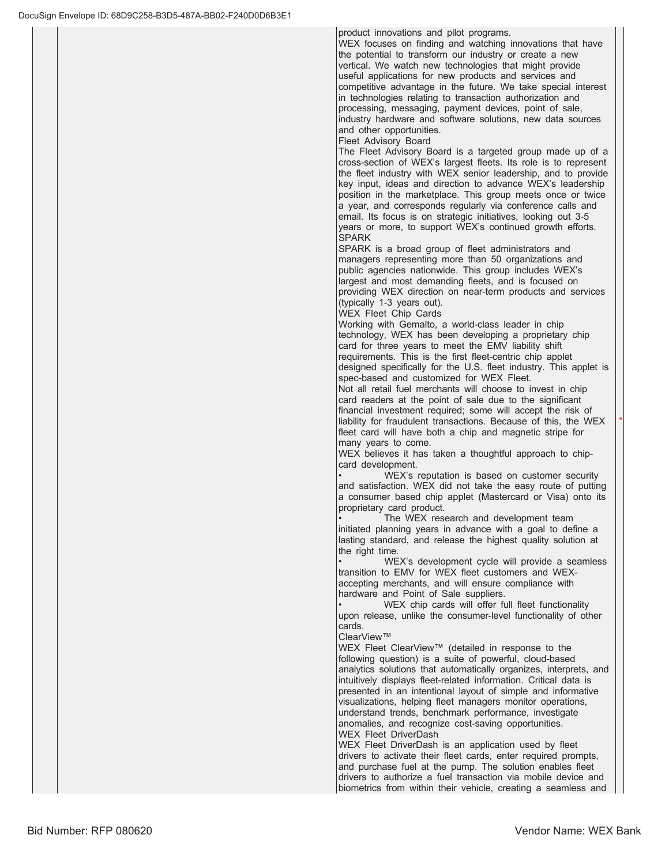product innovations and pilot programs.

WEX focuses on finding and watching innovations that have the potential to transform our industry or create a new vertical. We watch new technologies that might provide useful applications for new products and services and competitive advantage in the future. We take special interest in technologies relating to transaction authorization and processing, messaging, payment devices, point of sale, industry hardware and software solutions, new data sources and other opportunities.

Fleet Advisory Board

The Fleet Advisory Board is a targeted group made up of a cross-section of WEX's largest fleets. Its role is to represent the fleet industry with WEX senior leadership, and to provide key input, ideas and direction to advance WEX's leadership position in the marketplace. This group meets once or twice a year, and corresponds regularly via conference calls and email. Its focus is on strategic initiatives, looking out 3-5 years or more, to support WEX's continued growth efforts. **SPARK** 

SPARK is a broad group of fleet administrators and managers representing more than 50 organizations and public agencies nationwide. This group includes WEX's largest and most demanding fleets, and is focused on providing WEX direction on near-term products and services  $(typically$  1-3 years out).

WEX Fleet Chip Cards

Working with Gemalto, a world-class leader in chip technology, WEX has been developing a proprietary chip card for three years to meet the EMV liability shift requirements. This is the first fleet-centric chip applet designed specifically for the U.S. fleet industry. This applet is spec-based and customized for WEX Fleet.

Not all retail fuel merchants will choose to invest in chip card readers at the point of sale due to the significant financial investment required; some will accept the risk of liability for fraudulent transactions. Because of this, the WEX fleet card will have both a chip and magnetic stripe for many years to come.

WEX believes it has taken a thoughtful approach to chipcard development.

WEX's reputation is based on customer security and satisfaction. WEX did not take the easy route of putting a consumer based chip applet (Mastercard or Visa) onto its proprietary card product.

The WEX research and development team initiated planning years in advance with a goal to define a lasting standard, and release the highest quality solution at the right time.

WEX's development cycle will provide a seamless transition to EMV for WEX fleet customers and WEXaccepting merchants, and will ensure compliance with hardware and Point of Sale suppliers.

WEX chip cards will offer full fleet functionality upon release, unlike the consumer-level functionality of other cards.

ClearView™

WEX Fleet ClearView™ (detailed in response to the following question) is a suite of powerful, cloud-based analytics solutions that automatically organizes, interprets, and intuitively displays fleet-related information. Critical data is presented in an intentional layout of simple and informative visualizations, helping fleet managers monitor operations, understand trends, benchmark performance, investigate anomalies, and recognize cost-saving opportunities. WEX Fleet DriverDash

WEX Fleet DriverDash is an application used by fleet drivers to activate their fleet cards, enter required prompts, and purchase fuel at the pump. The solution enables fleet drivers to authorize a fuel transaction via mobile device and biometrics from within their vehicle, creating a seamless and  $\star$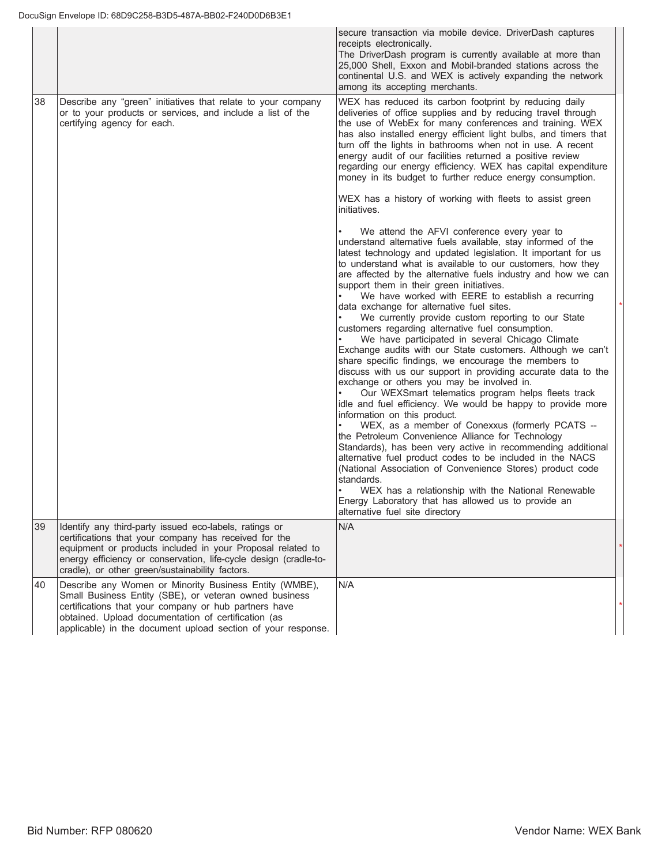|    |                                                                                                                                                                                                                                                                                                      | secure transaction via mobile device. DriverDash captures<br>receipts electronically.<br>The DriverDash program is currently available at more than<br>25,000 Shell, Exxon and Mobil-branded stations across the<br>continental U.S. and WEX is actively expanding the network<br>among its accepting merchants.                                                                                                                                                                                                                                                                                                                                                                                                                                                                                                                                                                                                                                                                                                                                                                                                                                                                                                                                                                                                                                                                                                                                                                   |  |
|----|------------------------------------------------------------------------------------------------------------------------------------------------------------------------------------------------------------------------------------------------------------------------------------------------------|------------------------------------------------------------------------------------------------------------------------------------------------------------------------------------------------------------------------------------------------------------------------------------------------------------------------------------------------------------------------------------------------------------------------------------------------------------------------------------------------------------------------------------------------------------------------------------------------------------------------------------------------------------------------------------------------------------------------------------------------------------------------------------------------------------------------------------------------------------------------------------------------------------------------------------------------------------------------------------------------------------------------------------------------------------------------------------------------------------------------------------------------------------------------------------------------------------------------------------------------------------------------------------------------------------------------------------------------------------------------------------------------------------------------------------------------------------------------------------|--|
| 38 | Describe any "green" initiatives that relate to your company<br>or to your products or services, and include a list of the<br>certifying agency for each.                                                                                                                                            | WEX has reduced its carbon footprint by reducing daily<br>deliveries of office supplies and by reducing travel through<br>the use of WebEx for many conferences and training. WEX<br>has also installed energy efficient light bulbs, and timers that<br>turn off the lights in bathrooms when not in use. A recent<br>energy audit of our facilities returned a positive review<br>regarding our energy efficiency. WEX has capital expenditure<br>money in its budget to further reduce energy consumption.<br>WEX has a history of working with fleets to assist green<br>initiatives.                                                                                                                                                                                                                                                                                                                                                                                                                                                                                                                                                                                                                                                                                                                                                                                                                                                                                          |  |
|    |                                                                                                                                                                                                                                                                                                      | We attend the AFVI conference every year to<br>understand alternative fuels available, stay informed of the<br>latest technology and updated legislation. It important for us<br>to understand what is available to our customers, how they<br>are affected by the alternative fuels industry and how we can<br>support them in their green initiatives.<br>We have worked with EERE to establish a recurring<br>data exchange for alternative fuel sites.<br>We currently provide custom reporting to our State<br>customers regarding alternative fuel consumption.<br>We have participated in several Chicago Climate<br>Exchange audits with our State customers. Although we can't<br>share specific findings, we encourage the members to<br>discuss with us our support in providing accurate data to the<br>exchange or others you may be involved in.<br>Our WEXSmart telematics program helps fleets track<br>idle and fuel efficiency. We would be happy to provide more<br>information on this product.<br>WEX, as a member of Conexxus (formerly PCATS --<br>the Petroleum Convenience Alliance for Technology<br>Standards), has been very active in recommending additional<br>alternative fuel product codes to be included in the NACS<br>(National Association of Convenience Stores) product code<br>standards.<br>WEX has a relationship with the National Renewable<br>Energy Laboratory that has allowed us to provide an<br>alternative fuel site directory |  |
| 39 | Identify any third-party issued eco-labels, ratings or<br>certifications that your company has received for the<br>equipment or products included in your Proposal related to<br>energy efficiency or conservation, life-cycle design (cradle-to-<br>cradle), or other green/sustainability factors. | N/A                                                                                                                                                                                                                                                                                                                                                                                                                                                                                                                                                                                                                                                                                                                                                                                                                                                                                                                                                                                                                                                                                                                                                                                                                                                                                                                                                                                                                                                                                |  |
| 40 | Describe any Women or Minority Business Entity (WMBE),<br>Small Business Entity (SBE), or veteran owned business<br>certifications that your company or hub partners have<br>obtained. Upload documentation of certification (as<br>applicable) in the document upload section of your response.     | N/A                                                                                                                                                                                                                                                                                                                                                                                                                                                                                                                                                                                                                                                                                                                                                                                                                                                                                                                                                                                                                                                                                                                                                                                                                                                                                                                                                                                                                                                                                |  |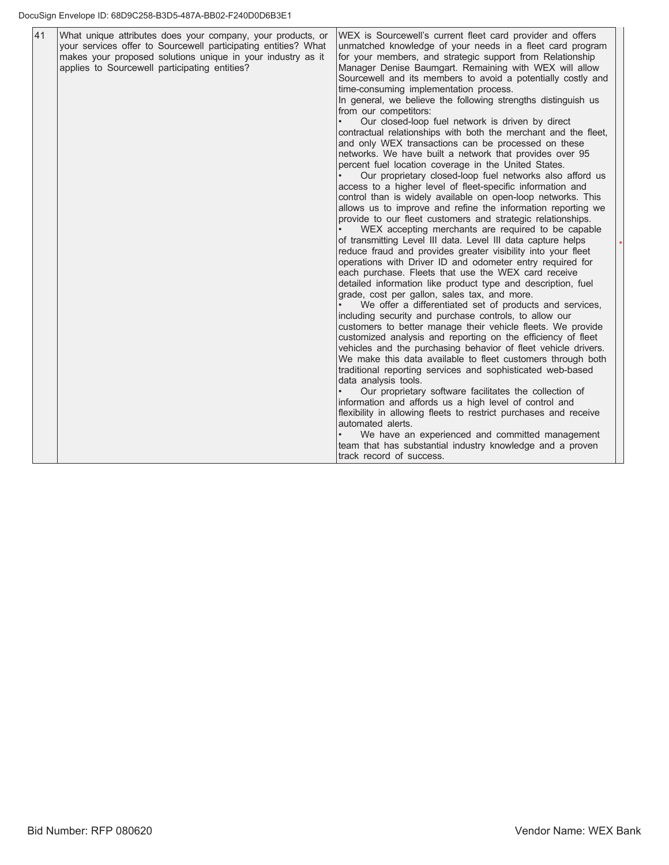| 41 | What unique attributes does your company, your products, or<br>your services offer to Sourcewell participating entities? What<br>makes your proposed solutions unique in your industry as it<br>applies to Sourcewell participating entities? | WEX is Sourcewell's current fleet card provider and offers<br>unmatched knowledge of your needs in a fleet card program<br>for your members, and strategic support from Relationship<br>Manager Denise Baumgart. Remaining with WEX will allow<br>Sourcewell and its members to avoid a potentially costly and<br>time-consuming implementation process.<br>In general, we believe the following strengths distinguish us<br>from our competitors:<br>Our closed-loop fuel network is driven by direct<br>contractual relationships with both the merchant and the fleet,<br>and only WEX transactions can be processed on these<br>networks. We have built a network that provides over 95<br>percent fuel location coverage in the United States.<br>Our proprietary closed-loop fuel networks also afford us<br>access to a higher level of fleet-specific information and<br>control than is widely available on open-loop networks. This<br>allows us to improve and refine the information reporting we<br>provide to our fleet customers and strategic relationships.<br>WEX accepting merchants are required to be capable<br>of transmitting Level III data. Level III data capture helps<br>reduce fraud and provides greater visibility into your fleet<br>operations with Driver ID and odometer entry required for<br>each purchase. Fleets that use the WEX card receive<br>detailed information like product type and description, fuel<br>grade, cost per gallon, sales tax, and more.<br>We offer a differentiated set of products and services,<br>including security and purchase controls, to allow our<br>customers to better manage their vehicle fleets. We provide<br>customized analysis and reporting on the efficiency of fleet<br>vehicles and the purchasing behavior of fleet vehicle drivers.<br>We make this data available to fleet customers through both<br>traditional reporting services and sophisticated web-based<br>data analysis tools.<br>Our proprietary software facilitates the collection of<br>information and affords us a high level of control and<br>flexibility in allowing fleets to restrict purchases and receive<br>automated alerts.<br>We have an experienced and committed management<br>team that has substantial industry knowledge and a proven |
|----|-----------------------------------------------------------------------------------------------------------------------------------------------------------------------------------------------------------------------------------------------|----------------------------------------------------------------------------------------------------------------------------------------------------------------------------------------------------------------------------------------------------------------------------------------------------------------------------------------------------------------------------------------------------------------------------------------------------------------------------------------------------------------------------------------------------------------------------------------------------------------------------------------------------------------------------------------------------------------------------------------------------------------------------------------------------------------------------------------------------------------------------------------------------------------------------------------------------------------------------------------------------------------------------------------------------------------------------------------------------------------------------------------------------------------------------------------------------------------------------------------------------------------------------------------------------------------------------------------------------------------------------------------------------------------------------------------------------------------------------------------------------------------------------------------------------------------------------------------------------------------------------------------------------------------------------------------------------------------------------------------------------------------------------------------------------------------------------------------------------------------------------------------------------------------------------------------------------------------------------------------------------------------------------------------------------------------------------------------------------------------------------------------------------------------------------------------------------------------------------------------------------------------------------------------------------------------|
|    |                                                                                                                                                                                                                                               | track record of success.                                                                                                                                                                                                                                                                                                                                                                                                                                                                                                                                                                                                                                                                                                                                                                                                                                                                                                                                                                                                                                                                                                                                                                                                                                                                                                                                                                                                                                                                                                                                                                                                                                                                                                                                                                                                                                                                                                                                                                                                                                                                                                                                                                                                                                                                                       |

 $\overline{\phantom{a}}$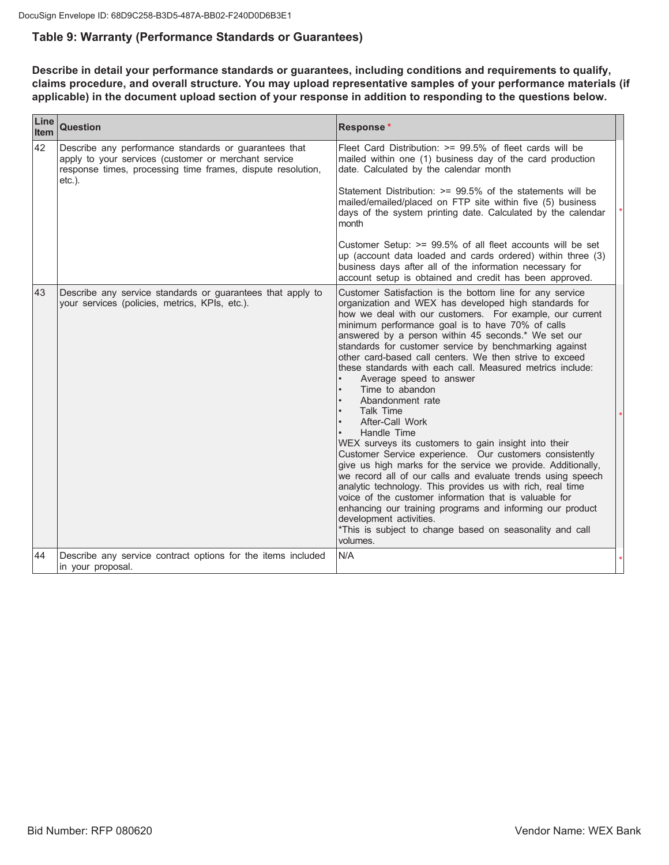# Table 9: Warranty (Performance Standards or Guarantees)

Describe in detail your performance standards or guarantees, including conditions and requirements to qualify, claims procedure, and overall structure. You may upload representative samples of your performance materials (if applicable) in the document upload section of your response in addition to responding to the questions below.

| Line<br><b>Item</b> | <b>Question</b>                                                                                                                                                                           | Response*                                                                                                                                                                                                                                                                                                                                                                                                                                                                                                                                                                                                                                                                                                                                                                                                                                                                                                                                                                                                                                                                                                                             |
|---------------------|-------------------------------------------------------------------------------------------------------------------------------------------------------------------------------------------|---------------------------------------------------------------------------------------------------------------------------------------------------------------------------------------------------------------------------------------------------------------------------------------------------------------------------------------------------------------------------------------------------------------------------------------------------------------------------------------------------------------------------------------------------------------------------------------------------------------------------------------------------------------------------------------------------------------------------------------------------------------------------------------------------------------------------------------------------------------------------------------------------------------------------------------------------------------------------------------------------------------------------------------------------------------------------------------------------------------------------------------|
| 42                  | Describe any performance standards or guarantees that<br>apply to your services (customer or merchant service<br>response times, processing time frames, dispute resolution,<br>$etc.$ ). | Fleet Card Distribution: >= 99.5% of fleet cards will be<br>mailed within one (1) business day of the card production<br>date. Calculated by the calendar month<br>Statement Distribution: >= 99.5% of the statements will be                                                                                                                                                                                                                                                                                                                                                                                                                                                                                                                                                                                                                                                                                                                                                                                                                                                                                                         |
|                     |                                                                                                                                                                                           | mailed/emailed/placed on FTP site within five (5) business<br>days of the system printing date. Calculated by the calendar<br>month                                                                                                                                                                                                                                                                                                                                                                                                                                                                                                                                                                                                                                                                                                                                                                                                                                                                                                                                                                                                   |
|                     |                                                                                                                                                                                           | Customer Setup: $>= 99.5\%$ of all fleet accounts will be set<br>up (account data loaded and cards ordered) within three (3)<br>business days after all of the information necessary for<br>account setup is obtained and credit has been approved.                                                                                                                                                                                                                                                                                                                                                                                                                                                                                                                                                                                                                                                                                                                                                                                                                                                                                   |
| l43                 | Describe any service standards or guarantees that apply to<br>your services (policies, metrics, KPIs, etc.).                                                                              | Customer Satisfaction is the bottom line for any service<br>organization and WEX has developed high standards for<br>how we deal with our customers. For example, our current<br>minimum performance goal is to have 70% of calls<br>answered by a person within 45 seconds.* We set our<br>standards for customer service by benchmarking against<br>other card-based call centers. We then strive to exceed<br>these standards with each call. Measured metrics include:<br>Average speed to answer<br>Time to abandon<br>Abandonment rate<br>Talk Time<br>After-Call Work<br>Handle Time<br>WEX surveys its customers to gain insight into their<br>Customer Service experience. Our customers consistently<br>give us high marks for the service we provide. Additionally,<br>we record all of our calls and evaluate trends using speech<br>analytic technology. This provides us with rich, real time<br>voice of the customer information that is valuable for<br>enhancing our training programs and informing our product<br>development activities.<br>*This is subject to change based on seasonality and call<br>volumes. |
| 44                  | Describe any service contract options for the items included<br>in your proposal.                                                                                                         | N/A                                                                                                                                                                                                                                                                                                                                                                                                                                                                                                                                                                                                                                                                                                                                                                                                                                                                                                                                                                                                                                                                                                                                   |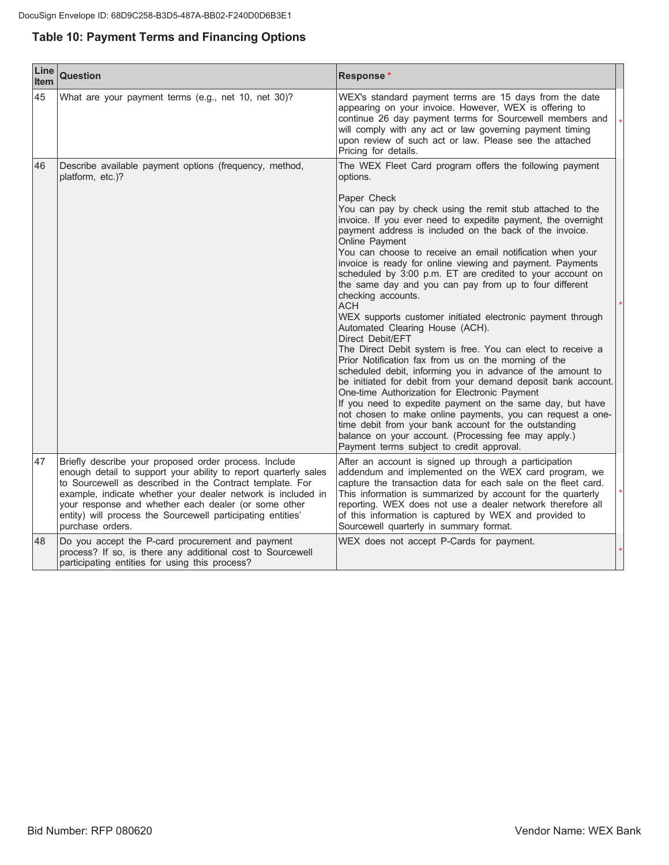# **Table 10: Payment Terms and Financing Options**

| Line<br><b>Item</b> | <b>Question</b>                                                                                                                                                                                                                                                                                                                                                                                 | Response*                                                                                                                                                                                                                                                                                                                                                                                                                                                                                                                                                                                                                                                                                                                                                                                                                                                                                                                                                                                                                                                                                                                                                                                                                       |  |
|---------------------|-------------------------------------------------------------------------------------------------------------------------------------------------------------------------------------------------------------------------------------------------------------------------------------------------------------------------------------------------------------------------------------------------|---------------------------------------------------------------------------------------------------------------------------------------------------------------------------------------------------------------------------------------------------------------------------------------------------------------------------------------------------------------------------------------------------------------------------------------------------------------------------------------------------------------------------------------------------------------------------------------------------------------------------------------------------------------------------------------------------------------------------------------------------------------------------------------------------------------------------------------------------------------------------------------------------------------------------------------------------------------------------------------------------------------------------------------------------------------------------------------------------------------------------------------------------------------------------------------------------------------------------------|--|
| 45                  | What are your payment terms (e.g., net 10, net 30)?                                                                                                                                                                                                                                                                                                                                             | WEX's standard payment terms are 15 days from the date<br>appearing on your invoice. However, WEX is offering to<br>continue 26 day payment terms for Sourcewell members and<br>will comply with any act or law governing payment timing<br>upon review of such act or law. Please see the attached<br>Pricing for details.                                                                                                                                                                                                                                                                                                                                                                                                                                                                                                                                                                                                                                                                                                                                                                                                                                                                                                     |  |
| 46                  | Describe available payment options (frequency, method,<br>platform, etc.)?                                                                                                                                                                                                                                                                                                                      | The WEX Fleet Card program offers the following payment<br>options.                                                                                                                                                                                                                                                                                                                                                                                                                                                                                                                                                                                                                                                                                                                                                                                                                                                                                                                                                                                                                                                                                                                                                             |  |
|                     |                                                                                                                                                                                                                                                                                                                                                                                                 | Paper Check<br>You can pay by check using the remit stub attached to the<br>invoice. If you ever need to expedite payment, the overnight<br>payment address is included on the back of the invoice.<br>Online Payment<br>You can choose to receive an email notification when your<br>invoice is ready for online viewing and payment. Payments<br>scheduled by 3:00 p.m. ET are credited to your account on<br>the same day and you can pay from up to four different<br>checking accounts.<br><b>ACH</b><br>WEX supports customer initiated electronic payment through<br>Automated Clearing House (ACH).<br>Direct Debit/EFT<br>The Direct Debit system is free. You can elect to receive a<br>Prior Notification fax from us on the morning of the<br>scheduled debit, informing you in advance of the amount to<br>be initiated for debit from your demand deposit bank account.<br>One-time Authorization for Electronic Payment<br>If you need to expedite payment on the same day, but have<br>not chosen to make online payments, you can request a one-<br>time debit from your bank account for the outstanding<br>balance on your account. (Processing fee may apply.)<br>Payment terms subject to credit approval. |  |
| 47                  | Briefly describe your proposed order process. Include<br>enough detail to support your ability to report quarterly sales<br>to Sourcewell as described in the Contract template. For<br>example, indicate whether your dealer network is included in<br>your response and whether each dealer (or some other<br>entity) will process the Sourcewell participating entities'<br>purchase orders. | After an account is signed up through a participation<br>addendum and implemented on the WEX card program, we<br>capture the transaction data for each sale on the fleet card.<br>This information is summarized by account for the quarterly<br>reporting. WEX does not use a dealer network therefore all<br>of this information is captured by WEX and provided to<br>Sourcewell quarterly in summary format.                                                                                                                                                                                                                                                                                                                                                                                                                                                                                                                                                                                                                                                                                                                                                                                                                |  |
| 48                  | Do you accept the P-card procurement and payment<br>process? If so, is there any additional cost to Sourcewell<br>participating entities for using this process?                                                                                                                                                                                                                                | WEX does not accept P-Cards for payment.                                                                                                                                                                                                                                                                                                                                                                                                                                                                                                                                                                                                                                                                                                                                                                                                                                                                                                                                                                                                                                                                                                                                                                                        |  |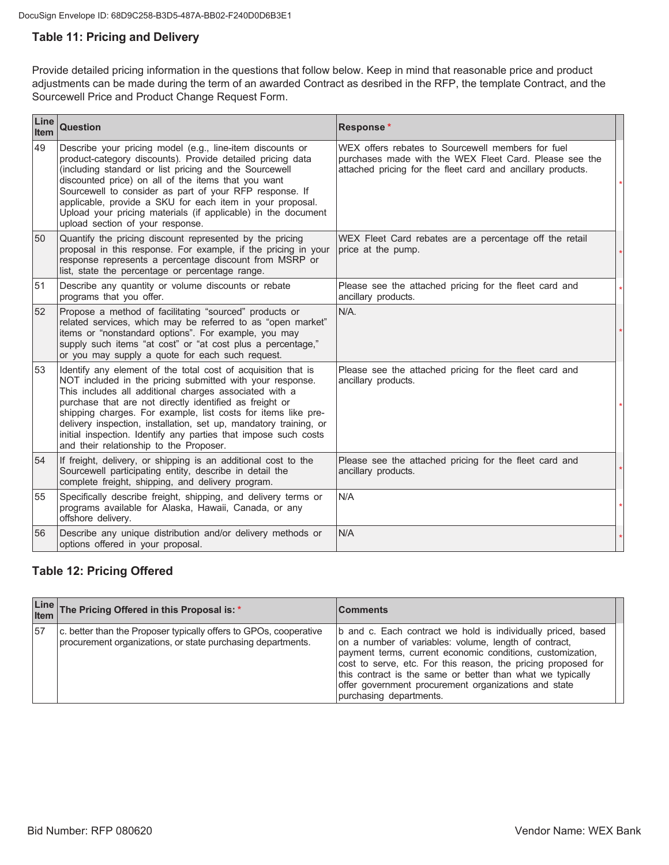# **Table 11: Pricing and Delivery**

Provide detailed pricing information in the questions that follow below. Keep in mind that reasonable price and product adjustments can be made during the term of an awarded Contract as desribed in the RFP, the template Contract, and the Sourcewell Price and Product Change Request Form.

| Line<br><b>Item</b> | <b>Question</b>                                                                                                                                                                                                                                                                                                                                                                                                                                                                                     | Response*                                                                                                                                                                  |  |
|---------------------|-----------------------------------------------------------------------------------------------------------------------------------------------------------------------------------------------------------------------------------------------------------------------------------------------------------------------------------------------------------------------------------------------------------------------------------------------------------------------------------------------------|----------------------------------------------------------------------------------------------------------------------------------------------------------------------------|--|
| 49                  | Describe your pricing model (e.g., line-item discounts or<br>product-category discounts). Provide detailed pricing data<br>(including standard or list pricing and the Sourcewell<br>discounted price) on all of the items that you want<br>Sourcewell to consider as part of your RFP response. If<br>applicable, provide a SKU for each item in your proposal.<br>Upload your pricing materials (if applicable) in the document<br>upload section of your response.                               | WEX offers rebates to Sourcewell members for fuel<br>purchases made with the WEX Fleet Card. Please see the<br>attached pricing for the fleet card and ancillary products. |  |
| 50                  | Quantify the pricing discount represented by the pricing<br>proposal in this response. For example, if the pricing in your<br>response represents a percentage discount from MSRP or<br>list, state the percentage or percentage range.                                                                                                                                                                                                                                                             | WEX Fleet Card rebates are a percentage off the retail<br>price at the pump.                                                                                               |  |
| 51                  | Describe any quantity or volume discounts or rebate<br>programs that you offer.                                                                                                                                                                                                                                                                                                                                                                                                                     | Please see the attached pricing for the fleet card and<br>ancillary products.                                                                                              |  |
| 52                  | Propose a method of facilitating "sourced" products or<br>related services, which may be referred to as "open market"<br>items or "nonstandard options". For example, you may<br>supply such items "at cost" or "at cost plus a percentage,"<br>or you may supply a quote for each such request.                                                                                                                                                                                                    | $N/A$ .                                                                                                                                                                    |  |
| 53                  | Identify any element of the total cost of acquisition that is<br>NOT included in the pricing submitted with your response.<br>This includes all additional charges associated with a<br>purchase that are not directly identified as freight or<br>shipping charges. For example, list costs for items like pre-<br>delivery inspection, installation, set up, mandatory training, or<br>initial inspection. Identify any parties that impose such costs<br>and their relationship to the Proposer. | Please see the attached pricing for the fleet card and<br>ancillary products.                                                                                              |  |
| 54                  | If freight, delivery, or shipping is an additional cost to the<br>Sourcewell participating entity, describe in detail the<br>complete freight, shipping, and delivery program.                                                                                                                                                                                                                                                                                                                      | Please see the attached pricing for the fleet card and<br>ancillary products.                                                                                              |  |
| 55                  | Specifically describe freight, shipping, and delivery terms or<br>programs available for Alaska, Hawaii, Canada, or any<br>offshore delivery.                                                                                                                                                                                                                                                                                                                                                       | N/A                                                                                                                                                                        |  |
| 56                  | Describe any unique distribution and/or delivery methods or<br>options offered in your proposal.                                                                                                                                                                                                                                                                                                                                                                                                    | N/A                                                                                                                                                                        |  |

# **Table 12: Pricing Offered**

|    | Line The Pricing Offered in this Proposal is: *                                                                                  | <b>Comments</b>                                                                                                                                                                                                                                                                                                                                                                                       |
|----|----------------------------------------------------------------------------------------------------------------------------------|-------------------------------------------------------------------------------------------------------------------------------------------------------------------------------------------------------------------------------------------------------------------------------------------------------------------------------------------------------------------------------------------------------|
| 57 | c. better than the Proposer typically offers to GPOs, cooperative<br>procurement organizations, or state purchasing departments. | b and c. Each contract we hold is individually priced, based<br>on a number of variables: volume, length of contract,<br>payment terms, current economic conditions, customization,<br>cost to serve, etc. For this reason, the pricing proposed for<br>this contract is the same or better than what we typically<br>offer government procurement organizations and state<br>purchasing departments. |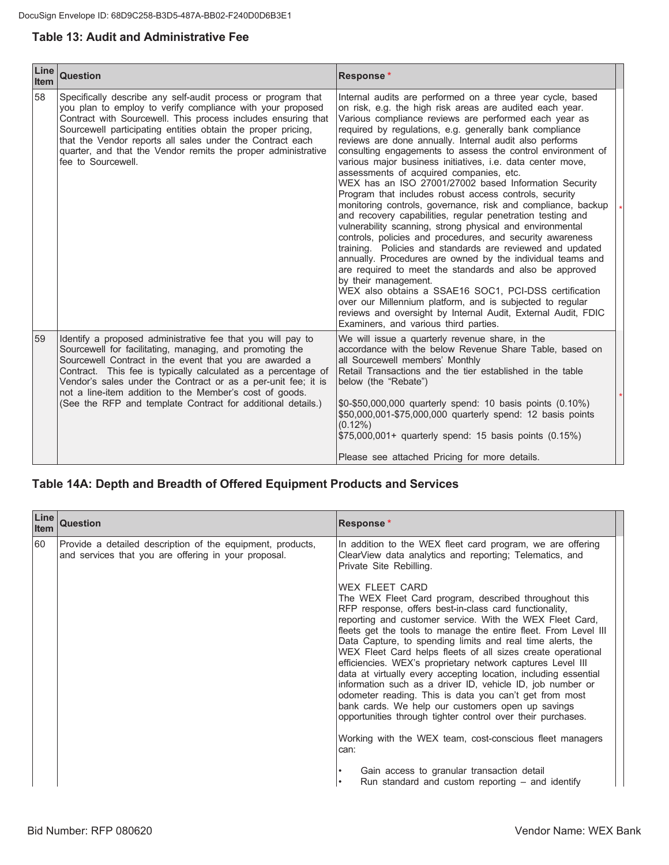# **Table 13: Audit and Administrative Fee**

| Line<br><b>Item</b> | <b>Question</b>                                                                                                                                                                                                                                                                                                                                                                                                                                | Response*                                                                                                                                                                                                                                                                                                                                                                                                                                                                                                                                                                                                                                                                                                                                                                                                                                                                                                                                                                                                                                                                                                                                                                                                                                                                                              |  |
|---------------------|------------------------------------------------------------------------------------------------------------------------------------------------------------------------------------------------------------------------------------------------------------------------------------------------------------------------------------------------------------------------------------------------------------------------------------------------|--------------------------------------------------------------------------------------------------------------------------------------------------------------------------------------------------------------------------------------------------------------------------------------------------------------------------------------------------------------------------------------------------------------------------------------------------------------------------------------------------------------------------------------------------------------------------------------------------------------------------------------------------------------------------------------------------------------------------------------------------------------------------------------------------------------------------------------------------------------------------------------------------------------------------------------------------------------------------------------------------------------------------------------------------------------------------------------------------------------------------------------------------------------------------------------------------------------------------------------------------------------------------------------------------------|--|
| 58                  | Specifically describe any self-audit process or program that<br>you plan to employ to verify compliance with your proposed<br>Contract with Sourcewell. This process includes ensuring that<br>Sourcewell participating entities obtain the proper pricing,<br>that the Vendor reports all sales under the Contract each<br>quarter, and that the Vendor remits the proper administrative<br>fee to Sourcewell.                                | Internal audits are performed on a three year cycle, based<br>on risk, e.g. the high risk areas are audited each year.<br>Various compliance reviews are performed each year as<br>required by regulations, e.g. generally bank compliance<br>reviews are done annually. Internal audit also performs<br>consulting engagements to assess the control environment of<br>various major business initiatives, i.e. data center move,<br>assessments of acquired companies, etc.<br>WEX has an ISO 27001/27002 based Information Security<br>Program that includes robust access controls, security<br>monitoring controls, governance, risk and compliance, backup<br>and recovery capabilities, regular penetration testing and<br>vulnerability scanning, strong physical and environmental<br>controls, policies and procedures, and security awareness<br>training. Policies and standards are reviewed and updated<br>annually. Procedures are owned by the individual teams and<br>are required to meet the standards and also be approved<br>by their management.<br>WEX also obtains a SSAE16 SOC1, PCI-DSS certification<br>over our Millennium platform, and is subjected to regular<br>reviews and oversight by Internal Audit, External Audit, FDIC<br>Examiners, and various third parties. |  |
| 59                  | Identify a proposed administrative fee that you will pay to<br>Sourcewell for facilitating, managing, and promoting the<br>Sourcewell Contract in the event that you are awarded a<br>Contract. This fee is typically calculated as a percentage of<br>Vendor's sales under the Contract or as a per-unit fee; it is<br>not a line-item addition to the Member's cost of goods.<br>(See the RFP and template Contract for additional details.) | We will issue a quarterly revenue share, in the<br>accordance with the below Revenue Share Table, based on<br>all Sourcewell members' Monthly<br>Retail Transactions and the tier established in the table<br>below (the "Rebate")<br>\$0-\$50,000,000 quarterly spend: 10 basis points (0.10%)<br>\$50,000,001-\$75,000,000 quarterly spend: 12 basis points<br>$(0.12\%)$<br>\$75,000,001+ quarterly spend: 15 basis points (0.15%)<br>Please see attached Pricing for more details.                                                                                                                                                                                                                                                                                                                                                                                                                                                                                                                                                                                                                                                                                                                                                                                                                 |  |

# Table 14A: Depth and Breadth of Offered Equipment Products and Services

| <b>Line</b><br><b>Item</b> | Question                                                                                                           | Response*                                                                                                                                                                                                                                                                                                                                                                                                                                                                                                                                                                                                                                                                                                                                                                                                                                             |
|----------------------------|--------------------------------------------------------------------------------------------------------------------|-------------------------------------------------------------------------------------------------------------------------------------------------------------------------------------------------------------------------------------------------------------------------------------------------------------------------------------------------------------------------------------------------------------------------------------------------------------------------------------------------------------------------------------------------------------------------------------------------------------------------------------------------------------------------------------------------------------------------------------------------------------------------------------------------------------------------------------------------------|
| 60                         | Provide a detailed description of the equipment, products,<br>and services that you are offering in your proposal. | In addition to the WEX fleet card program, we are offering<br>ClearView data analytics and reporting; Telematics, and<br>Private Site Rebilling.                                                                                                                                                                                                                                                                                                                                                                                                                                                                                                                                                                                                                                                                                                      |
|                            |                                                                                                                    | <b>WEX FLEET CARD</b><br>The WEX Fleet Card program, described throughout this<br>RFP response, offers best-in-class card functionality,<br>reporting and customer service. With the WEX Fleet Card,<br>fleets get the tools to manage the entire fleet. From Level III<br>Data Capture, to spending limits and real time alerts, the<br>WEX Fleet Card helps fleets of all sizes create operational<br>efficiencies. WEX's proprietary network captures Level III<br>data at virtually every accepting location, including essential<br>information such as a driver ID, vehicle ID, job number or<br>odometer reading. This is data you can't get from most<br>bank cards. We help our customers open up savings<br>opportunities through tighter control over their purchases.<br>Working with the WEX team, cost-conscious fleet managers<br>can: |
|                            |                                                                                                                    | Gain access to granular transaction detail<br>Run standard and custom reporting $-$ and identify<br>$\bullet$                                                                                                                                                                                                                                                                                                                                                                                                                                                                                                                                                                                                                                                                                                                                         |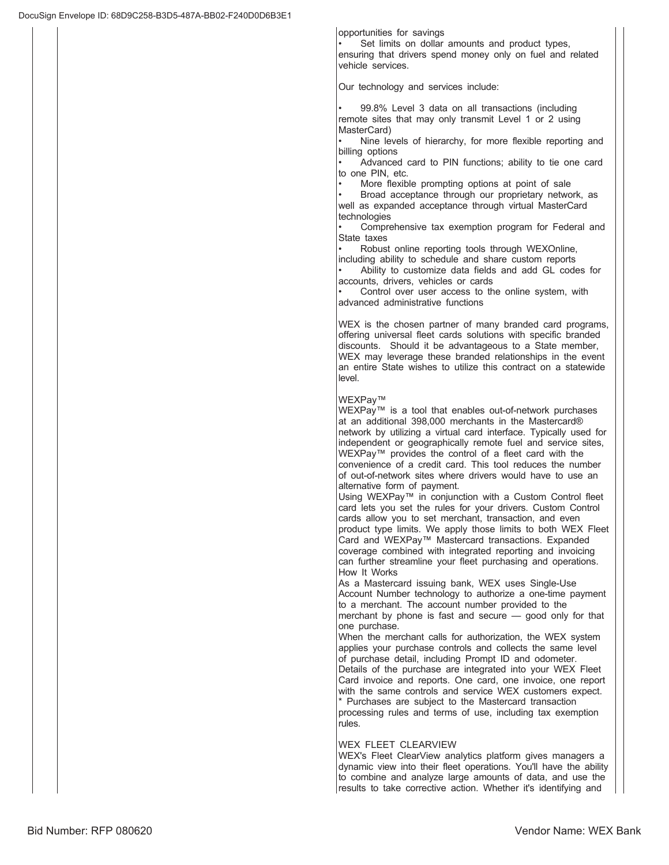opportunities for savings

Set limits on dollar amounts and product types, ensuring that drivers spend money only on fuel and related vehicle services.

Our technology and services include:

99.8% Level 3 data on all transactions (including remote sites that may only transmit Level 1 or 2 using MasterCard)

Nine levels of hierarchy, for more flexible reporting and billing options

Advanced card to PIN functions; ability to tie one card to one PIN, etc.

More flexible prompting options at point of sale

Broad acceptance through our proprietary network, as well as expanded acceptance through virtual MasterCard technologies

Comprehensive tax exemption program for Federal and State taxes

Robust online reporting tools through WEXOnline,

including ability to schedule and share custom reports Ability to customize data fields and add GL codes for accounts, drivers, vehicles or cards

Control over user access to the online system, with advanced administrative functions

WEX is the chosen partner of many branded card programs, offering universal fleet cards solutions with specific branded discounts. Should it be advantageous to a State member, WEX may leverage these branded relationships in the event an entire State wishes to utilize this contract on a statewide level

### WEXPav™

WEXPay<sup>™</sup> is a tool that enables out-of-network purchases at an additional 398,000 merchants in the Mastercard® network by utilizing a virtual card interface. Typically used for independent or geographically remote fuel and service sites, WEXPay™ provides the control of a fleet card with the convenience of a credit card. This tool reduces the number of out-of-network sites where drivers would have to use an alternative form of payment.

Using WEXPay™ in conjunction with a Custom Control fleet card lets you set the rules for your drivers. Custom Control cards allow you to set merchant, transaction, and even product type limits. We apply those limits to both WEX Fleet .<br>Card and WEXPay™ Mastercard transactions. Expanded coverage combined with integrated reporting and invoicing can further streamline your fleet purchasing and operations. How It Works

As a Mastercard issuing bank, WEX uses Single-Use Account Number technology to authorize a one-time payment to a merchant. The account number provided to the merchant by phone is fast and secure  $\frac{1}{2}$  good only for that one purchase.

When the merchant calls for authorization, the WEX system applies your purchase controls and collects the same level of purchase detail, including Prompt ID and odometer. Details of the purchase are integrated into your WEX Fleet Card invoice and reports. One card, one invoice, one report with the same controls and service WEX customers expect. \* Purchases are subject to the Mastercard transaction processing rules and terms of use, including tax exemption rules.

### WEX FLEET CLEARVIEW

WEX's Fleet ClearView analytics platform gives managers a dynamic view into their fleet operations. You'll have the ability to combine and analyze large amounts of data, and use the results to take corrective action. Whether it's identifying and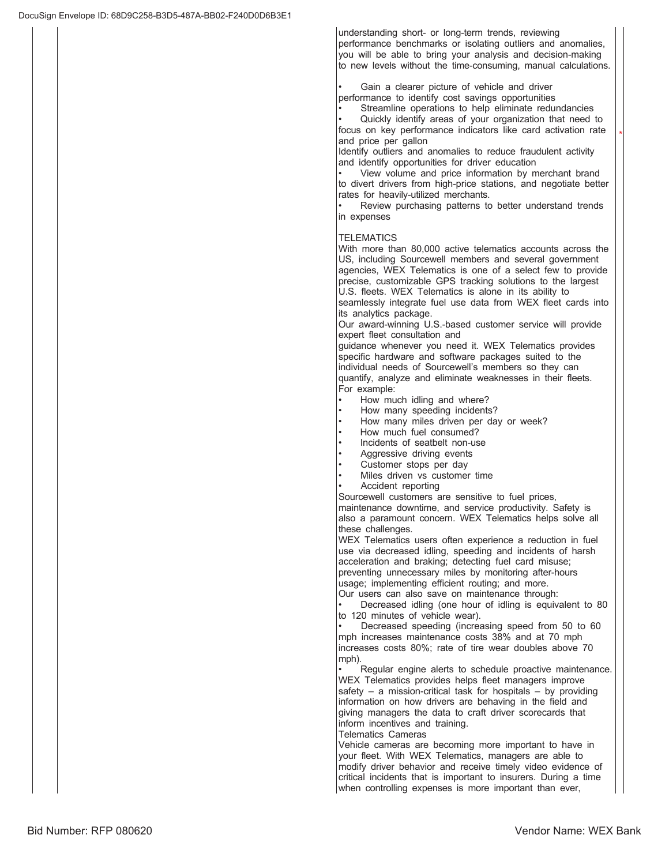understanding short- or long-term trends, reviewing performance benchmarks or isolating outliers and anomalies, you will be able to bring your analysis and decision-making to new levels without the time-consuming, manual calculations.

Gain a clearer picture of vehicle and driver performance to identify cost savings opportunities

Streamline operations to help eliminate redundancies

Quickly identify areas of your organization that need to focus on key performance indicators like card activation rate and price per gallon

 $\overline{\phantom{a}}$ 

Identify outliers and anomalies to reduce fraudulent activity and identify opportunities for driver education

View volume and price information by merchant brand to divert drivers from high-price stations, and negotiate better rates for heavily-utilized merchants.

Review purchasing patterns to better understand trends in expenses

### **TELEMATICS**

With more than 80,000 active telematics accounts across the US, including Sourcewell members and several government agencies, WEX Telematics is one of a select few to provide precise, customizable GPS tracking solutions to the largest U.S. fleets. WEX Telematics is alone in its ability to

seamlessly integrate fuel use data from WEX fleet cards into its analytics package.

Our award-winning U.S.-based customer service will provide expert fleet consultation and

guidance whenever you need it. WEX Telematics provides specific hardware and software packages suited to the individual needs of Sourcewell's members so they can quantify, analyze and eliminate weaknesses in their fleets. For example:

- How much idling and where?
- How many speeding incidents?
- How many miles driven per day or week?
- How much fuel consumed?
- Incidents of seatbelt non-use
- Aggressive driving events
- Customer stops per day
- Miles driven vs customer time
- Accident reporting

Sourcewell customers are sensitive to fuel prices,

maintenance downtime, and service productivity. Safety is also a paramount concern. WEX Telematics helps solve all these challenges.

WEX Telematics users often experience a reduction in fuel use via decreased idling, speeding and incidents of harsh acceleration and braking; detecting fuel card misuse; preventing unnecessary miles by monitoring after-hours usage; implementing efficient routing; and more. Our users can also save on maintenance through:

Decreased idling (one hour of idling is equivalent to 80 to 120 minutes of vehicle wear).

Decreased speeding (increasing speed from 50 to 60 mph increases maintenance costs 38% and at 70 mph increases costs 80%; rate of tire wear doubles above 70 mph)

Reqular engine alerts to schedule proactive maintenance. WEX Telematics provides helps fleet managers improve safety – a mission-critical task for hospitals – by providing information on how drivers are behaving in the field and giving managers the data to craft driver scorecards that inform incentives and training.

Telematics Cameras

Vehicle cameras are becoming more important to have in your fleet. With WEX Telematics, managers are able to modify driver behavior and receive timely video evidence of critical incidents that is important to insurers. During a time when controlling expenses is more important than ever,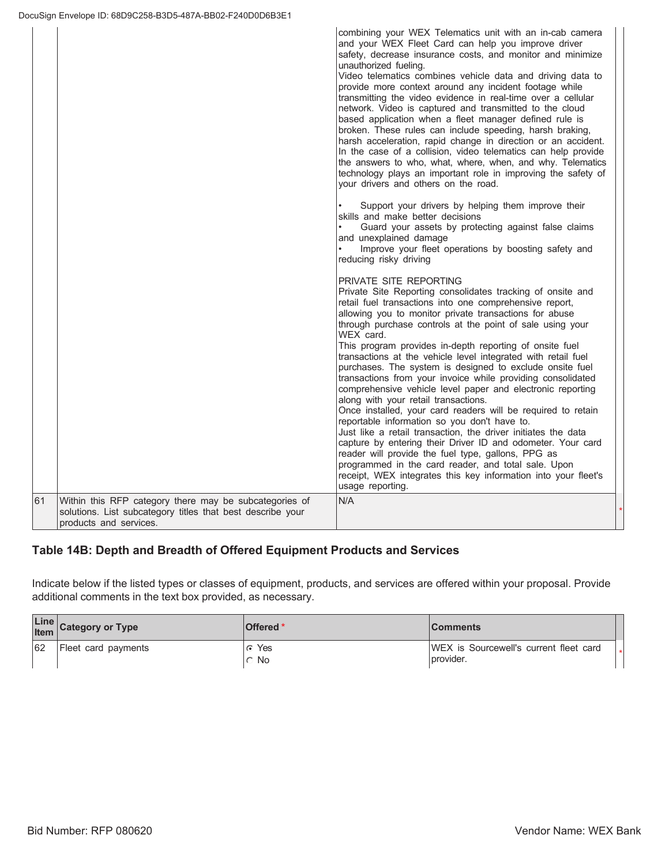|    |                                                                                                                                                | combining your WEX Telematics unit with an in-cab camera<br>and your WEX Fleet Card can help you improve driver<br>safety, decrease insurance costs, and monitor and minimize<br>unauthorized fueling.<br>Video telematics combines vehicle data and driving data to<br>provide more context around any incident footage while<br>transmitting the video evidence in real-time over a cellular<br>network. Video is captured and transmitted to the cloud<br>based application when a fleet manager defined rule is<br>broken. These rules can include speeding, harsh braking,<br>harsh acceleration, rapid change in direction or an accident.<br>In the case of a collision, video telematics can help provide<br>the answers to who, what, where, when, and why. Telematics<br>technology plays an important role in improving the safety of<br>your drivers and others on the road.                                                                                                                                                                                                            |  |
|----|------------------------------------------------------------------------------------------------------------------------------------------------|-----------------------------------------------------------------------------------------------------------------------------------------------------------------------------------------------------------------------------------------------------------------------------------------------------------------------------------------------------------------------------------------------------------------------------------------------------------------------------------------------------------------------------------------------------------------------------------------------------------------------------------------------------------------------------------------------------------------------------------------------------------------------------------------------------------------------------------------------------------------------------------------------------------------------------------------------------------------------------------------------------------------------------------------------------------------------------------------------------|--|
|    |                                                                                                                                                | Support your drivers by helping them improve their<br>skills and make better decisions<br>Guard your assets by protecting against false claims<br>and unexplained damage<br>Improve your fleet operations by boosting safety and<br>reducing risky driving                                                                                                                                                                                                                                                                                                                                                                                                                                                                                                                                                                                                                                                                                                                                                                                                                                          |  |
|    |                                                                                                                                                | PRIVATE SITE REPORTING<br>Private Site Reporting consolidates tracking of onsite and<br>retail fuel transactions into one comprehensive report,<br>allowing you to monitor private transactions for abuse<br>through purchase controls at the point of sale using your<br>WEX card.<br>This program provides in-depth reporting of onsite fuel<br>transactions at the vehicle level integrated with retail fuel<br>purchases. The system is designed to exclude onsite fuel<br>transactions from your invoice while providing consolidated<br>comprehensive vehicle level paper and electronic reporting<br>along with your retail transactions.<br>Once installed, your card readers will be required to retain<br>reportable information so you don't have to.<br>Just like a retail transaction, the driver initiates the data<br>capture by entering their Driver ID and odometer. Your card<br>reader will provide the fuel type, gallons, PPG as<br>programmed in the card reader, and total sale. Upon<br>receipt, WEX integrates this key information into your fleet's<br>usage reporting. |  |
| 61 | Within this RFP category there may be subcategories of<br>solutions. List subcategory titles that best describe your<br>products and services. | N/A                                                                                                                                                                                                                                                                                                                                                                                                                                                                                                                                                                                                                                                                                                                                                                                                                                                                                                                                                                                                                                                                                                 |  |

# Table 14B: Depth and Breadth of Offered Equipment Products and Services

Indicate below if the listed types or classes of equipment, products, and services are offered within your proposal. Provide additional comments in the text box provided, as necessary.

|    | Line Category or Type | <b>Offered</b> *                               | <b>Comments</b>                                             |  |
|----|-----------------------|------------------------------------------------|-------------------------------------------------------------|--|
| 62 | Fleet card payments   | Yes<br>G<br><b>No</b><br>$\tilde{\phantom{m}}$ | <b>IWEX</b> is Sourcewell's current fleet card<br>provider. |  |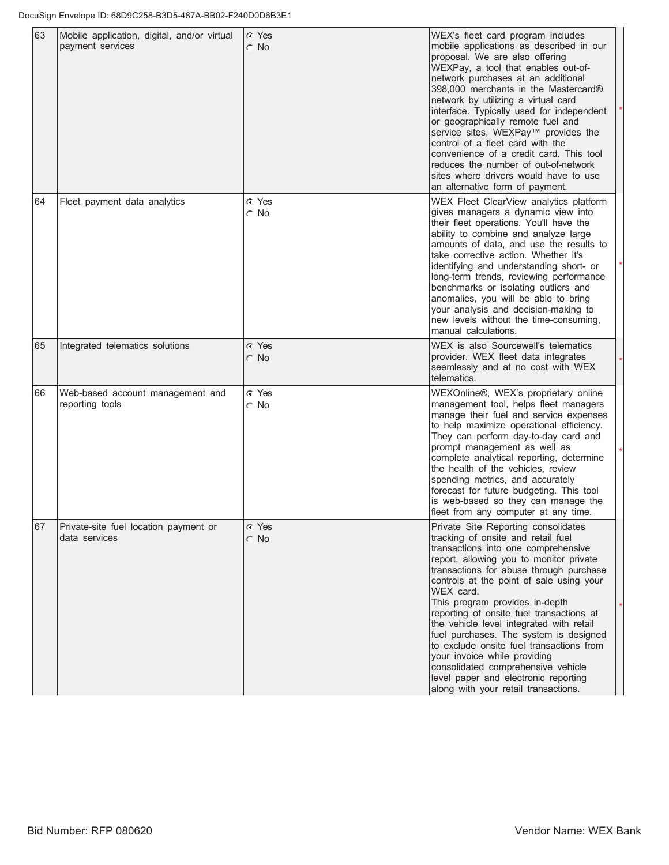| 63 | Mobile application, digital, and/or virtual<br>payment services | $\subset$ Yes<br>$\cap$ No | WEX's fleet card program includes<br>mobile applications as described in our<br>proposal. We are also offering<br>WEXPay, a tool that enables out-of-<br>network purchases at an additional<br>398,000 merchants in the Mastercard®<br>network by utilizing a virtual card<br>interface. Typically used for independent<br>or geographically remote fuel and<br>service sites, WEXPay™ provides the<br>control of a fleet card with the<br>convenience of a credit card. This tool<br>reduces the number of out-of-network<br>sites where drivers would have to use<br>an alternative form of payment.                                |  |
|----|-----------------------------------------------------------------|----------------------------|---------------------------------------------------------------------------------------------------------------------------------------------------------------------------------------------------------------------------------------------------------------------------------------------------------------------------------------------------------------------------------------------------------------------------------------------------------------------------------------------------------------------------------------------------------------------------------------------------------------------------------------|--|
| 64 | Fleet payment data analytics                                    | $\cap$ Yes<br>$\cap$ No    | WEX Fleet ClearView analytics platform<br>gives managers a dynamic view into<br>their fleet operations. You'll have the<br>ability to combine and analyze large<br>amounts of data, and use the results to<br>take corrective action. Whether it's<br>identifying and understanding short- or<br>long-term trends, reviewing performance<br>benchmarks or isolating outliers and<br>anomalies, you will be able to bring<br>your analysis and decision-making to<br>new levels without the time-consuming,<br>manual calculations.                                                                                                    |  |
| 65 | Integrated telematics solutions                                 | $\cap$ Yes<br>$\cap$ No    | WEX is also Sourcewell's telematics<br>provider. WEX fleet data integrates<br>seemlessly and at no cost with WEX<br>telematics.                                                                                                                                                                                                                                                                                                                                                                                                                                                                                                       |  |
| 66 | Web-based account management and<br>reporting tools             | $\cap$ Yes<br>$\circ$ No   | WEXOnline®, WEX's proprietary online<br>management tool, helps fleet managers<br>manage their fuel and service expenses<br>to help maximize operational efficiency.<br>They can perform day-to-day card and<br>prompt management as well as<br>complete analytical reporting, determine<br>the health of the vehicles, review<br>spending metrics, and accurately<br>forecast for future budgeting. This tool<br>is web-based so they can manage the<br>fleet from any computer at any time.                                                                                                                                          |  |
| 67 | Private-site fuel location payment or<br>data services          | G Yes<br>$\cap$ No         | Private Site Reporting consolidates<br>tracking of onsite and retail fuel<br>transactions into one comprehensive<br>report, allowing you to monitor private<br>transactions for abuse through purchase<br>controls at the point of sale using your<br>WEX card.<br>This program provides in-depth<br>reporting of onsite fuel transactions at<br>the vehicle level integrated with retail<br>fuel purchases. The system is designed<br>to exclude onsite fuel transactions from<br>your invoice while providing<br>consolidated comprehensive vehicle<br>level paper and electronic reporting<br>along with your retail transactions. |  |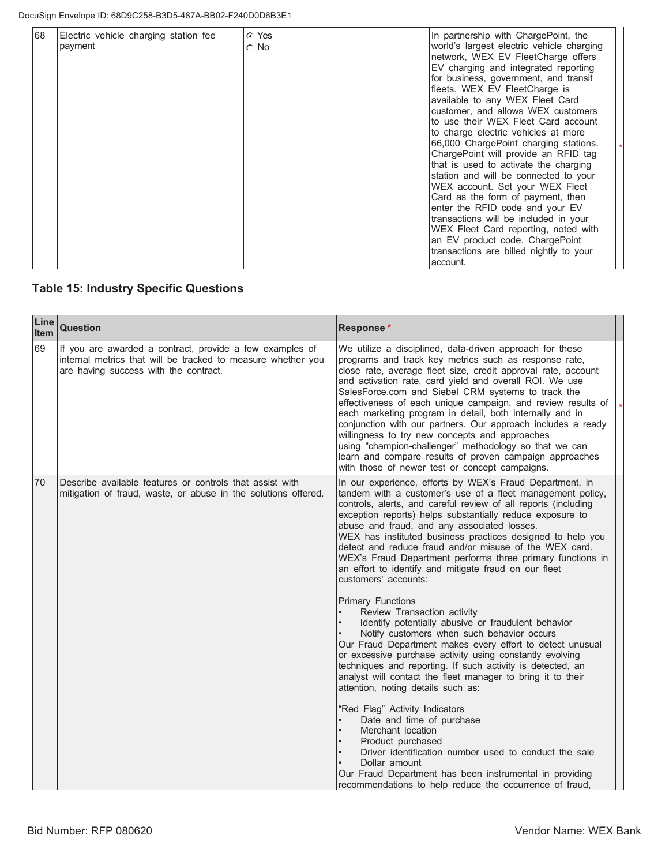| 68 | Electric vehicle charging station fee<br>payment | C Yes<br>$\circ$ No | In partnership with ChargePoint, the<br>world's largest electric vehicle charging<br>network, WEX EV FleetCharge offers<br>EV charging and integrated reporting<br>for business, government, and transit<br>fleets. WEX EV FleetCharge is<br>available to any WEX Fleet Card<br>customer, and allows WEX customers<br>to use their WEX Fleet Card account<br>to charge electric vehicles at more<br>66,000 ChargePoint charging stations.<br>ChargePoint will provide an RFID tag<br>that is used to activate the charging<br>station and will be connected to your<br>WEX account. Set your WEX Fleet<br>Card as the form of payment, then<br>enter the RFID code and your EV<br>transactions will be included in your<br>WEX Fleet Card reporting, noted with<br>an EV product code. ChargePoint |  |
|----|--------------------------------------------------|---------------------|----------------------------------------------------------------------------------------------------------------------------------------------------------------------------------------------------------------------------------------------------------------------------------------------------------------------------------------------------------------------------------------------------------------------------------------------------------------------------------------------------------------------------------------------------------------------------------------------------------------------------------------------------------------------------------------------------------------------------------------------------------------------------------------------------|--|
|    |                                                  |                     | transactions are billed nightly to your<br>account.                                                                                                                                                                                                                                                                                                                                                                                                                                                                                                                                                                                                                                                                                                                                                |  |

# **Table 15: Industry Specific Questions**

| Line<br>Item | Question                                                                                                                                                          | Response*                                                                                                                                                                                                                                                                                                                                                                                                                                                                                                                                                                                                                                                                                                                |  |
|--------------|-------------------------------------------------------------------------------------------------------------------------------------------------------------------|--------------------------------------------------------------------------------------------------------------------------------------------------------------------------------------------------------------------------------------------------------------------------------------------------------------------------------------------------------------------------------------------------------------------------------------------------------------------------------------------------------------------------------------------------------------------------------------------------------------------------------------------------------------------------------------------------------------------------|--|
| 69           | If you are awarded a contract, provide a few examples of<br>internal metrics that will be tracked to measure whether you<br>are having success with the contract. | We utilize a disciplined, data-driven approach for these<br>programs and track key metrics such as response rate,<br>close rate, average fleet size, credit approval rate, account<br>and activation rate, card yield and overall ROI. We use<br>SalesForce.com and Siebel CRM systems to track the<br>effectiveness of each unique campaign, and review results of<br>each marketing program in detail, both internally and in<br>conjunction with our partners. Our approach includes a ready<br>willingness to try new concepts and approaches<br>using "champion-challenger" methodology so that we can<br>learn and compare results of proven campaign approaches<br>with those of newer test or concept campaigns. |  |
| 70           | Describe available features or controls that assist with<br>mitigation of fraud, waste, or abuse in the solutions offered.                                        | In our experience, efforts by WEX's Fraud Department, in<br>tandem with a customer's use of a fleet management policy,<br>controls, alerts, and careful review of all reports (including<br>exception reports) helps substantially reduce exposure to<br>abuse and fraud, and any associated losses.<br>WEX has instituted business practices designed to help you<br>detect and reduce fraud and/or misuse of the WEX card.<br>WEX's Fraud Department performs three primary functions in<br>an effort to identify and mitigate fraud on our fleet<br>customers' accounts:                                                                                                                                              |  |
|              |                                                                                                                                                                   | <b>Primary Functions</b><br>Review Transaction activity<br>Identify potentially abusive or fraudulent behavior<br>Notify customers when such behavior occurs<br>Our Fraud Department makes every effort to detect unusual<br>or excessive purchase activity using constantly evolving<br>techniques and reporting. If such activity is detected, an<br>analyst will contact the fleet manager to bring it to their<br>attention, noting details such as:                                                                                                                                                                                                                                                                 |  |
|              |                                                                                                                                                                   | "Red Flag" Activity Indicators<br>Date and time of purchase<br>Merchant location<br>Product purchased<br>Driver identification number used to conduct the sale<br>Dollar amount<br>Our Fraud Department has been instrumental in providing<br>recommendations to help reduce the occurrence of fraud,                                                                                                                                                                                                                                                                                                                                                                                                                    |  |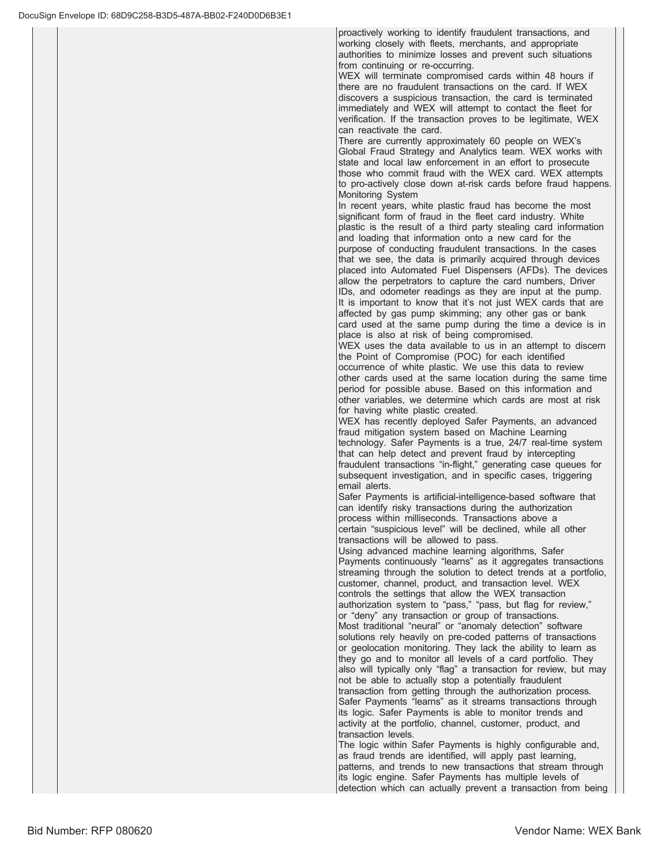proactively working to identify fraudulent transactions, and working closely with fleets, merchants, and appropriate authorities to minimize losses and prevent such situations from continuing or re-occurring.

WEX will terminate compromised cards within 48 hours if there are no fraudulent transactions on the card. If WEX discovers a suspicious transaction, the card is terminated immediately and WEX will attempt to contact the fleet for verification. If the transaction proves to be legitimate, WEX can reactivate the card.

There are currently approximately 60 people on WEX's Global Fraud Strategy and Analytics team. WEX works with state and local law enforcement in an effort to prosecute those who commit fraud with the WEX card. WEX attempts to pro-actively close down at-risk cards before fraud happens. Monitoring System

In recent years, white plastic fraud has become the most significant form of fraud in the fleet card industry. White plastic is the result of a third party stealing card information and loading that information onto a new card for the purpose of conducting fraudulent transactions. In the cases that we see, the data is primarily acquired through devices placed into Automated Fuel Dispensers (AFDs). The devices allow the perpetrators to capture the card numbers, Driver IDs, and odometer readings as they are input at the pump. It is important to know that it's not just WEX cards that are affected by gas pump skimming; any other gas or bank card used at the same pump during the time a device is in place is also at risk of being compromised.

WEX uses the data available to us in an attempt to discern the Point of Compromise (POC) for each identified occurrence of white plastic. We use this data to review

other cards used at the same location during the same time period for possible abuse. Based on this information and other variables, we determine which cards are most at risk for having white plastic created.

WEX has recently deployed Safer Payments, an advanced fraud mitigation system based on Machine Learning technology. Safer Payments is a true, 24/7 real-time system that can help detect and prevent fraud by intercepting fraudulent transactions "in-flight," generating case queues for subsequent investigation, and in specific cases, triggering email alerts.

Safer Payments is artificial-intelligence-based software that can identify risky transactions during the authorization process within milliseconds. Transactions above a certain "suspicious level" will be declined, while all other transactions will be allowed to pass.

Using advanced machine learning algorithms, Safer Payments continuously "learns" as it aggregates transactions streaming through the solution to detect trends at a portfolio, customer, channel, product, and transaction level. WEX controls the settings that allow the WEX transaction authorization system to "pass," "pass, but flag for review," or "deny" any transaction or group of transactions. Most traditional "neural" or "anomaly detection" software solutions rely heavily on pre-coded patterns of transactions or geolocation monitoring. They lack the ability to learn as they go and to monitor all levels of a card portfolio. They also will typically only "flag" a transaction for review, but may not be able to actually stop a potentially fraudulent transaction from getting through the authorization process. Safer Payments "learns" as it streams transactions through its logic. Safer Payments is able to monitor trends and activity at the portfolio, channel, customer, product, and transaction levels.

The logic within Safer Payments is highly configurable and, as fraud trends are identified, will apply past learning, patterns, and trends to new transactions that stream through its logic engine. Safer Payments has multiple levels of detection which can actually prevent a transaction from being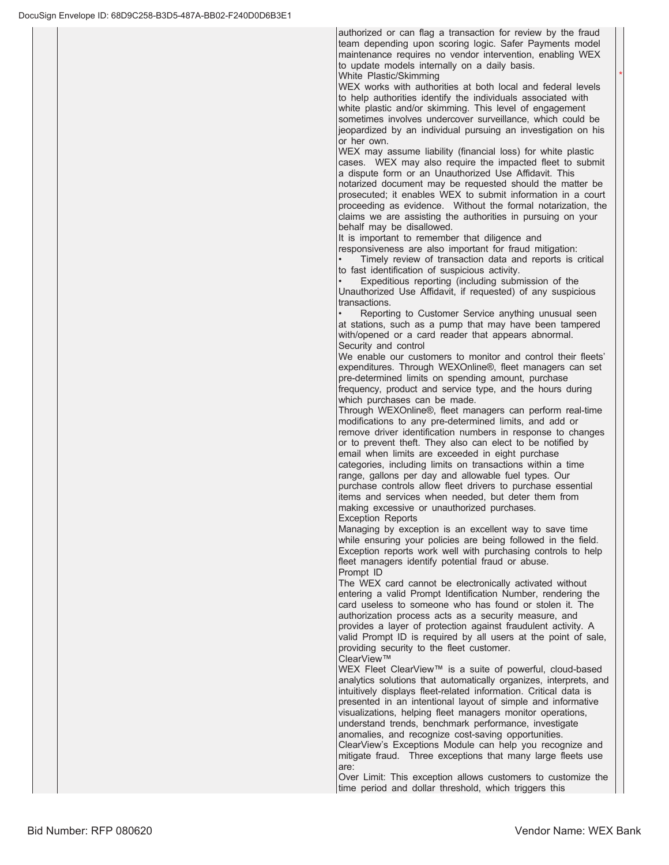authorized or can flag a transaction for review by the fraud team depending upon scoring logic. Safer Payments model maintenance requires no vendor intervention, enabling WEX to update models internally on a daily basis.

 $\star$ 

White Plastic/Skimming

WEX works with authorities at both local and federal levels to help authorities identify the individuals associated with white plastic and/or skimming. This level of engagement sometimes involves undercover surveillance, which could be jeopardized by an individual pursuing an investigation on his or her own.

WEX may assume liability (financial loss) for white plastic cases. WEX may also require the impacted fleet to submit a dispute form or an Unauthorized Use Affidavit. This notarized document may be requested should the matter be prosecuted; it enables WEX to submit information in a court proceeding as evidence. Without the formal notarization, the claims we are assisting the authorities in pursuing on your behalf may be disallowed.

It is important to remember that diligence and

responsiveness are also important for fraud mitigation:

Timely review of transaction data and reports is critical to fast identification of suspicious activity.

Expeditious reporting (including submission of the Unauthorized Use Affidavit, if requested) of any suspicious transactions.

Reporting to Customer Service anything unusual seen at stations, such as a pump that may have been tampered with/opened or a card reader that appears abnormal. Security and control

We enable our customers to monitor and control their fleets' expenditures. Through WEXOnline®, fleet managers can set pre-determined limits on spending amount, purchase frequency, product and service type, and the hours during which purchases can be made.

Through WEXOnline®, fleet managers can perform real-time modifications to any pre-determined limits, and add or remove driver identification numbers in response to changes or to prevent theft. They also can elect to be notified by email when limits are exceeded in eight purchase categories, including limits on transactions within a time range, gallons per day and allowable fuel types. Our purchase controls allow fleet drivers to purchase essential items and services when needed, but deter them from making excessive or unauthorized purchases.

Exception Reports

Managing by exception is an excellent way to save time while ensuring your policies are being followed in the field. Exception reports work well with purchasing controls to help fleet managers identify potential fraud or abuse. Prompt ID

The WEX card cannot be electronically activated without entering a valid Prompt Identification Number, rendering the card useless to someone who has found or stolen it. The authorization process acts as a security measure, and provides a layer of protection against fraudulent activity. A valid Prompt ID is required by all users at the point of sale, providing security to the fleet customer. ClearView™

WEX Fleet ClearView™ is a suite of powerful, cloud-based analytics solutions that automatically organizes, interprets, and intuitively displays fleet-related information. Critical data is presented in an intentional layout of simple and informative visualizations, helping fleet managers monitor operations, understand trends, benchmark performance, investigate anomalies, and recognize cost-saving opportunities. ClearView's Exceptions Module can help you recognize and

mitigate fraud. Three exceptions that many large fleets use are:

Over Limit: This exception allows customers to customize the time period and dollar threshold, which triggers this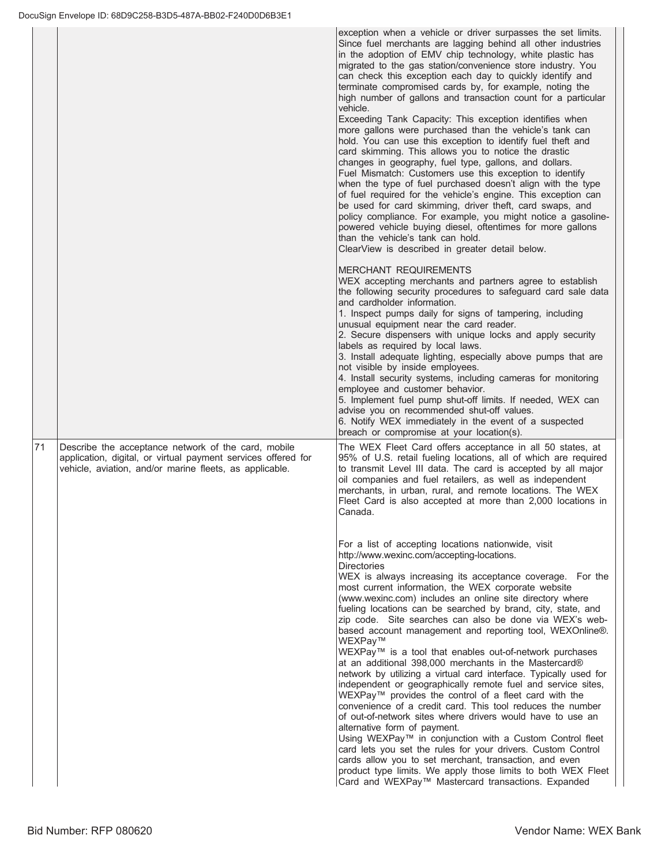|    |                                                                                                                                                                                 | exception when a vehicle or driver surpasses the set limits.<br>Since fuel merchants are lagging behind all other industries<br>in the adoption of EMV chip technology, white plastic has<br>migrated to the gas station/convenience store industry. You<br>can check this exception each day to quickly identify and<br>terminate compromised cards by, for example, noting the<br>high number of gallons and transaction count for a particular<br>vehicle.<br>Exceeding Tank Capacity: This exception identifies when<br>more gallons were purchased than the vehicle's tank can<br>hold. You can use this exception to identify fuel theft and<br>card skimming. This allows you to notice the drastic<br>changes in geography, fuel type, gallons, and dollars.<br>Fuel Mismatch: Customers use this exception to identify<br>when the type of fuel purchased doesn't align with the type<br>of fuel required for the vehicle's engine. This exception can<br>be used for card skimming, driver theft, card swaps, and<br>policy compliance. For example, you might notice a gasoline-<br>powered vehicle buying diesel, oftentimes for more gallons<br>than the vehicle's tank can hold.<br>ClearView is described in greater detail below.                                                               |
|----|---------------------------------------------------------------------------------------------------------------------------------------------------------------------------------|-----------------------------------------------------------------------------------------------------------------------------------------------------------------------------------------------------------------------------------------------------------------------------------------------------------------------------------------------------------------------------------------------------------------------------------------------------------------------------------------------------------------------------------------------------------------------------------------------------------------------------------------------------------------------------------------------------------------------------------------------------------------------------------------------------------------------------------------------------------------------------------------------------------------------------------------------------------------------------------------------------------------------------------------------------------------------------------------------------------------------------------------------------------------------------------------------------------------------------------------------------------------------------------------------------------------|
|    |                                                                                                                                                                                 | <b>MERCHANT REQUIREMENTS</b><br>WEX accepting merchants and partners agree to establish<br>the following security procedures to safeguard card sale data<br>and cardholder information.<br>1. Inspect pumps daily for signs of tampering, including<br>unusual equipment near the card reader.<br>2. Secure dispensers with unique locks and apply security<br>labels as required by local laws.<br>3. Install adequate lighting, especially above pumps that are<br>not visible by inside employees.<br>4. Install security systems, including cameras for monitoring<br>employee and customer behavior.<br>5. Implement fuel pump shut-off limits. If needed, WEX can<br>advise you on recommended shut-off values.<br>6. Notify WEX immediately in the event of a suspected<br>breach or compromise at your location(s).                                                                                                                                                                                                                                                                                                                                                                                                                                                                                     |
| 71 | Describe the acceptance network of the card, mobile<br>application, digital, or virtual payment services offered for<br>vehicle, aviation, and/or marine fleets, as applicable. | The WEX Fleet Card offers acceptance in all 50 states, at<br>95% of U.S. retail fueling locations, all of which are required<br>to transmit Level III data. The card is accepted by all major<br>oil companies and fuel retailers, as well as independent<br>merchants, in urban, rural, and remote locations. The WEX<br>Fleet Card is also accepted at more than 2,000 locations in<br>Canada.                                                                                                                                                                                                                                                                                                                                                                                                                                                                                                                                                                                                                                                                                                                                                                                                                                                                                                                |
|    |                                                                                                                                                                                 | For a list of accepting locations nationwide, visit<br>http://www.wexinc.com/accepting-locations.<br><b>Directories</b><br>WEX is always increasing its acceptance coverage. For the<br>most current information, the WEX corporate website<br>(www.wexinc.com) includes an online site directory where<br>fueling locations can be searched by brand, city, state, and<br>zip code. Site searches can also be done via WEX's web-<br>based account management and reporting tool, WEXOnline®.<br>WEXPay™<br>WEXPay <sup>™</sup> is a tool that enables out-of-network purchases<br>at an additional 398,000 merchants in the Mastercard®<br>network by utilizing a virtual card interface. Typically used for<br>independent or geographically remote fuel and service sites,<br>WEXPay™ provides the control of a fleet card with the<br>convenience of a credit card. This tool reduces the number<br>of out-of-network sites where drivers would have to use an<br>alternative form of payment.<br>Using WEXPay™ in conjunction with a Custom Control fleet<br>card lets you set the rules for your drivers. Custom Control<br>cards allow you to set merchant, transaction, and even<br>product type limits. We apply those limits to both WEX Fleet<br>Card and WEXPay™ Mastercard transactions. Expanded |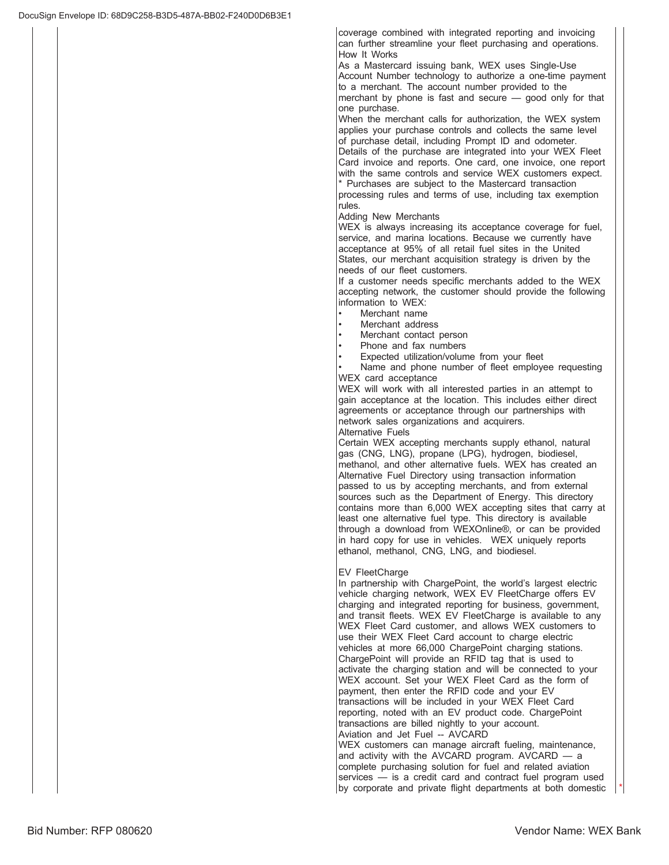coverage combined with integrated reporting and invoicing can further streamline your fleet purchasing and operations. How It Works

As a Mastercard issuing bank, WEX uses Single-Use Account Number technology to authorize a one-time payment to a merchant. The account number provided to the merchant by phone is fast and secure  $\frac{1}{2}$  good only for that one purchase.

When the merchant calls for authorization, the WEX system applies your purchase controls and collects the same level of purchase detail, including Prompt ID and odometer. Details of the purchase are integrated into your WEX Fleet

Card invoice and reports. One card, one invoice, one report with the same controls and service WEX customers expect. \* Purchases are subject to the Mastercard transaction

processing rules and terms of use, including tax exemption rules.

Adding New Merchants

WEX is always increasing its acceptance coverage for fuel, service, and marina locations. Because we currently have acceptance at 95% of all retail fuel sites in the United States, our merchant acquisition strategy is driven by the needs of our fleet customers.

If a customer needs specific merchants added to the WEX accepting network, the customer should provide the following information to WEX:

- Merchant name
- Merchant address
- Merchant contact person
- Phone and fax numbers
- Expected utilization/volume from your fleet

Name and phone number of fleet employee requesting WEX card acceptance

WEX will work with all interested parties in an attempt to gain acceptance at the location. This includes either direct agreements or acceptance through our partnerships with network sales organizations and acquirers.

Alternative Fuels

Certain WEX accepting merchants supply ethanol, natural gas (CNG, LNG), propane (LPG), hydrogen, biodiesel, methanol, and other alternative fuels. WEX has created an Alternative Fuel Directory using transaction information passed to us by accepting merchants, and from external sources such as the Department of Energy. This directory contains more than 6,000 WEX accepting sites that carry at least one alternative fuel type. This directory is available through a download from WEXOnline®, or can be provided in hard copy for use in vehicles. WEX uniquely reports ethanol, methanol, CNG, LNG, and biodiesel.

## EV FleetCharge

In partnership with ChargePoint, the world's largest electric vehicle charging network, WEX EV FleetCharge offers EV charging and integrated reporting for business, government, and transit fleets. WEX EV FleetCharge is available to any WEX Fleet Card customer, and allows WEX customers to use their WEX Fleet Card account to charge electric vehicles at more 66,000 ChargePoint charging stations. ChargePoint will provide an RFID tag that is used to activate the charging station and will be connected to your WEX account. Set your WEX Fleet Card as the form of payment, then enter the RFID code and your EV transactions will be included in your WEX Fleet Card reporting, noted with an EV product code. ChargePoint transactions are billed nightly to your account. Aviation and Jet Fuel -- AVCARD WEX customers can manage aircraft fueling, maintenance, and activity with the AVCARD program. AVCARD  $-$  a complete purchasing solution for fuel and related aviation services  $-$  is a credit card and contract fuel program used

by corporate and private flight departments at both domestic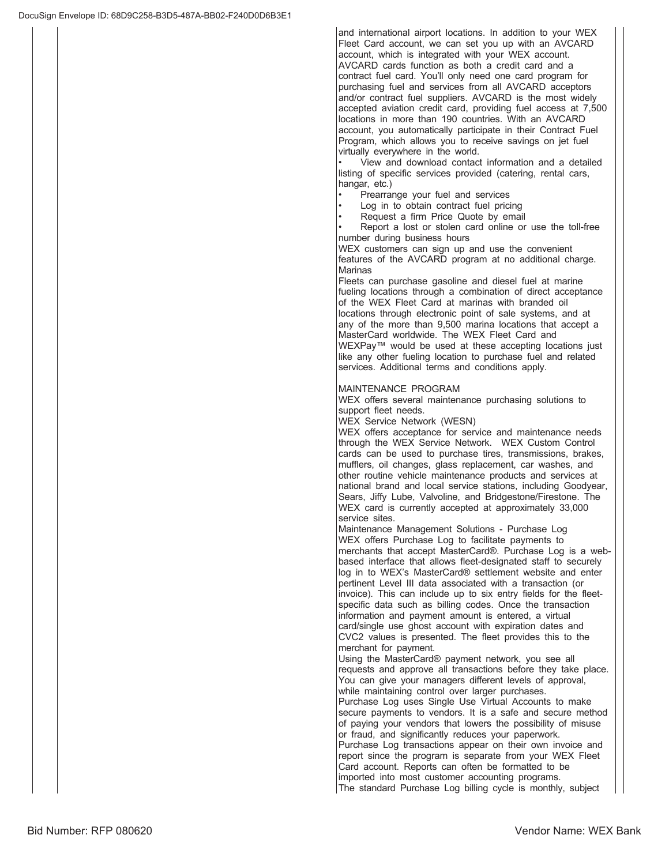and international airport locations. In addition to your WEX Fleet Card account, we can set you up with an AVCARD account, which is integrated with your WEX account. AVCARD cards function as both a credit card and a contract fuel card. You'll only need one card program for purchasing fuel and services from all AVCARD acceptors and/or contract fuel suppliers. AVCARD is the most widely accepted aviation credit card, providing fuel access at 7,500 locations in more than 190 countries. With an AVCARD account, you automatically participate in their Contract Fuel Program, which allows you to receive savings on jet fuel virtually everywhere in the world.

View and download contact information and a detailed listing of specific services provided (catering, rental cars, hangar, etc.)

- Prearrange your fuel and services
- Log in to obtain contract fuel pricing
- Request a firm Price Quote by email

Report a lost or stolen card online or use the toll-free number during business hours

WEX customers can sign up and use the convenient features of the AVCARD program at no additional charge. Marinas

Fleets can purchase gasoline and diesel fuel at marine fueling locations through a combination of direct acceptance of the WEX Fleet Card at marinas with branded oil locations through electronic point of sale systems, and at any of the more than 9,500 marina locations that accept a MasterCard worldwide. The WEX Fleet Card and WEXPay™ would be used at these accepting locations just like any other fueling location to purchase fuel and related services. Additional terms and conditions apply.

### MAINTENANCE PROGRAM

WEX offers several maintenance purchasing solutions to support fleet needs.

WEX Service Network (WESN)

WEX offers acceptance for service and maintenance needs through the WEX Service Network. WEX Custom Control cards can be used to purchase tires, transmissions, brakes, mufflers, oil changes, glass replacement, car washes, and other routine vehicle maintenance products and services at national brand and local service stations, including Goodyear, Sears, Jiffy Lube, Valvoline, and Bridgestone/Firestone. The WEX card is currently accepted at approximately 33,000 service sites.

Maintenance Management Solutions - Purchase Log WEX offers Purchase Log to facilitate payments to merchants that accept MasterCard®. Purchase Log is a webbased interface that allows fleet-designated staff to securely log in to WEX's MasterCard® settlement website and enter pertinent Level III data associated with a transaction (or invoice). This can include up to six entry fields for the fleetspecific data such as billing codes. Once the transaction information and payment amount is entered, a virtual card/single use ghost account with expiration dates and CVC2 values is presented. The fleet provides this to the merchant for payment.

Using the MasterCard® payment network, you see all requests and approve all transactions before they take place. You can give your managers different levels of approval, while maintaining control over larger purchases. Purchase Log uses Single Use Virtual Accounts to make secure payments to vendors. It is a safe and secure method of paying your vendors that lowers the possibility of misuse or fraud, and significantly reduces your paperwork. Purchase Log transactions appear on their own invoice and report since the program is separate from your WEX Fleet Card account. Reports can often be formatted to be imported into most customer accounting programs. The standard Purchase Log billing cycle is monthly, subject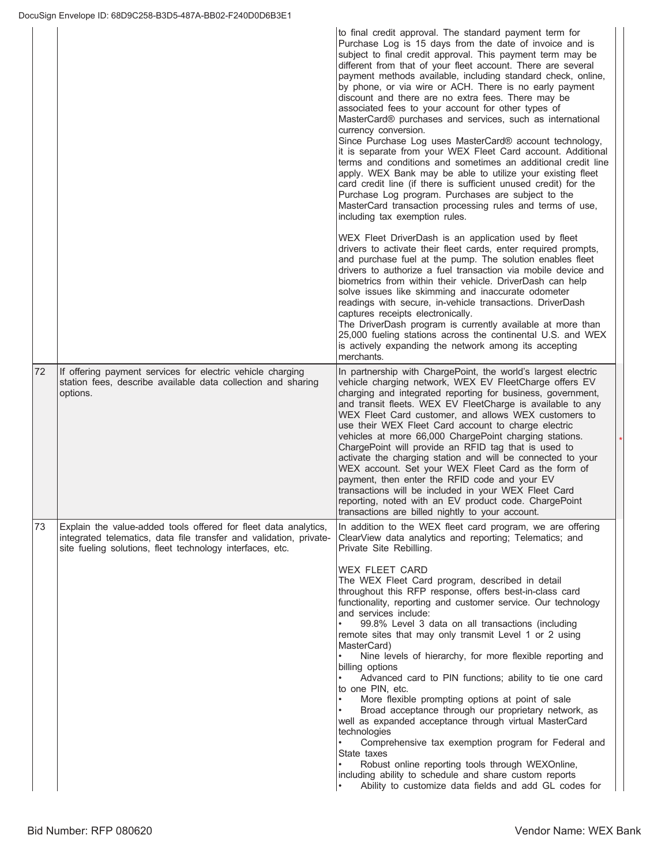|    |                                                                                                                                                                                                    | to final credit approval. The standard payment term for<br>Purchase Log is 15 days from the date of invoice and is<br>subject to final credit approval. This payment term may be<br>different from that of your fleet account. There are several<br>payment methods available, including standard check, online,<br>by phone, or via wire or ACH. There is no early payment<br>discount and there are no extra fees. There may be<br>associated fees to your account for other types of<br>MasterCard® purchases and services, such as international<br>currency conversion.<br>Since Purchase Log uses MasterCard® account technology,<br>it is separate from your WEX Fleet Card account. Additional<br>terms and conditions and sometimes an additional credit line<br>apply. WEX Bank may be able to utilize your existing fleet<br>card credit line (if there is sufficient unused credit) for the<br>Purchase Log program. Purchases are subject to the<br>MasterCard transaction processing rules and terms of use,<br>including tax exemption rules.<br>WEX Fleet DriverDash is an application used by fleet<br>drivers to activate their fleet cards, enter required prompts,<br>and purchase fuel at the pump. The solution enables fleet<br>drivers to authorize a fuel transaction via mobile device and<br>biometrics from within their vehicle. DriverDash can help<br>solve issues like skimming and inaccurate odometer<br>readings with secure, in-vehicle transactions. DriverDash<br>captures receipts electronically.<br>The DriverDash program is currently available at more than<br>25,000 fueling stations across the continental U.S. and WEX<br>is actively expanding the network among its accepting<br>merchants. |
|----|----------------------------------------------------------------------------------------------------------------------------------------------------------------------------------------------------|-----------------------------------------------------------------------------------------------------------------------------------------------------------------------------------------------------------------------------------------------------------------------------------------------------------------------------------------------------------------------------------------------------------------------------------------------------------------------------------------------------------------------------------------------------------------------------------------------------------------------------------------------------------------------------------------------------------------------------------------------------------------------------------------------------------------------------------------------------------------------------------------------------------------------------------------------------------------------------------------------------------------------------------------------------------------------------------------------------------------------------------------------------------------------------------------------------------------------------------------------------------------------------------------------------------------------------------------------------------------------------------------------------------------------------------------------------------------------------------------------------------------------------------------------------------------------------------------------------------------------------------------------------------------------------------------------------------------------------------------------|
| 72 | If offering payment services for electric vehicle charging<br>station fees, describe available data collection and sharing<br>options.                                                             | In partnership with ChargePoint, the world's largest electric<br>vehicle charging network, WEX EV FleetCharge offers EV<br>charging and integrated reporting for business, government,<br>and transit fleets. WEX EV FleetCharge is available to any<br>WEX Fleet Card customer, and allows WEX customers to<br>use their WEX Fleet Card account to charge electric<br>vehicles at more 66,000 ChargePoint charging stations.<br>ChargePoint will provide an RFID tag that is used to<br>activate the charging station and will be connected to your<br>WEX account. Set your WEX Fleet Card as the form of<br>payment, then enter the RFID code and your EV<br>transactions will be included in your WEX Fleet Card<br>reporting, noted with an EV product code. ChargePoint<br>transactions are billed nightly to your account.                                                                                                                                                                                                                                                                                                                                                                                                                                                                                                                                                                                                                                                                                                                                                                                                                                                                                                             |
| 73 | Explain the value-added tools offered for fleet data analytics,<br>integrated telematics, data file transfer and validation, private-<br>site fueling solutions, fleet technology interfaces, etc. | In addition to the WEX fleet card program, we are offering<br>ClearView data analytics and reporting; Telematics; and<br>Private Site Rebilling.<br><b>WEX FLEET CARD</b><br>The WEX Fleet Card program, described in detail<br>throughout this RFP response, offers best-in-class card<br>functionality, reporting and customer service. Our technology<br>and services include:<br>99.8% Level 3 data on all transactions (including<br>remote sites that may only transmit Level 1 or 2 using<br>MasterCard)<br>Nine levels of hierarchy, for more flexible reporting and<br>billing options<br>Advanced card to PIN functions; ability to tie one card<br>to one PIN, etc.<br>More flexible prompting options at point of sale<br>Broad acceptance through our proprietary network, as<br>well as expanded acceptance through virtual MasterCard<br>technologies<br>Comprehensive tax exemption program for Federal and<br>State taxes<br>Robust online reporting tools through WEXOnline,<br>including ability to schedule and share custom reports<br>Ability to customize data fields and add GL codes for                                                                                                                                                                                                                                                                                                                                                                                                                                                                                                                                                                                                                             |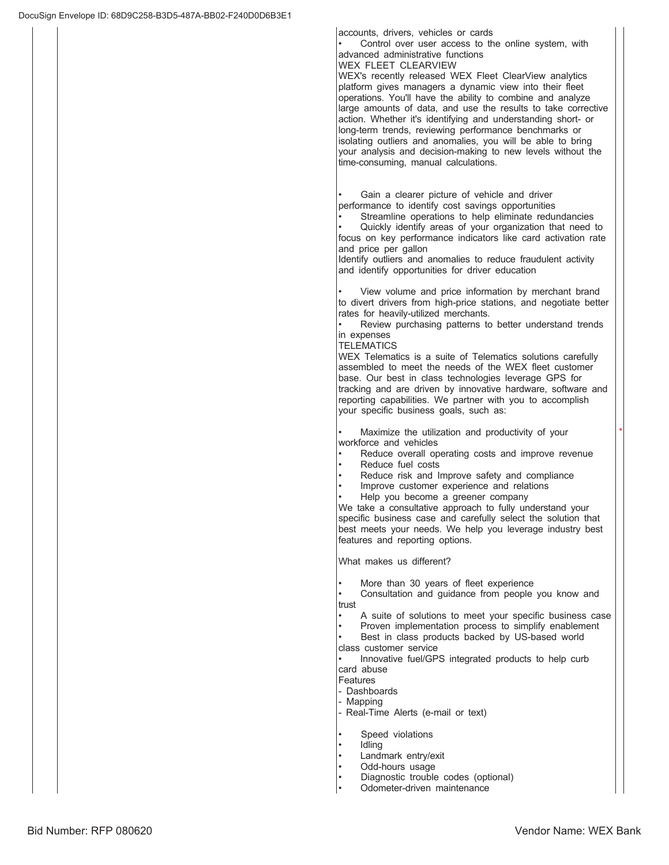accounts, drivers, vehicles or cards

Control over user access to the online system, with advanced administrative functions WEX FLEET CLEARVIEW

WEX's recently released WEX Fleet ClearView analytics platform gives managers a dynamic view into their fleet operations. You'll have the ability to combine and analyze large amounts of data, and use the results to take corrective action. Whether it's identifying and understanding short- or long-term trends, reviewing performance benchmarks or isolating outliers and anomalies, you will be able to bring your analysis and decision-making to new levels without the time-consuming, manual calculations.

Gain a clearer picture of vehicle and driver performance to identify cost savings opportunities

Streamline operations to help eliminate redundancies

Quickly identify areas of your organization that need to focus on key performance indicators like card activation rate and price per gallon

Identify outliers and anomalies to reduce fraudulent activity and identify opportunities for driver education

View volume and price information by merchant brand to divert drivers from high-price stations, and negotiate better rates for heavily-utilized merchants.

Review purchasing patterns to better understand trends in expenses

### **TELEMATICS**

WEX Telematics is a suite of Telematics solutions carefully assembled to meet the needs of the WEX fleet customer base. Our best in class technologies leverage GPS for tracking and are driven by innovative hardware, software and reporting capabilities. We partner with you to accomplish your specific business goals, such as:

Maximize the utilization and productivity of your workforce and vehicles

- Reduce overall operating costs and improve revenue
	- Reduce fuel costs
- Reduce risk and Improve safety and compliance
- Improve customer experience and relations
- Help you become a greener company

We take a consultative approach to fully understand your specific business case and carefully select the solution that best meets your needs. We help you leverage industry best features and reporting options.

What makes us different?

More than 30 years of fleet experience

Consultation and guidance from people you know and trust

- A suite of solutions to meet your specific business case
- Proven implementation process to simplify enablement
- Best in class products backed by US-based world class customer service

Innovative fuel/GPS integrated products to help curb card abuse

- Features
- Dashboards
- Mapping
- Real-Time Alerts (e-mail or text)
- Speed violations
- ldling
- Landmark entry/exit
- Odd-hours usage
- Diagnostic trouble codes (optional)
- Odometer-driven maintenance

 $\overline{\phantom{a}}$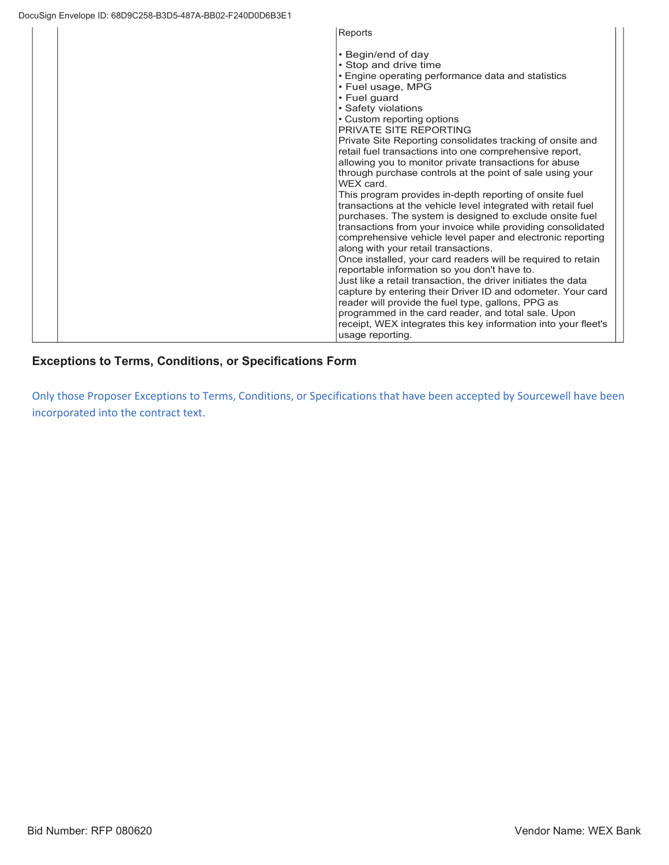| Reports                                                                                                                                                                                                                                                                                                                                                                                                                                                                                                                                                                                                                                                                                                                                                                                                                                                                                                                                                                                                                                                                                                                                                                                                      |
|--------------------------------------------------------------------------------------------------------------------------------------------------------------------------------------------------------------------------------------------------------------------------------------------------------------------------------------------------------------------------------------------------------------------------------------------------------------------------------------------------------------------------------------------------------------------------------------------------------------------------------------------------------------------------------------------------------------------------------------------------------------------------------------------------------------------------------------------------------------------------------------------------------------------------------------------------------------------------------------------------------------------------------------------------------------------------------------------------------------------------------------------------------------------------------------------------------------|
| • Begin/end of day<br>• Stop and drive time<br>• Engine operating performance data and statistics<br>• Fuel usage, MPG<br>• Fuel guard<br>• Safety violations<br>• Custom reporting options<br>PRIVATE SITE REPORTING<br>Private Site Reporting consolidates tracking of onsite and<br>retail fuel transactions into one comprehensive report,<br>allowing you to monitor private transactions for abuse<br>through purchase controls at the point of sale using your<br>WEX card.<br>This program provides in-depth reporting of onsite fuel<br>transactions at the vehicle level integrated with retail fuel<br>purchases. The system is designed to exclude onsite fuel<br>transactions from your invoice while providing consolidated<br>comprehensive vehicle level paper and electronic reporting<br>along with your retail transactions.<br>Once installed, your card readers will be required to retain<br>reportable information so you don't have to.<br>Just like a retail transaction, the driver initiates the data<br>capture by entering their Driver ID and odometer. Your card<br>reader will provide the fuel type, gallons, PPG as<br>programmed in the card reader, and total sale. Upon |
| receipt, WEX integrates this key information into your fleet's<br>usage reporting.                                                                                                                                                                                                                                                                                                                                                                                                                                                                                                                                                                                                                                                                                                                                                                                                                                                                                                                                                                                                                                                                                                                           |

# **Exceptions to Terms, Conditions, or Specifications Form**

Only those Proposer Exceptions to Terms, Conditions, or Specifications that have been accepted by Sourcewell have been incorporated into the contract text.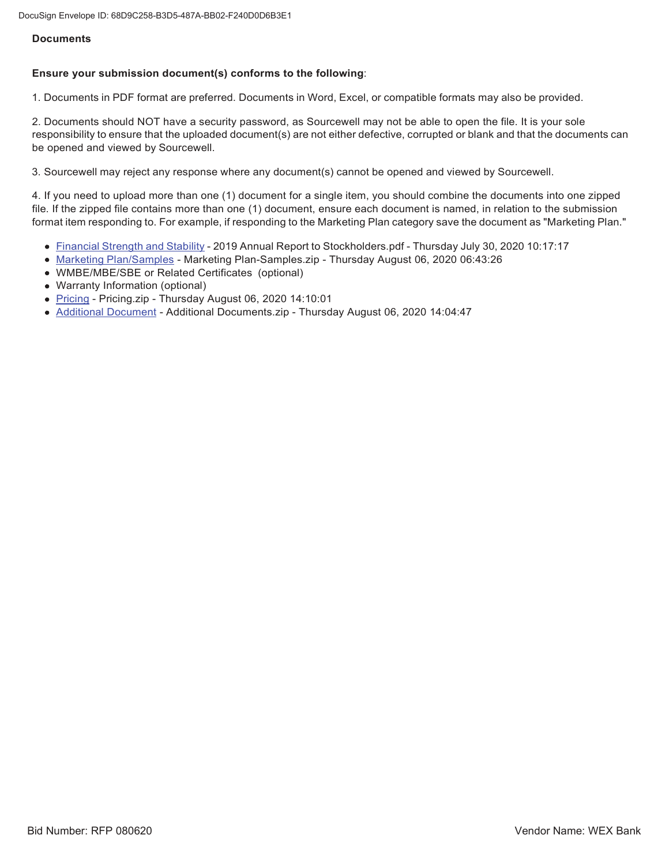## **Documents**

## **Ensure your submission document(s) conforms to the following**:

1. Documents in PDF format are preferred. Documents in Word, Excel, or compatible formats may also be provided.

2. Documents should NOT have a security password, as Sourcewell may not be able to open the file. It is your sole responsibility to ensure that the uploaded document(s) are not either defective, corrupted or blank and that the documents can be opened and viewed by Sourcewell.

3. Sourcewell may reject any response where any document(s) cannot be opened and viewed by Sourcewell.

4. If you need to upload more than one (1) document for a single item, you should combine the documents into one zipped file. If the zipped file contains more than one (1) document, ensure each document is named, in relation to the submission format item responding to. For example, if responding to the Marketing Plan category save the document as "Marketing Plan."

- Financial Strength and Stability 2019 Annual Report to Stockholders.pdf Thursday July 30, 2020 10:17:17
- Marketing Plan/Samples Marketing Plan-Samples.zip Thursday August 06, 2020 06:43:26
- WMBE/MBE/SBE or Related Certificates (optional)
- Warranty Information (optional)
- Pricing Pricing.zip Thursday August 06, 2020 14:10:01
- Additional Document Additional Documents.zip Thursday August 06, 2020 14:04:47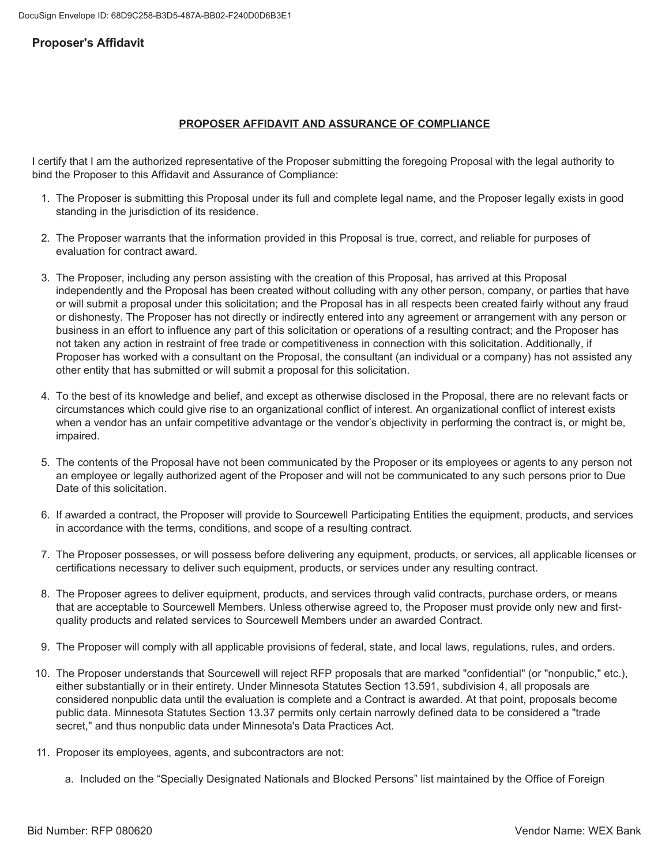# **Proposer's Affidavit**

## **PROPOSER AFFIDAVIT AND ASSURANCE OF COMPLIANCE**

I certify that I am the authorized representative of the Proposer submitting the foregoing Proposal with the legal authority to bind the Proposer to this Affidavit and Assurance of Compliance:

- 1. The Proposer is submitting this Proposal under its full and complete legal name, and the Proposer legally exists in good standing in the jurisdiction of its residence.
- 2. The Proposer warrants that the information provided in this Proposal is true, correct, and reliable for purposes of evaluation for contract award.
- 3. The Proposer, including any person assisting with the creation of this Proposal, has arrived at this Proposal independently and the Proposal has been created without colluding with any other person, company, or parties that have or will submit a proposal under this solicitation; and the Proposal has in all respects been created fairly without any fraud or dishonesty. The Proposer has not directly or indirectly entered into any agreement or arrangement with any person or business in an effort to influence any part of this solicitation or operations of a resulting contract; and the Proposer has not taken any action in restraint of free trade or competitiveness in connection with this solicitation. Additionally, if Proposer has worked with a consultant on the Proposal, the consultant (an individual or a company) has not assisted any other entity that has submitted or will submit a proposal for this solicitation.
- 4. To the best of its knowledge and belief, and except as otherwise disclosed in the Proposal, there are no relevant facts or circumstances which could give rise to an organizational conflict of interest. An organizational conflict of interest exists when a vendor has an unfair competitive advantage or the vendor's objectivity in performing the contract is, or might be, impaired.
- 5. The contents of the Proposal have not been communicated by the Proposer or its employees or agents to any person not an emplovee or legally authorized agent of the Proposer and will not be communicated to any such persons prior to Due Date of this solicitation.
- 6. If awarded a contract, the Proposer will provide to Sourcewell Participating Entities the equipment, products, and services in accordance with the terms, conditions, and scope of a resulting contract.
- 7. The Proposer possesses, or will possess before delivering any equipment, products, or services, all applicable licenses or certifications necessary to deliver such equipment, products, or services under any resulting contract.
- 8. The Proposer agrees to deliver equipment, products, and services through valid contracts, purchase orders, or means that are acceptable to Sourcewell Members. Unless otherwise agreed to, the Proposer must provide only new and firstquality products and related services to Sourcewell Members under an awarded Contract.
- 9. The Proposer will comply with all applicable provisions of federal, state, and local laws, regulations, rules, and orders.
- 10. The Proposer understands that Sourcewell will reject RFP proposals that are marked "confidential" (or "nonpublic," etc.), either substantially or in their entirety. Under Minnesota Statutes Section 13.591, subdivision 4, all proposals are considered nonpublic data until the evaluation is complete and a Contract is awarded. At that point, proposals become public data. Minnesota Statutes Section 13.37 permits only certain narrowly defined data to be considered a "trade secret," and thus nonpublic data under Minnesota's Data Practices Act.
- 11. Proposer its employees, agents, and subcontractors are not:
	- a. Included on the "Specially Designated Nationals and Blocked Persons" list maintained by the Office of Foreign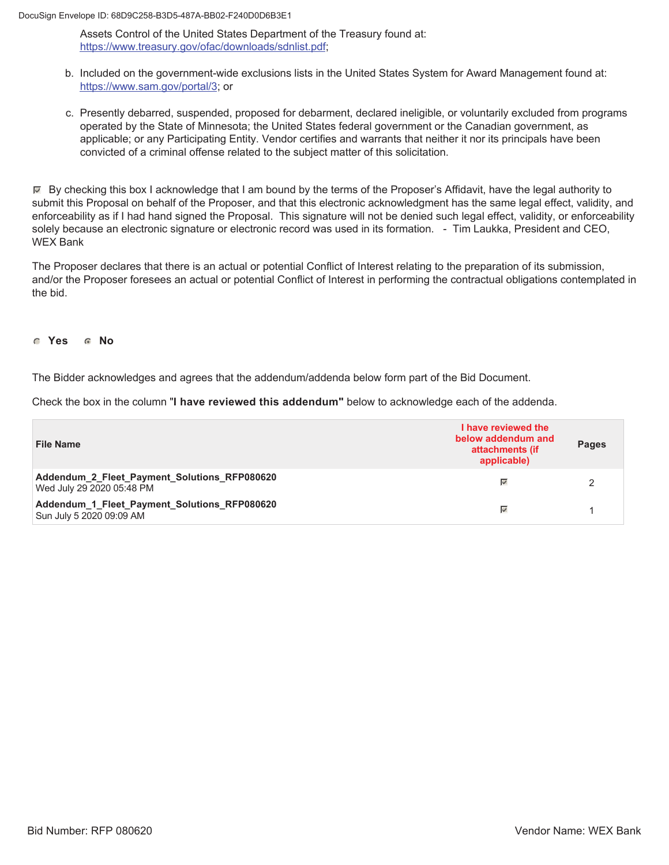DocuSign Envelope ID: 68D9C258-B3D5-487A-BB02-F240D0D6B3E1

Assets Control of the United States Department of the Treasury found at: https://www.treasury.gov/ofac/downloads/sdnlist.pdf;

- b. Included on the government-wide exclusions lists in the United States System for Award Management found at: https://www.sam.gov/portal/3; or
- c. Presently debarred, suspended, proposed for debarment, declared ineligible, or voluntarily excluded from programs operated by the State of Minnesota; the United States federal government or the Canadian government, as applicable; or any Participating Entity. Vendor certifies and warrants that neither it nor its principals have been convicted of a criminal offense related to the subject matter of this solicitation.

 $\mathbb F$  By checking this box I acknowledge that I am bound by the terms of the Proposer's Affidavit, have the legal authority to submit this Proposal on behalf of the Proposer, and that this electronic acknowledgment has the same legal effect, validity, and enforceability as if I had hand signed the Proposal. This signature will not be denied such legal effect, validity, or enforceability solely because an electronic signature or electronic record was used in its formation. - Tim Laukka, President and CEO, WEX Bank

The Proposer declares that there is an actual or potential Conflict of Interest relating to the preparation of its submission, and/or the Proposer foresees an actual or potential Conflict of Interest in performing the contractual obligations contemplated in the bid.

## **6** Yes **6** No

The Bidder acknowledges and agrees that the addendum/addenda below form part of the Bid Document.

Check the box in the column "I have reviewed this addendum" below to acknowledge each of the addenda.

| <b>File Name</b>                                                          | I have reviewed the<br>below addendum and<br>attachments (if<br>applicable) | <b>Pages</b> |
|---------------------------------------------------------------------------|-----------------------------------------------------------------------------|--------------|
| Addendum_2_Fleet_Payment_Solutions_RFP080620<br>Wed July 29 2020 05:48 PM | $\overline{\mathscr{A}}$                                                    |              |
| Addendum_1_Fleet_Payment_Solutions_RFP080620<br>Sun July 5 2020 09:09 AM  | $\overline{\mathscr{S}}$                                                    |              |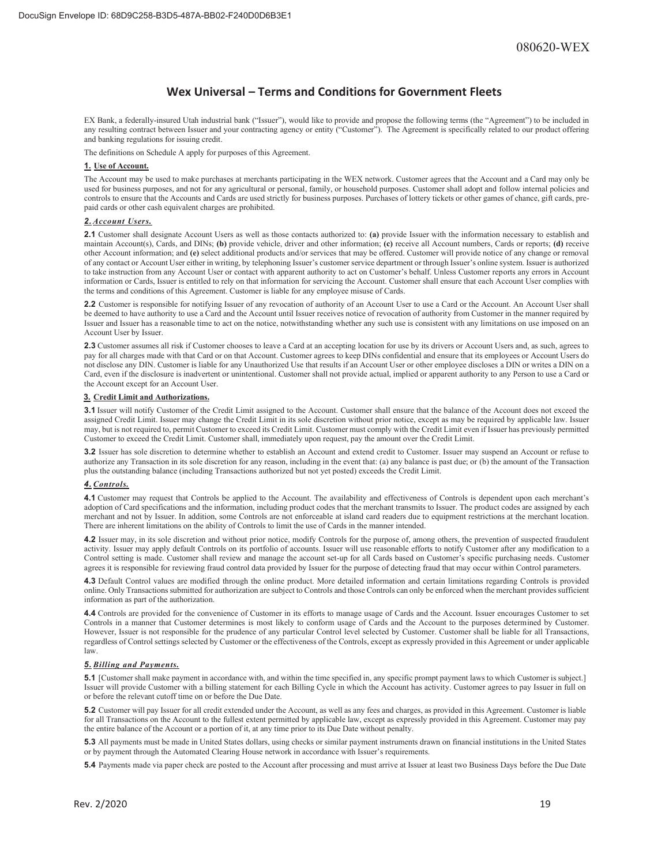## **Wex Universal – Terms and Conditions for Government Fleets**

EX Bank, a federally-insured Utah industrial bank ("Issuer"), would like to provide and propose the following terms (the "Agreement") to be included in any resulting contract between Issuer and your contracting agency or entity ("Customer"). The Agreement is specifically related to our product offering and banking regulations for issuing credit.

The definitions on Schedule A apply for purposes of this Agreement.

### **1. Use of Account.**

The Account may be used to make purchases at merchants participating in the WEX network. Customer agrees that the Account and a Card may only be used for business purposes, and not for any agricultural or personal, family, or household purposes. Customer shall adopt and follow internal policies and controls to ensure that the Accounts and Cards are used strictly for business purposes. Purchases of lottery tickets or other games of chance, gift cards, prepaid cards or other cash equivalent charges are prohibited.

### *2. Account Users.*

**2.1** Customer shall designate Account Users as well as those contacts authorized to: **(a)** provide Issuer with the information necessary to establish and maintain Account(s), Cards, and DINs; **(b)** provide vehicle, driver and other information; **(c)** receive all Account numbers, Cards or reports; **(d)** receive other Account information; and **(e)** select additional products and/or services that may be offered. Customer will provide notice of any change or removal of any contact or Account User either in writing, by telephoning Issuer's customer service department or through Issuer's online system. Issuer is authorized to take instruction from any Account User or contact with apparent authority to act on Customer's behalf. Unless Customer reports any errors in Account information or Cards, Issuer is entitled to rely on that information for servicing the Account. Customer shall ensure that each Account User complies with the terms and conditions of this Agreement. Customer is liable for any employee misuse of Cards.

**2.2** Customer is responsible for notifying Issuer of any revocation of authority of an Account User to use a Card or the Account. An Account User shall be deemed to have authority to use a Card and the Account until Issuer receives notice of revocation of authority from Customer in the manner required by Issuer and Issuer has a reasonable time to act on the notice, notwithstanding whether any such use is consistent with any limitations on use imposed on an Account User by Issuer.

**2.3** Customer assumes all risk if Customer chooses to leave a Card at an accepting location for use by its drivers or Account Users and, as such, agrees to pay for all charges made with that Card or on that Account. Customer agrees to keep DINs confidential and ensure that its employees or Account Users do not disclose any DIN. Customer is liable for any Unauthorized Use that results if an Account User or other employee discloses a DIN or writes a DIN on a Card, even if the disclosure is inadvertent or unintentional. Customer shall not provide actual, implied or apparent authority to any Person to use a Card or the Account except for an Account User.

### **3. Credit Limit and Authorizations.**

**3.1** Issuer will notify Customer of the Credit Limit assigned to the Account. Customer shall ensure that the balance of the Account does not exceed the assigned Credit Limit. Issuer may change the Credit Limit in its sole discretion without prior notice, except as may be required by applicable law. Issuer may, but is not required to, permit Customer to exceed its Credit Limit. Customer must comply with the Credit Limit even if Issuer has previously permitted Customer to exceed the Credit Limit. Customer shall, immediately upon request, pay the amount over the Credit Limit.

**3.2** Issuer has sole discretion to determine whether to establish an Account and extend credit to Customer. Issuer may suspend an Account or refuse to authorize any Transaction in its sole discretion for any reason, including in the event that: (a) any balance is past due; or (b) the amount of the Transaction plus the outstanding balance (including Transactions authorized but not yet posted) exceeds the Credit Limit.

### *4. Controls.*

**4.1** Customer may request that Controls be applied to the Account. The availability and effectiveness of Controls is dependent upon each merchant's adoption of Card specifications and the information, including product codes that the merchant transmits to Issuer. The product codes are assigned by each merchant and not by Issuer. In addition, some Controls are not enforceable at island card readers due to equipment restrictions at the merchant location. There are inherent limitations on the ability of Controls to limit the use of Cards in the manner intended.

**4.2** Issuer may, in its sole discretion and without prior notice, modify Controls for the purpose of, among others, the prevention of suspected fraudulent activity. Issuer may apply default Controls on its portfolio of accounts. Issuer will use reasonable efforts to notify Customer after any modification to a Control setting is made. Customer shall review and manage the account set-up for all Cards based on Customer's specific purchasing needs. Customer agrees it is responsible for reviewing fraud control data provided by Issuer for the purpose of detecting fraud that may occur within Control parameters.

**4.3** Default Control values are modified through the online product. More detailed information and certain limitations regarding Controls is provided online. Only Transactions submitted for authorization are subject to Controls and those Controls can only be enforced when the merchant provides sufficient information as part of the authorization.

**4.4** Controls are provided for the convenience of Customer in its efforts to manage usage of Cards and the Account. Issuer encourages Customer to set Controls in a manner that Customer determines is most likely to conform usage of Cards and the Account to the purposes determined by Customer. However, Issuer is not responsible for the prudence of any particular Control level selected by Customer. Customer shall be liable for all Transactions, regardless of Control settings selected by Customer or the effectiveness of the Controls, except as expressly provided in this Agreement or under applicable law.

### *5. Billing and Payments.*

**5.1** [Customer shall make payment in accordance with, and within the time specified in, any specific prompt payment laws to which Customer is subject.] Issuer will provide Customer with a billing statement for each Billing Cycle in which the Account has activity. Customer agrees to pay Issuer in full on or before the relevant cutoff time on or before the Due Date.

**5.2** Customer will pay Issuer for all credit extended under the Account, as well as any fees and charges, as provided in this Agreement. Customer is liable for all Transactions on the Account to the fullest extent permitted by applicable law, except as expressly provided in this Agreement. Customer may pay the entire balance of the Account or a portion of it, at any time prior to its Due Date without penalty.

**5.3** All payments must be made in United States dollars, using checks or similar payment instruments drawn on financial institutions in the United States or by payment through the Automated Clearing House network in accordance with Issuer's requirements.

**5.4** Payments made via paper check are posted to the Account after processing and must arrive at Issuer at least two Business Days before the Due Date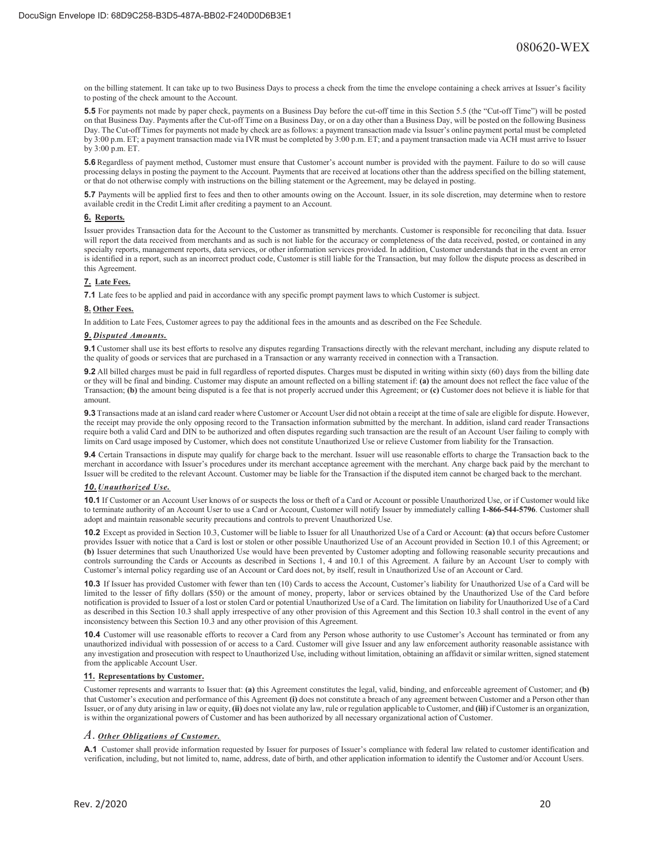on the billing statement. It can take up to two Business Days to process a check from the time the envelope containing a check arrives at Issuer's facility to posting of the check amount to the Account.

**5.5** For payments not made by paper check, payments on a Business Day before the cut-off time in this Section 5.5 (the "Cut-off Time") will be posted on that Business Day. Payments after the Cut-off Time on a Business Day, or on a day other than a Business Day, will be posted on the following Business Day. The Cut-off Times for payments not made by check are as follows: a payment transaction made via Issuer's online payment portal must be completed by 3:00 p.m. ET; a payment transaction made via IVR must be completed by 3:00 p.m. ET; and a payment transaction made via ACH must arrive to Issuer by 3:00 p.m. ET.

**5.6** Regardless of payment method, Customer must ensure that Customer's account number is provided with the payment. Failure to do so will cause processing delays in posting the payment to the Account. Payments that are received at locations other than the address specified on the billing statement, or that do not otherwise comply with instructions on the billing statement or the Agreement, may be delayed in posting.

**5.7** Payments will be applied first to fees and then to other amounts owing on the Account. Issuer, in its sole discretion, may determine when to restore available credit in the Credit Limit after crediting a payment to an Account.

### **6. Reports.**

Issuer provides Transaction data for the Account to the Customer as transmitted by merchants. Customer is responsible for reconciling that data. Issuer will report the data received from merchants and as such is not liable for the accuracy or completeness of the data received, posted, or contained in any specialty reports, management reports, data services, or other information services provided. In addition, Customer understands that in the event an error is identified in a report, such as an incorrect product code, Customer is still liable for the Transaction, but may follow the dispute process as described in this Agreement.

### **7. Late Fees.**

**7.1** Late fees to be applied and paid in accordance with any specific prompt payment laws to which Customer is subject.

### **8. Other Fees.**

In addition to Late Fees, Customer agrees to pay the additional fees in the amounts and as described on the Fee Schedule.

### *9. Disputed Amounts.*

**9.1** Customer shall use its best efforts to resolve any disputes regarding Transactions directly with the relevant merchant, including any dispute related to the quality of goods or services that are purchased in a Transaction or any warranty received in connection with a Transaction.

**9.2** All billed charges must be paid in full regardless of reported disputes. Charges must be disputed in writing within sixty (60) days from the billing date or they will be final and binding. Customer may dispute an amount reflected on a billing statement if: **(a)** the amount does not reflect the face value of the Transaction; **(b)** the amount being disputed is a fee that is not properly accrued under this Agreement; or **(c)** Customer does not believe it is liable for that amount.

**9.3** Transactions made at an island card reader where Customer or Account User did not obtain a receipt at the time of sale are eligible for dispute. However, the receipt may provide the only opposing record to the Transaction information submitted by the merchant. In addition, island card reader Transactions require both a valid Card and DIN to be authorized and often disputes regarding such transaction are the result of an Account User failing to comply with limits on Card usage imposed by Customer, which does not constitute Unauthorized Use or relieve Customer from liability for the Transaction.

**9.4** Certain Transactions in dispute may qualify for charge back to the merchant. Issuer will use reasonable efforts to charge the Transaction back to the merchant in accordance with Issuer's procedures under its merchant acceptance agreement with the merchant. Any charge back paid by the merchant to Issuer will be credited to the relevant Account. Customer may be liable for the Transaction if the disputed item cannot be charged back to the merchant.

### *10. Unauthorized Use.*

**10.1** If Customer or an Account User knows of or suspects the loss or theft of a Card or Account or possible Unauthorized Use, or if Customer would like to terminate authority of an Account User to use a Card or Account, Customer will notify Issuer by immediately calling **1-866-544-5796**. Customer shall adopt and maintain reasonable security precautions and controls to prevent Unauthorized Use.

**10.2** Except as provided in Section 10.3, Customer will be liable to Issuer for all Unauthorized Use of a Card or Account: **(a)** that occurs before Customer provides Issuer with notice that a Card is lost or stolen or other possible Unauthorized Use of an Account provided in Section 10.1 of this Agreement; or **(b)** Issuer determines that such Unauthorized Use would have been prevented by Customer adopting and following reasonable security precautions and controls surrounding the Cards or Accounts as described in Sections 1, 4 and 10.1 of this Agreement. A failure by an Account User to comply with Customer's internal policy regarding use of an Account or Card does not, by itself, result in Unauthorized Use of an Account or Card.

**10.3** If Issuer has provided Customer with fewer than ten (10) Cards to access the Account, Customer's liability for Unauthorized Use of a Card will be limited to the lesser of fifty dollars (\$50) or the amount of money, property, labor or services obtained by the Unauthorized Use of the Card before notification is provided to Issuer of a lost or stolen Card or potential Unauthorized Use of a Card. The limitation on liability for Unauthorized Use of a Card as described in this Section 10.3 shall apply irrespective of any other provision of this Agreement and this Section 10.3 shall control in the event of any inconsistency between this Section 10.3 and any other provision of this Agreement.

**10.4** Customer will use reasonable efforts to recover a Card from any Person whose authority to use Customer's Account has terminated or from any unauthorized individual with possession of or access to a Card. Customer will give Issuer and any law enforcement authority reasonable assistance with any investigation and prosecution with respect to Unauthorized Use, including without limitation, obtaining an affidavit or similar written, signed statement from the applicable Account User.

### **11. Representations by Customer.**

Customer represents and warrants to Issuer that: **(a)** this Agreement constitutes the legal, valid, binding, and enforceable agreement of Customer; and **(b)**  that Customer's execution and performance of this Agreement **(i)** does not constitute a breach of any agreement between Customer and a Person other than Issuer, or of any duty arising in law or equity, **(ii)** does not violate any law, rule or regulation applicable to Customer, and **(iii)** if Customer is an organization, is within the organizational powers of Customer and has been authorized by all necessary organizational action of Customer.

### *A. Other Obligations of Customer.*

**A.1** Customer shall provide information requested by Issuer for purposes of Issuer's compliance with federal law related to customer identification and verification, including, but not limited to, name, address, date of birth, and other application information to identify the Customer and/or Account Users.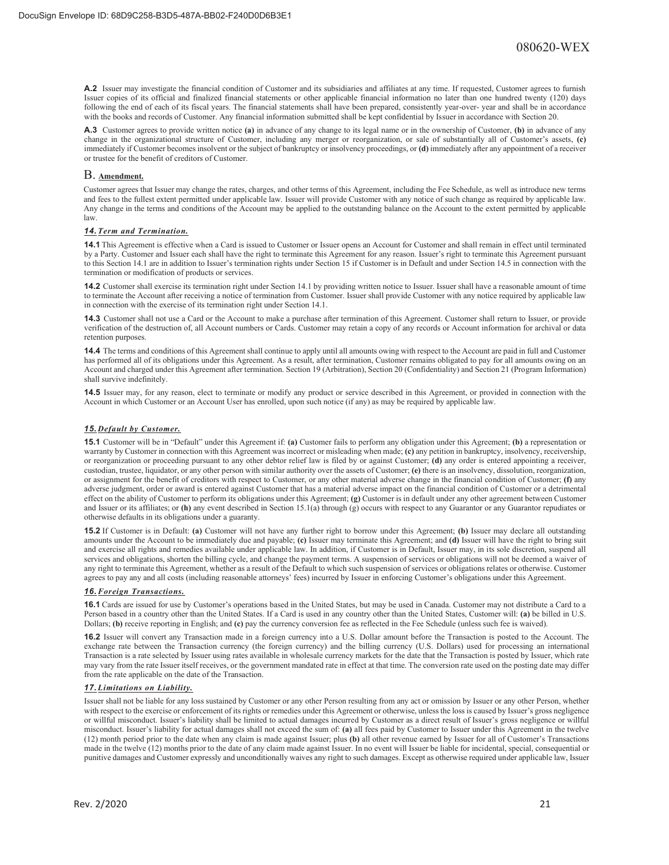**A.2** Issuer may investigate the financial condition of Customer and its subsidiaries and affiliates at any time. If requested, Customer agrees to furnish Issuer copies of its official and finalized financial statements or other applicable financial information no later than one hundred twenty (120) days following the end of each of its fiscal years. The financial statements shall have been prepared, consistently year-over- year and shall be in accordance with the books and records of Customer. Any financial information submitted shall be kept confidential by Issuer in accordance with Section 20.

**A.3** Customer agrees to provide written notice **(a)** in advance of any change to its legal name or in the ownership of Customer, **(b)** in advance of any change in the organizational structure of Customer, including any merger or reorganization, or sale of substantially all of Customer's assets, **(c)**  immediately if Customer becomes insolvent or the subject of bankruptcy or insolvency proceedings, or **(d)** immediately after any appointment of a receiver or trustee for the benefit of creditors of Customer.

### B. **Amendment.**

Customer agrees that Issuer may change the rates, charges, and other terms of this Agreement, including the Fee Schedule, as well as introduce new terms and fees to the fullest extent permitted under applicable law. Issuer will provide Customer with any notice of such change as required by applicable law. Any change in the terms and conditions of the Account may be applied to the outstanding balance on the Account to the extent permitted by applicable law.

### *14. Term and Termination.*

**14.1** This Agreement is effective when a Card is issued to Customer or Issuer opens an Account for Customer and shall remain in effect until terminated by a Party. Customer and Issuer each shall have the right to terminate this Agreement for any reason. Issuer's right to terminate this Agreement pursuant to this Section 14.1 are in addition to Issuer's termination rights under Section 15 if Customer is in Default and under Section 14.5 in connection with the termination or modification of products or services.

**14.2** Customer shall exercise its termination right under Section 14.1 by providing written notice to Issuer. Issuer shall have a reasonable amount of time to terminate the Account after receiving a notice of termination from Customer. Issuer shall provide Customer with any notice required by applicable law in connection with the exercise of its termination right under Section 14.1.

**14.3** Customer shall not use a Card or the Account to make a purchase after termination of this Agreement. Customer shall return to Issuer, or provide verification of the destruction of, all Account numbers or Cards. Customer may retain a copy of any records or Account information for archival or data retention purposes.

**14.4** The terms and conditions of this Agreement shall continue to apply until all amounts owing with respect to the Account are paid in full and Customer has performed all of its obligations under this Agreement. As a result, after termination, Customer remains obligated to pay for all amounts owing on an Account and charged under this Agreement after termination. Section 19 (Arbitration), Section 20 (Confidentiality) and Section 21 (Program Information) shall survive indefinitely.

**14.5** Issuer may, for any reason, elect to terminate or modify any product or service described in this Agreement, or provided in connection with the Account in which Customer or an Account User has enrolled, upon such notice (if any) as may be required by applicable law.

### *15. Default by Customer.*

**15.1** Customer will be in "Default" under this Agreement if: **(a)** Customer fails to perform any obligation under this Agreement; **(b)** a representation or warranty by Customer in connection with this Agreement was incorrect or misleading when made; **(c)** any petition in bankruptcy, insolvency, receivership, or reorganization or proceeding pursuant to any other debtor relief law is filed by or against Customer; **(d)** any order is entered appointing a receiver, custodian, trustee, liquidator, or any other person with similar authority over the assets of Customer; **(e)** there is an insolvency, dissolution, reorganization, or assignment for the benefit of creditors with respect to Customer, or any other material adverse change in the financial condition of Customer; **(f)** any adverse judgment, order or award is entered against Customer that has a material adverse impact on the financial condition of Customer or a detrimental effect on the ability of Customer to perform its obligations under this Agreement; **(g)** Customer is in default under any other agreement between Customer and Issuer or its affiliates; or **(h)** any event described in Section 15.1(a) through (g) occurs with respect to any Guarantor or any Guarantor repudiates or otherwise defaults in its obligations under a guaranty.

**15.2** If Customer is in Default: **(a)** Customer will not have any further right to borrow under this Agreement; **(b)** Issuer may declare all outstanding amounts under the Account to be immediately due and payable; **(c)** Issuer may terminate this Agreement; and **(d)** Issuer will have the right to bring suit and exercise all rights and remedies available under applicable law. In addition, if Customer is in Default, Issuer may, in its sole discretion, suspend all services and obligations, shorten the billing cycle, and change the payment terms. A suspension of services or obligations will not be deemed a waiver of any right to terminate this Agreement, whether as a result of the Default to which such suspension of services or obligations relates or otherwise. Customer agrees to pay any and all costs (including reasonable attorneys' fees) incurred by Issuer in enforcing Customer's obligations under this Agreement.

### *16. Foreign Transactions.*

**16.1** Cards are issued for use by Customer's operations based in the United States, but may be used in Canada. Customer may not distribute a Card to a Person based in a country other than the United States. If a Card is used in any country other than the United States, Customer will: **(a)** be billed in U.S. Dollars; **(b)** receive reporting in English; and **(c)** pay the currency conversion fee as reflected in the Fee Schedule (unless such fee is waived).

**16.2** Issuer will convert any Transaction made in a foreign currency into a U.S. Dollar amount before the Transaction is posted to the Account. The exchange rate between the Transaction currency (the foreign currency) and the billing currency (U.S. Dollars) used for processing an international Transaction is a rate selected by Issuer using rates available in wholesale currency markets for the date that the Transaction is posted by Issuer, which rate may vary from the rate Issuer itself receives, or the government mandated rate in effect at that time. The conversion rate used on the posting date may differ from the rate applicable on the date of the Transaction.

### *17. Limitations on Liability.*

Issuer shall not be liable for any loss sustained by Customer or any other Person resulting from any act or omission by Issuer or any other Person, whether with respect to the exercise or enforcement of its rights or remedies under this Agreement or otherwise, unless the loss is caused by Issuer's gross negligence or willful misconduct. Issuer's liability shall be limited to actual damages incurred by Customer as a direct result of Issuer's gross negligence or willful misconduct. Issuer's liability for actual damages shall not exceed the sum of: **(a)** all fees paid by Customer to Issuer under this Agreement in the twelve (12) month period prior to the date when any claim is made against Issuer; plus **(b)** all other revenue earned by Issuer for all of Customer's Transactions made in the twelve (12) months prior to the date of any claim made against Issuer. In no event will Issuer be liable for incidental, special, consequential or punitive damages and Customer expressly and unconditionally waives any right to such damages. Except as otherwise required under applicable law, Issuer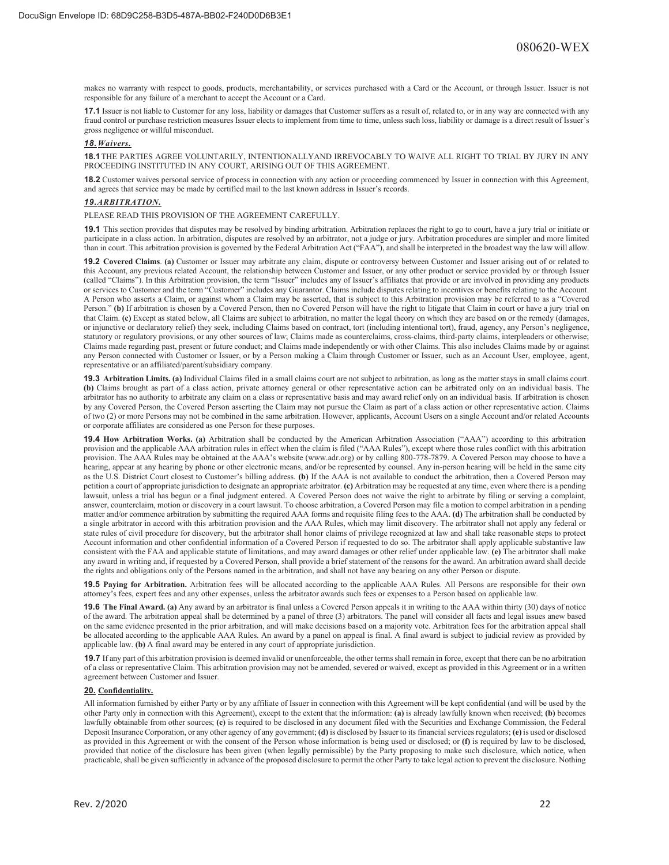makes no warranty with respect to goods, products, merchantability, or services purchased with a Card or the Account, or through Issuer. Issuer is not responsible for any failure of a merchant to accept the Account or a Card.

**17.1** Issuer is not liable to Customer for any loss, liability or damages that Customer suffers as a result of, related to, or in any way are connected with any fraud control or purchase restriction measures Issuer elects to implement from time to time, unless such loss, liability or damage is a direct result of Issuer's gross negligence or willful misconduct.

### *18. Waivers.*

**18.1** THE PARTIES AGREE VOLUNTARILY, INTENTIONALLYAND IRREVOCABLY TO WAIVE ALL RIGHT TO TRIAL BY JURY IN ANY PROCEEDING INSTITUTED IN ANY COURT, ARISING OUT OF THIS AGREEMENT.

**18.2** Customer waives personal service of process in connection with any action or proceeding commenced by Issuer in connection with this Agreement, and agrees that service may be made by certified mail to the last known address in Issuer's records.

### *19. ARBITRATION.*

PLEASE READ THIS PROVISION OF THE AGREEMENT CAREFULLY.

**19.1** This section provides that disputes may be resolved by binding arbitration. Arbitration replaces the right to go to court, have a jury trial or initiate or participate in a class action. In arbitration, disputes are resolved by an arbitrator, not a judge or jury. Arbitration procedures are simpler and more limited than in court. This arbitration provision is governed by the Federal Arbitration Act ("FAA"), and shall be interpreted in the broadest way the law will allow.

**19.2 Covered Claims**. **(a)** Customer or Issuer may arbitrate any claim, dispute or controversy between Customer and Issuer arising out of or related to this Account, any previous related Account, the relationship between Customer and Issuer, or any other product or service provided by or through Issuer (called "Claims"). In this Arbitration provision, the term "Issuer" includes any of Issuer's affiliates that provide or are involved in providing any products or services to Customer and the term "Customer" includes any Guarantor. Claims include disputes relating to incentives or benefits relating to the Account. A Person who asserts a Claim, or against whom a Claim may be asserted, that is subject to this Arbitration provision may be referred to as a "Covered Person." **(b)** If arbitration is chosen by a Covered Person, then no Covered Person will have the right to litigate that Claim in court or have a jury trial on that Claim. **(c)** Except as stated below, all Claims are subject to arbitration, no matter the legal theory on which they are based on or the remedy (damages, or injunctive or declaratory relief) they seek, including Claims based on contract, tort (including intentional tort), fraud, agency, any Person's negligence, statutory or regulatory provisions, or any other sources of law; Claims made as counterclaims, cross-claims, third-party claims, interpleaders or otherwise; Claims made regarding past, present or future conduct; and Claims made independently or with other Claims. This also includes Claims made by or against any Person connected with Customer or Issuer, or by a Person making a Claim through Customer or Issuer, such as an Account User, employee, agent, representative or an affiliated/parent/subsidiary company.

**19.3 Arbitration Limits. (a)** Individual Claims filed in a small claims court are not subject to arbitration, as long as the matter stays in small claims court. **(b)** Claims brought as part of a class action, private attorney general or other representative action can be arbitrated only on an individual basis. The arbitrator has no authority to arbitrate any claim on a class or representative basis and may award relief only on an individual basis. If arbitration is chosen by any Covered Person, the Covered Person asserting the Claim may not pursue the Claim as part of a class action or other representative action. Claims of two (2) or more Persons may not be combined in the same arbitration. However, applicants, Account Users on a single Account and/or related Accounts or corporate affiliates are considered as one Person for these purposes.

**19.4 How Arbitration Works. (a)** Arbitration shall be conducted by the American Arbitration Association ("AAA") according to this arbitration provision and the applicable AAA arbitration rules in effect when the claim is filed ("AAA Rules"), except where those rules conflict with this arbitration provision. The AAA Rules may be obtained at the AAA's website (www.adr.org) or by calling 800-778-7879. A Covered Person may choose to have a hearing, appear at any hearing by phone or other electronic means, and/or be represented by counsel. Any in-person hearing will be held in the same city as the U.S. District Court closest to Customer's billing address. **(b)** If the AAA is not available to conduct the arbitration, then a Covered Person may petition a court of appropriate jurisdiction to designate an appropriate arbitrator. **(c)** Arbitration may be requested at any time, even where there is a pending lawsuit, unless a trial has begun or a final judgment entered. A Covered Person does not waive the right to arbitrate by filing or serving a complaint, answer, counterclaim, motion or discovery in a court lawsuit. To choose arbitration, a Covered Person may file a motion to compel arbitration in a pending matter and/or commence arbitration by submitting the required AAA forms and requisite filing fees to the AAA. **(d)** The arbitration shall be conducted by a single arbitrator in accord with this arbitration provision and the AAA Rules, which may limit discovery. The arbitrator shall not apply any federal or state rules of civil procedure for discovery, but the arbitrator shall honor claims of privilege recognized at law and shall take reasonable steps to protect Account information and other confidential information of a Covered Person if requested to do so. The arbitrator shall apply applicable substantive law consistent with the FAA and applicable statute of limitations, and may award damages or other relief under applicable law. **(e)** The arbitrator shall make any award in writing and, if requested by a Covered Person, shall provide a brief statement of the reasons for the award. An arbitration award shall decide the rights and obligations only of the Persons named in the arbitration, and shall not have any bearing on any other Person or dispute.

**19.5 Paying for Arbitration.** Arbitration fees will be allocated according to the applicable AAA Rules. All Persons are responsible for their own attorney's fees, expert fees and any other expenses, unless the arbitrator awards such fees or expenses to a Person based on applicable law.

**19.6 The Final Award. (a)** Any award by an arbitrator is final unless a Covered Person appeals it in writing to the AAA within thirty (30) days of notice of the award. The arbitration appeal shall be determined by a panel of three (3) arbitrators. The panel will consider all facts and legal issues anew based on the same evidence presented in the prior arbitration, and will make decisions based on a majority vote. Arbitration fees for the arbitration appeal shall be allocated according to the applicable AAA Rules. An award by a panel on appeal is final. A final award is subject to judicial review as provided by applicable law. **(b)** A final award may be entered in any court of appropriate jurisdiction.

**19.7** If any part of this arbitration provision is deemed invalid or unenforceable, the other terms shall remain in force, except that there can be no arbitration of a class or representative Claim. This arbitration provision may not be amended, severed or waived, except as provided in this Agreement or in a written agreement between Customer and Issuer.

### **20. Confidentiality.**

All information furnished by either Party or by any affiliate of Issuer in connection with this Agreement will be kept confidential (and will be used by the other Party only in connection with this Agreement), except to the extent that the information: **(a)** is already lawfully known when received; **(b)** becomes lawfully obtainable from other sources; **(c)** is required to be disclosed in any document filed with the Securities and Exchange Commission, the Federal Deposit Insurance Corporation, or any other agency of any government; **(d)** is disclosed by Issuer to its financial services regulators; **(e)** is used or disclosed as provided in this Agreement or with the consent of the Person whose information is being used or disclosed; or **(f)** is required by law to be disclosed, provided that notice of the disclosure has been given (when legally permissible) by the Party proposing to make such disclosure, which notice, when practicable, shall be given sufficiently in advance of the proposed disclosure to permit the other Party to take legal action to prevent the disclosure. Nothing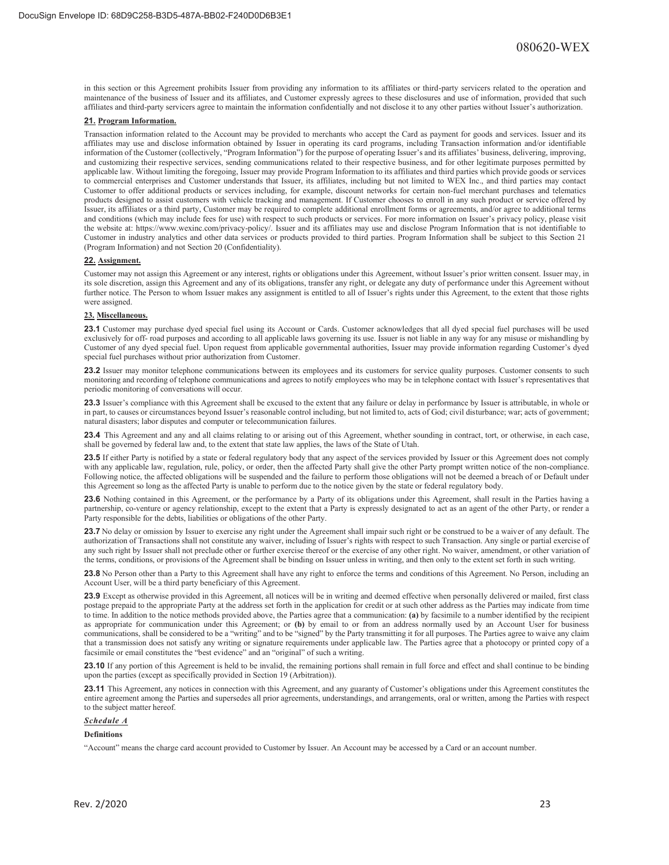in this section or this Agreement prohibits Issuer from providing any information to its affiliates or third-party servicers related to the operation and maintenance of the business of Issuer and its affiliates, and Customer expressly agrees to these disclosures and use of information, provided that such affiliates and third-party servicers agree to maintain the information confidentially and not disclose it to any other parties without Issuer's authorization.

### **21. Program Information.**

Transaction information related to the Account may be provided to merchants who accept the Card as payment for goods and services. Issuer and its affiliates may use and disclose information obtained by Issuer in operating its card programs, including Transaction information and/or identifiable information of the Customer (collectively, "Program Information") for the purpose of operating Issuer's and its affiliates' business, delivering, improving, and customizing their respective services, sending communications related to their respective business, and for other legitimate purposes permitted by applicable law. Without limiting the foregoing, Issuer may provide Program Information to its affiliates and third parties which provide goods or services to commercial enterprises and Customer understands that Issuer, its affiliates, including but not limited to WEX Inc., and third parties may contact Customer to offer additional products or services including, for example, discount networks for certain non-fuel merchant purchases and telematics products designed to assist customers with vehicle tracking and management. If Customer chooses to enroll in any such product or service offered by Issuer, its affiliates or a third party, Customer may be required to complete additional enrollment forms or agreements, and/or agree to additional terms and conditions (which may include fees for use) with respect to such products or services. For more information on Issuer's privacy policy, please visit the website at: https://www.wexinc.com/privacy-policy/. Issuer and its affiliates may use and disclose Program Information that is not identifiable to Customer in industry analytics and other data services or products provided to third parties. Program Information shall be subject to this Section 21 (Program Information) and not Section 20 (Confidentiality).

### **22. Assignment.**

Customer may not assign this Agreement or any interest, rights or obligations under this Agreement, without Issuer's prior written consent. Issuer may, in its sole discretion, assign this Agreement and any of its obligations, transfer any right, or delegate any duty of performance under this Agreement without further notice. The Person to whom Issuer makes any assignment is entitled to all of Issuer's rights under this Agreement, to the extent that those rights were assigned.

#### **23. Miscellaneous.**

**23.1** Customer may purchase dyed special fuel using its Account or Cards. Customer acknowledges that all dyed special fuel purchases will be used exclusively for off- road purposes and according to all applicable laws governing its use. Issuer is not liable in any way for any misuse or mishandling by Customer of any dyed special fuel. Upon request from applicable governmental authorities, Issuer may provide information regarding Customer's dyed special fuel purchases without prior authorization from Customer.

**23.2** Issuer may monitor telephone communications between its employees and its customers for service quality purposes. Customer consents to such monitoring and recording of telephone communications and agrees to notify employees who may be in telephone contact with Issuer's representatives that periodic monitoring of conversations will occur.

**23.3** Issuer's compliance with this Agreement shall be excused to the extent that any failure or delay in performance by Issuer is attributable, in whole or in part, to causes or circumstances beyond Issuer's reasonable control including, but not limited to, acts of God; civil disturbance; war; acts of government; natural disasters; labor disputes and computer or telecommunication failures.

**23.4** This Agreement and any and all claims relating to or arising out of this Agreement, whether sounding in contract, tort, or otherwise, in each case, shall be governed by federal law and, to the extent that state law applies, the laws of the State of Utah.

**23.5** If either Party is notified by a state or federal regulatory body that any aspect of the services provided by Issuer or this Agreement does not comply with any applicable law, regulation, rule, policy, or order, then the affected Party shall give the other Party prompt written notice of the non-compliance. Following notice, the affected obligations will be suspended and the failure to perform those obligations will not be deemed a breach of or Default under this Agreement so long as the affected Party is unable to perform due to the notice given by the state or federal regulatory body.

**23.6** Nothing contained in this Agreement, or the performance by a Party of its obligations under this Agreement, shall result in the Parties having a partnership, co-venture or agency relationship, except to the extent that a Party is expressly designated to act as an agent of the other Party, or render a Party responsible for the debts, liabilities or obligations of the other Party.

**23.7** No delay or omission by Issuer to exercise any right under the Agreement shall impair such right or be construed to be a waiver of any default. The authorization of Transactions shall not constitute any waiver, including of Issuer's rights with respect to such Transaction. Any single or partial exercise of any such right by Issuer shall not preclude other or further exercise thereof or the exercise of any other right. No waiver, amendment, or other variation of the terms, conditions, or provisions of the Agreement shall be binding on Issuer unless in writing, and then only to the extent set forth in such writing.

**23.8** No Person other than a Party to this Agreement shall have any right to enforce the terms and conditions of this Agreement. No Person, including an Account User, will be a third party beneficiary of this Agreement.

**23.9** Except as otherwise provided in this Agreement, all notices will be in writing and deemed effective when personally delivered or mailed, first class postage prepaid to the appropriate Party at the address set forth in the application for credit or at such other address as the Parties may indicate from time to time. In addition to the notice methods provided above, the Parties agree that a communication: **(a)** by facsimile to a number identified by the recipient as appropriate for communication under this Agreement; or **(b)** by email to or from an address normally used by an Account User for business communications, shall be considered to be a "writing" and to be "signed" by the Party transmitting it for all purposes. The Parties agree to waive any claim that a transmission does not satisfy any writing or signature requirements under applicable law. The Parties agree that a photocopy or printed copy of a facsimile or email constitutes the "best evidence" and an "original" of such a writing.

23.10 If any portion of this Agreement is held to be invalid, the remaining portions shall remain in full force and effect and shall continue to be binding upon the parties (except as specifically provided in Section 19 (Arbitration)).

**23.11** This Agreement, any notices in connection with this Agreement, and any guaranty of Customer's obligations under this Agreement constitutes the entire agreement among the Parties and supersedes all prior agreements, understandings, and arrangements, oral or written, among the Parties with respect to the subject matter hereof.

## *Schedule A*

### **Definitions**

"Account" means the charge card account provided to Customer by Issuer. An Account may be accessed by a Card or an account number.